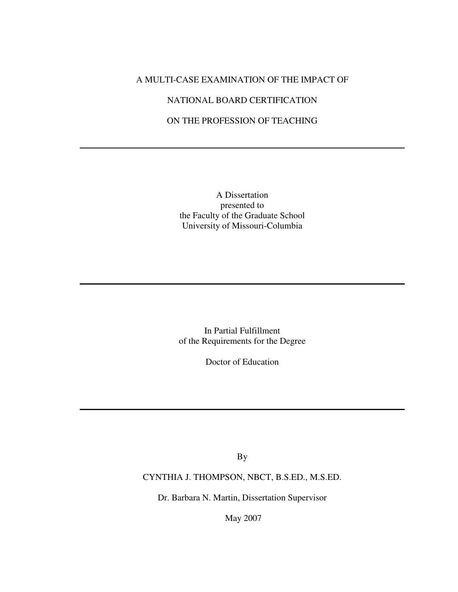## A MULTI-CASE EXAMINATION OF THE IMPACT OF

## NATIONAL BOARD CERTIFICATION

## ON THE PROFESSION OF TEACHING

A Dissertation presented to the Faculty of the Graduate School University of Missouri-Columbia

In Partial Fulfillment of the Requirements for the Degree

Doctor of Education

By

CYNTHIA J. THOMPSON, NBCT, B.S.ED., M.S.ED.

Dr. Barbara N. Martin, Dissertation Supervisor

May 2007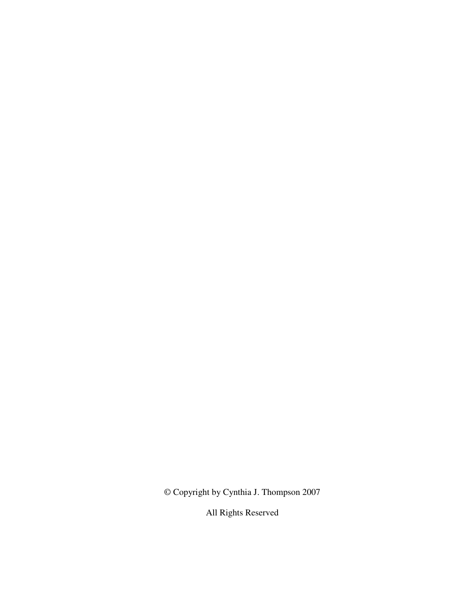© Copyright by Cynthia J. Thompson 2007

All Rights Reserved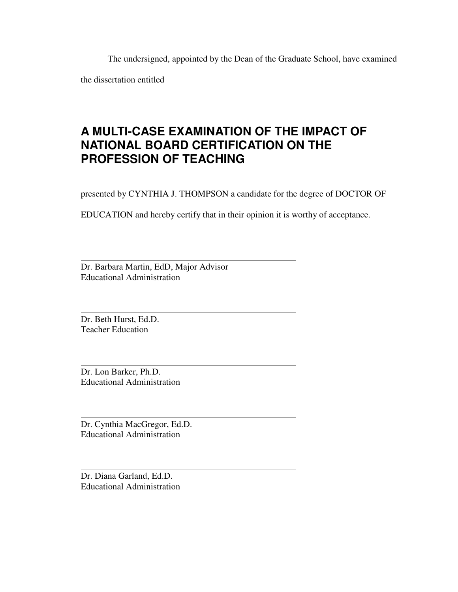The undersigned, appointed by the Dean of the Graduate School, have examined

the dissertation entitled

# **A MULTI-CASE EXAMINATION OF THE IMPACT OF NATIONAL BOARD CERTIFICATION ON THE PROFESSION OF TEACHING**

presented by CYNTHIA J. THOMPSON a candidate for the degree of DOCTOR OF

EDUCATION and hereby certify that in their opinion it is worthy of acceptance.

Dr. Barbara Martin, EdD, Major Advisor Educational Administration

Dr. Beth Hurst, Ed.D. Teacher Education

 $\overline{a}$ 

 $\overline{a}$ 

 $\overline{a}$ 

 $\overline{a}$ 

 $\overline{a}$ 

Dr. Lon Barker, Ph.D. Educational Administration

Dr. Cynthia MacGregor, Ed.D. Educational Administration

Dr. Diana Garland, Ed.D. Educational Administration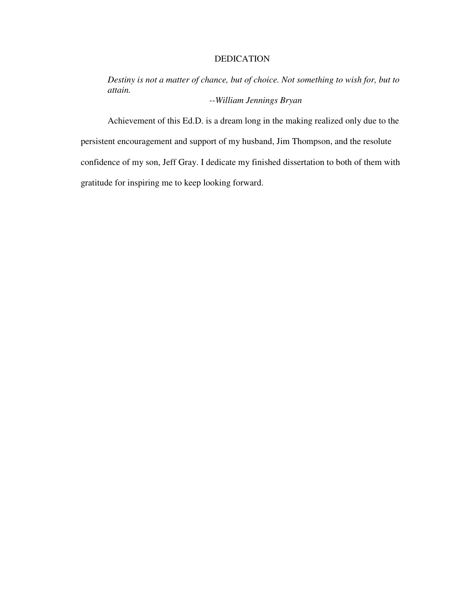## DEDICATION

*Destiny is not a matter of chance, but of choice. Not something to wish for, but to attain.* 

*--William Jennings Bryan* 

Achievement of this Ed.D. is a dream long in the making realized only due to the persistent encouragement and support of my husband, Jim Thompson, and the resolute confidence of my son, Jeff Gray. I dedicate my finished dissertation to both of them with gratitude for inspiring me to keep looking forward.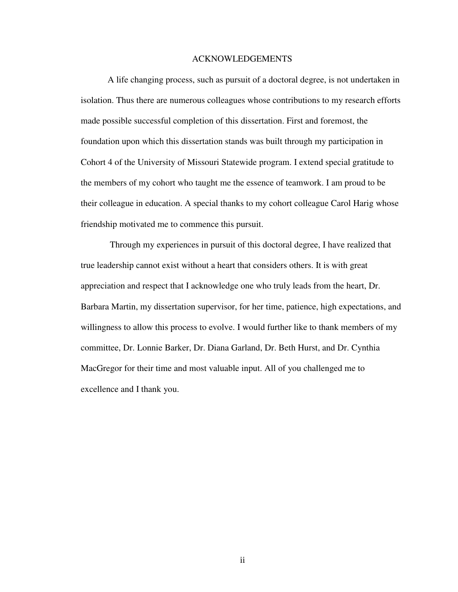#### ACKNOWLEDGEMENTS

A life changing process, such as pursuit of a doctoral degree, is not undertaken in isolation. Thus there are numerous colleagues whose contributions to my research efforts made possible successful completion of this dissertation. First and foremost, the foundation upon which this dissertation stands was built through my participation in Cohort 4 of the University of Missouri Statewide program. I extend special gratitude to the members of my cohort who taught me the essence of teamwork. I am proud to be their colleague in education. A special thanks to my cohort colleague Carol Harig whose friendship motivated me to commence this pursuit.

 Through my experiences in pursuit of this doctoral degree, I have realized that true leadership cannot exist without a heart that considers others. It is with great appreciation and respect that I acknowledge one who truly leads from the heart, Dr. Barbara Martin, my dissertation supervisor, for her time, patience, high expectations, and willingness to allow this process to evolve. I would further like to thank members of my committee, Dr. Lonnie Barker, Dr. Diana Garland, Dr. Beth Hurst, and Dr. Cynthia MacGregor for their time and most valuable input. All of you challenged me to excellence and I thank you.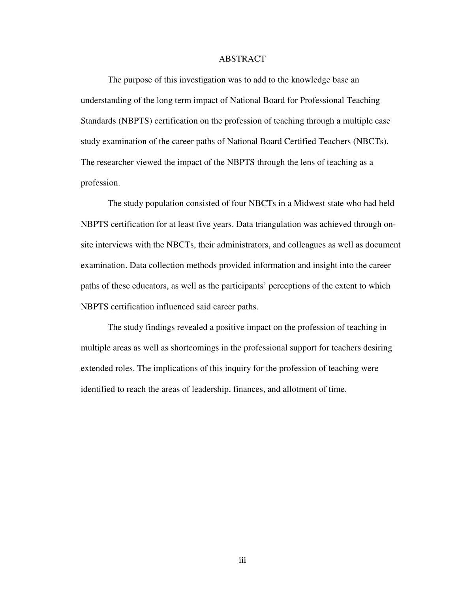## ABSTRACT

The purpose of this investigation was to add to the knowledge base an understanding of the long term impact of National Board for Professional Teaching Standards (NBPTS) certification on the profession of teaching through a multiple case study examination of the career paths of National Board Certified Teachers (NBCTs). The researcher viewed the impact of the NBPTS through the lens of teaching as a profession.

The study population consisted of four NBCTs in a Midwest state who had held NBPTS certification for at least five years. Data triangulation was achieved through onsite interviews with the NBCTs, their administrators, and colleagues as well as document examination. Data collection methods provided information and insight into the career paths of these educators, as well as the participants' perceptions of the extent to which NBPTS certification influenced said career paths.

The study findings revealed a positive impact on the profession of teaching in multiple areas as well as shortcomings in the professional support for teachers desiring extended roles. The implications of this inquiry for the profession of teaching were identified to reach the areas of leadership, finances, and allotment of time.

iii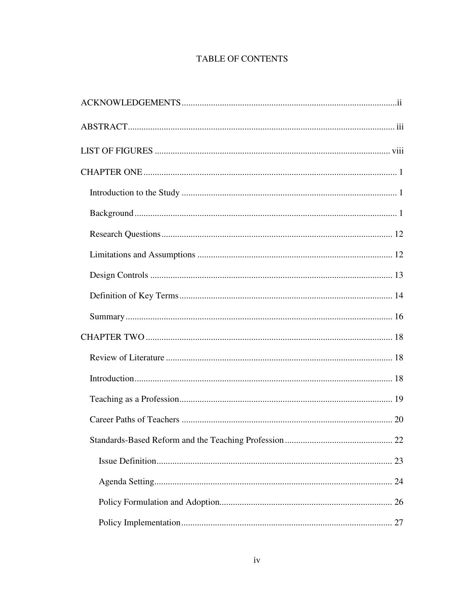## **TABLE OF CONTENTS**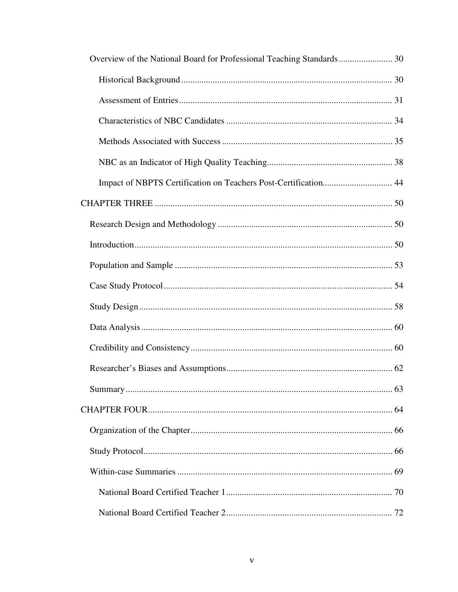| Impact of NBPTS Certification on Teachers Post-Certification 44 |  |
|-----------------------------------------------------------------|--|
|                                                                 |  |
|                                                                 |  |
|                                                                 |  |
|                                                                 |  |
|                                                                 |  |
|                                                                 |  |
|                                                                 |  |
|                                                                 |  |
|                                                                 |  |
|                                                                 |  |
|                                                                 |  |
|                                                                 |  |
|                                                                 |  |
|                                                                 |  |
|                                                                 |  |
|                                                                 |  |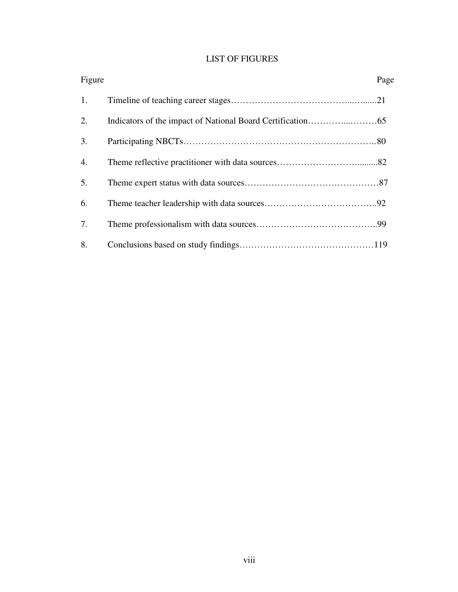## LIST OF FIGURES

| Figure | Page |
|--------|------|
| 1.     |      |
| 2.     |      |
| 3.     |      |
| 4.     |      |
| 5.     |      |
| 6.     |      |
| 7.     |      |
| 8.     |      |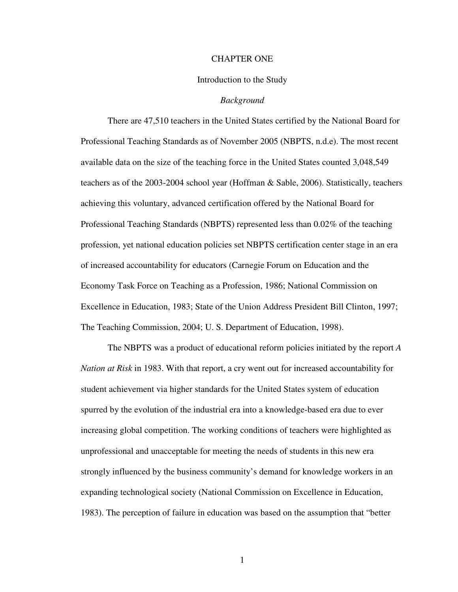#### CHAPTER ONE

#### Introduction to the Study

#### *Background*

 There are 47,510 teachers in the United States certified by the National Board for Professional Teaching Standards as of November 2005 (NBPTS, n.d.e). The most recent available data on the size of the teaching force in the United States counted 3,048,549 teachers as of the 2003-2004 school year (Hoffman & Sable, 2006). Statistically, teachers achieving this voluntary, advanced certification offered by the National Board for Professional Teaching Standards (NBPTS) represented less than 0.02% of the teaching profession, yet national education policies set NBPTS certification center stage in an era of increased accountability for educators (Carnegie Forum on Education and the Economy Task Force on Teaching as a Profession, 1986; National Commission on Excellence in Education, 1983; State of the Union Address President Bill Clinton, 1997; The Teaching Commission, 2004; U. S. Department of Education, 1998).

 The NBPTS was a product of educational reform policies initiated by the report *A Nation at Risk* in 1983. With that report, a cry went out for increased accountability for student achievement via higher standards for the United States system of education spurred by the evolution of the industrial era into a knowledge-based era due to ever increasing global competition. The working conditions of teachers were highlighted as unprofessional and unacceptable for meeting the needs of students in this new era strongly influenced by the business community's demand for knowledge workers in an expanding technological society (National Commission on Excellence in Education, 1983). The perception of failure in education was based on the assumption that "better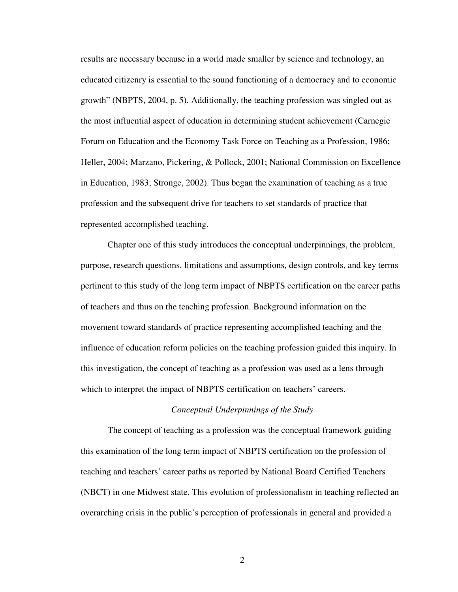results are necessary because in a world made smaller by science and technology, an educated citizenry is essential to the sound functioning of a democracy and to economic growth" (NBPTS, 2004, p. 5). Additionally, the teaching profession was singled out as the most influential aspect of education in determining student achievement (Carnegie Forum on Education and the Economy Task Force on Teaching as a Profession, 1986; Heller, 2004; Marzano, Pickering, & Pollock, 2001; National Commission on Excellence in Education, 1983; Stronge, 2002). Thus began the examination of teaching as a true profession and the subsequent drive for teachers to set standards of practice that represented accomplished teaching.

 Chapter one of this study introduces the conceptual underpinnings, the problem, purpose, research questions, limitations and assumptions, design controls, and key terms pertinent to this study of the long term impact of NBPTS certification on the career paths of teachers and thus on the teaching profession. Background information on the movement toward standards of practice representing accomplished teaching and the influence of education reform policies on the teaching profession guided this inquiry. In this investigation, the concept of teaching as a profession was used as a lens through which to interpret the impact of NBPTS certification on teachers' careers.

#### *Conceptual Underpinnings of the Study*

 The concept of teaching as a profession was the conceptual framework guiding this examination of the long term impact of NBPTS certification on the profession of teaching and teachers' career paths as reported by National Board Certified Teachers (NBCT) in one Midwest state. This evolution of professionalism in teaching reflected an overarching crisis in the public's perception of professionals in general and provided a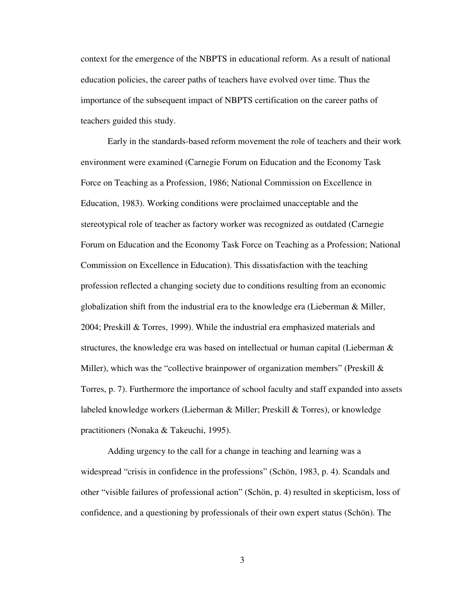context for the emergence of the NBPTS in educational reform. As a result of national education policies, the career paths of teachers have evolved over time. Thus the importance of the subsequent impact of NBPTS certification on the career paths of teachers guided this study.

 Early in the standards-based reform movement the role of teachers and their work environment were examined (Carnegie Forum on Education and the Economy Task Force on Teaching as a Profession, 1986; National Commission on Excellence in Education, 1983). Working conditions were proclaimed unacceptable and the stereotypical role of teacher as factory worker was recognized as outdated (Carnegie Forum on Education and the Economy Task Force on Teaching as a Profession; National Commission on Excellence in Education). This dissatisfaction with the teaching profession reflected a changing society due to conditions resulting from an economic globalization shift from the industrial era to the knowledge era (Lieberman & Miller, 2004; Preskill & Torres, 1999). While the industrial era emphasized materials and structures, the knowledge era was based on intellectual or human capital (Lieberman & Miller), which was the "collective brainpower of organization members" (Preskill  $\&$ Torres, p. 7). Furthermore the importance of school faculty and staff expanded into assets labeled knowledge workers (Lieberman & Miller; Preskill & Torres), or knowledge practitioners (Nonaka & Takeuchi, 1995).

 Adding urgency to the call for a change in teaching and learning was a widespread "crisis in confidence in the professions" (Schön, 1983, p. 4). Scandals and other "visible failures of professional action" (Schön, p. 4) resulted in skepticism, loss of confidence, and a questioning by professionals of their own expert status (Schön). The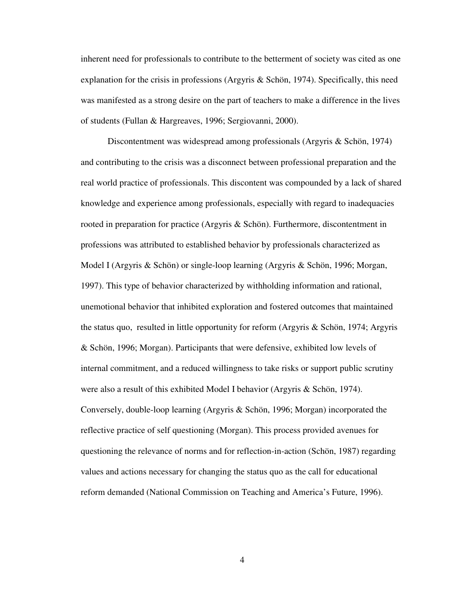inherent need for professionals to contribute to the betterment of society was cited as one explanation for the crisis in professions (Argyris & Schön, 1974). Specifically, this need was manifested as a strong desire on the part of teachers to make a difference in the lives of students (Fullan & Hargreaves, 1996; Sergiovanni, 2000).

 Discontentment was widespread among professionals (Argyris & Schön, 1974) and contributing to the crisis was a disconnect between professional preparation and the real world practice of professionals. This discontent was compounded by a lack of shared knowledge and experience among professionals, especially with regard to inadequacies rooted in preparation for practice (Argyris & Schön). Furthermore, discontentment in professions was attributed to established behavior by professionals characterized as Model I (Argyris & Schön) or single-loop learning (Argyris & Schön, 1996; Morgan, 1997). This type of behavior characterized by withholding information and rational, unemotional behavior that inhibited exploration and fostered outcomes that maintained the status quo, resulted in little opportunity for reform (Argyris  $\&$  Schön, 1974; Argyris & Schön, 1996; Morgan). Participants that were defensive, exhibited low levels of internal commitment, and a reduced willingness to take risks or support public scrutiny were also a result of this exhibited Model I behavior (Argyris & Schön, 1974). Conversely, double-loop learning (Argyris & Schön, 1996; Morgan) incorporated the reflective practice of self questioning (Morgan). This process provided avenues for questioning the relevance of norms and for reflection-in-action (Schön, 1987) regarding values and actions necessary for changing the status quo as the call for educational reform demanded (National Commission on Teaching and America's Future, 1996).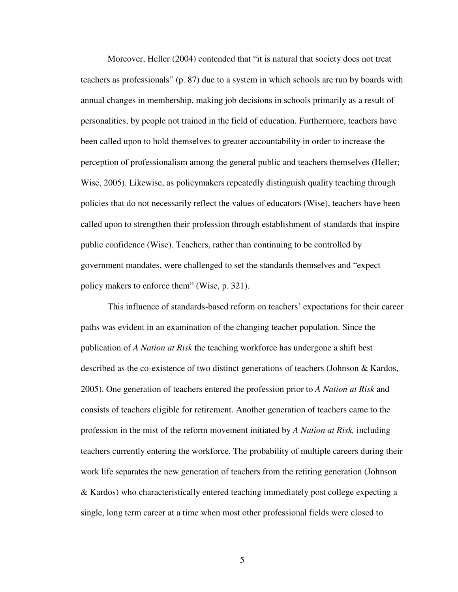Moreover, Heller (2004) contended that "it is natural that society does not treat teachers as professionals" (p. 87) due to a system in which schools are run by boards with annual changes in membership, making job decisions in schools primarily as a result of personalities, by people not trained in the field of education. Furthermore, teachers have been called upon to hold themselves to greater accountability in order to increase the perception of professionalism among the general public and teachers themselves (Heller; Wise, 2005). Likewise, as policymakers repeatedly distinguish quality teaching through policies that do not necessarily reflect the values of educators (Wise), teachers have been called upon to strengthen their profession through establishment of standards that inspire public confidence (Wise). Teachers, rather than continuing to be controlled by government mandates, were challenged to set the standards themselves and "expect policy makers to enforce them" (Wise, p. 321).

 This influence of standards-based reform on teachers' expectations for their career paths was evident in an examination of the changing teacher population. Since the publication of *A Nation at Risk* the teaching workforce has undergone a shift best described as the co-existence of two distinct generations of teachers (Johnson & Kardos, 2005). One generation of teachers entered the profession prior to *A Nation at Risk* and consists of teachers eligible for retirement. Another generation of teachers came to the profession in the mist of the reform movement initiated by *A Nation at Risk,* including teachers currently entering the workforce. The probability of multiple careers during their work life separates the new generation of teachers from the retiring generation (Johnson & Kardos) who characteristically entered teaching immediately post college expecting a single, long term career at a time when most other professional fields were closed to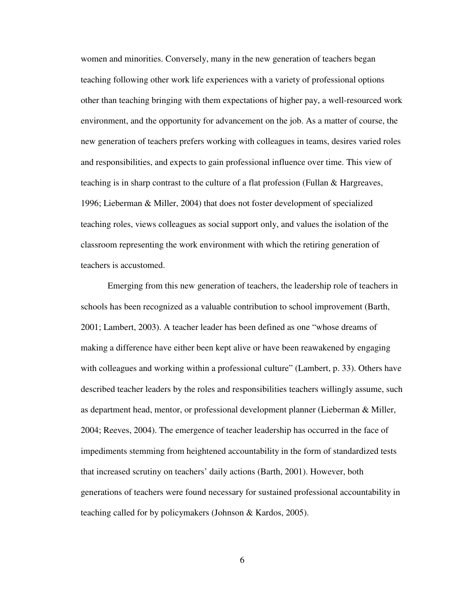women and minorities. Conversely, many in the new generation of teachers began teaching following other work life experiences with a variety of professional options other than teaching bringing with them expectations of higher pay, a well-resourced work environment, and the opportunity for advancement on the job. As a matter of course, the new generation of teachers prefers working with colleagues in teams, desires varied roles and responsibilities, and expects to gain professional influence over time. This view of teaching is in sharp contrast to the culture of a flat profession (Fullan & Hargreaves, 1996; Lieberman & Miller, 2004) that does not foster development of specialized teaching roles, views colleagues as social support only, and values the isolation of the classroom representing the work environment with which the retiring generation of teachers is accustomed.

 Emerging from this new generation of teachers, the leadership role of teachers in schools has been recognized as a valuable contribution to school improvement (Barth, 2001; Lambert, 2003). A teacher leader has been defined as one "whose dreams of making a difference have either been kept alive or have been reawakened by engaging with colleagues and working within a professional culture" (Lambert, p. 33). Others have described teacher leaders by the roles and responsibilities teachers willingly assume, such as department head, mentor, or professional development planner (Lieberman & Miller, 2004; Reeves, 2004). The emergence of teacher leadership has occurred in the face of impediments stemming from heightened accountability in the form of standardized tests that increased scrutiny on teachers' daily actions (Barth, 2001). However, both generations of teachers were found necessary for sustained professional accountability in teaching called for by policymakers (Johnson & Kardos, 2005).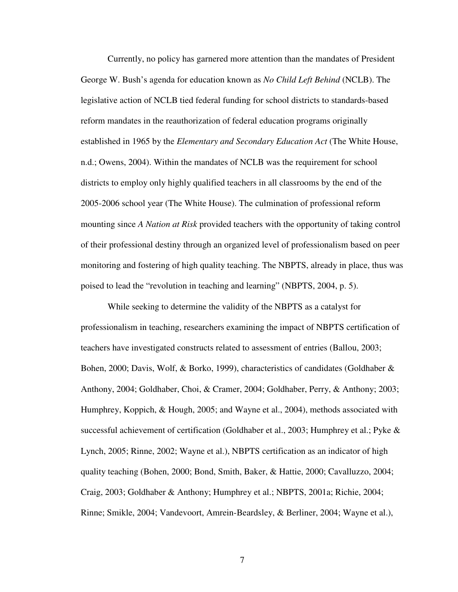Currently, no policy has garnered more attention than the mandates of President George W. Bush's agenda for education known as *No Child Left Behind* (NCLB). The legislative action of NCLB tied federal funding for school districts to standards-based reform mandates in the reauthorization of federal education programs originally established in 1965 by the *Elementary and Secondary Education Act* (The White House, n.d.; Owens, 2004). Within the mandates of NCLB was the requirement for school districts to employ only highly qualified teachers in all classrooms by the end of the 2005-2006 school year (The White House). The culmination of professional reform mounting since *A Nation at Risk* provided teachers with the opportunity of taking control of their professional destiny through an organized level of professionalism based on peer monitoring and fostering of high quality teaching. The NBPTS, already in place, thus was poised to lead the "revolution in teaching and learning" (NBPTS, 2004, p. 5).

 While seeking to determine the validity of the NBPTS as a catalyst for professionalism in teaching, researchers examining the impact of NBPTS certification of teachers have investigated constructs related to assessment of entries (Ballou, 2003; Bohen, 2000; Davis, Wolf, & Borko, 1999), characteristics of candidates (Goldhaber & Anthony, 2004; Goldhaber, Choi, & Cramer, 2004; Goldhaber, Perry, & Anthony; 2003; Humphrey, Koppich, & Hough, 2005; and Wayne et al., 2004), methods associated with successful achievement of certification (Goldhaber et al., 2003; Humphrey et al.; Pyke & Lynch, 2005; Rinne, 2002; Wayne et al.), NBPTS certification as an indicator of high quality teaching (Bohen, 2000; Bond, Smith, Baker, & Hattie, 2000; Cavalluzzo, 2004; Craig, 2003; Goldhaber & Anthony; Humphrey et al.; NBPTS, 2001a; Richie, 2004; Rinne; Smikle, 2004; Vandevoort, Amrein-Beardsley, & Berliner, 2004; Wayne et al.),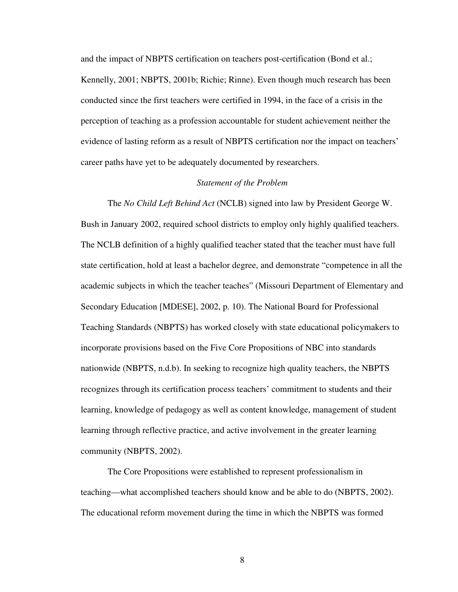and the impact of NBPTS certification on teachers post-certification (Bond et al.; Kennelly, 2001; NBPTS, 2001b; Richie; Rinne). Even though much research has been conducted since the first teachers were certified in 1994, in the face of a crisis in the perception of teaching as a profession accountable for student achievement neither the evidence of lasting reform as a result of NBPTS certification nor the impact on teachers' career paths have yet to be adequately documented by researchers.

## *Statement of the Problem*

The *No Child Left Behind Act* (NCLB) signed into law by President George W. Bush in January 2002, required school districts to employ only highly qualified teachers. The NCLB definition of a highly qualified teacher stated that the teacher must have full state certification, hold at least a bachelor degree, and demonstrate "competence in all the academic subjects in which the teacher teaches" (Missouri Department of Elementary and Secondary Education [MDESE], 2002, p. 10). The National Board for Professional Teaching Standards (NBPTS) has worked closely with state educational policymakers to incorporate provisions based on the Five Core Propositions of NBC into standards nationwide (NBPTS, n.d.b). In seeking to recognize high quality teachers, the NBPTS recognizes through its certification process teachers' commitment to students and their learning, knowledge of pedagogy as well as content knowledge, management of student learning through reflective practice, and active involvement in the greater learning community (NBPTS, 2002).

 The Core Propositions were established to represent professionalism in teaching—what accomplished teachers should know and be able to do (NBPTS, 2002). The educational reform movement during the time in which the NBPTS was formed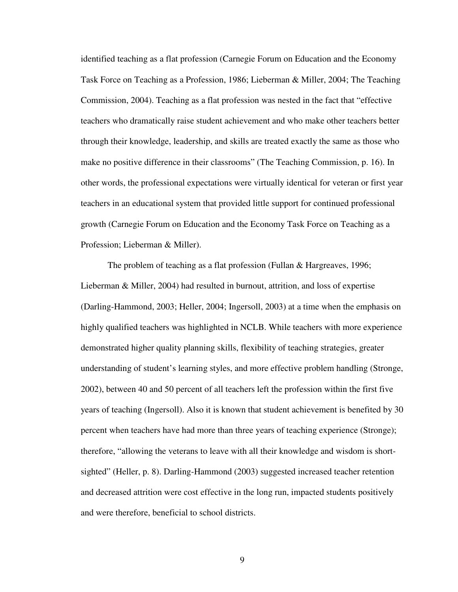identified teaching as a flat profession (Carnegie Forum on Education and the Economy Task Force on Teaching as a Profession, 1986; Lieberman & Miller, 2004; The Teaching Commission, 2004). Teaching as a flat profession was nested in the fact that "effective teachers who dramatically raise student achievement and who make other teachers better through their knowledge, leadership, and skills are treated exactly the same as those who make no positive difference in their classrooms" (The Teaching Commission, p. 16). In other words, the professional expectations were virtually identical for veteran or first year teachers in an educational system that provided little support for continued professional growth (Carnegie Forum on Education and the Economy Task Force on Teaching as a Profession; Lieberman & Miller).

 The problem of teaching as a flat profession (Fullan & Hargreaves, 1996; Lieberman & Miller, 2004) had resulted in burnout, attrition, and loss of expertise (Darling-Hammond, 2003; Heller, 2004; Ingersoll, 2003) at a time when the emphasis on highly qualified teachers was highlighted in NCLB. While teachers with more experience demonstrated higher quality planning skills, flexibility of teaching strategies, greater understanding of student's learning styles, and more effective problem handling (Stronge, 2002), between 40 and 50 percent of all teachers left the profession within the first five years of teaching (Ingersoll). Also it is known that student achievement is benefited by 30 percent when teachers have had more than three years of teaching experience (Stronge); therefore, "allowing the veterans to leave with all their knowledge and wisdom is shortsighted" (Heller, p. 8). Darling-Hammond (2003) suggested increased teacher retention and decreased attrition were cost effective in the long run, impacted students positively and were therefore, beneficial to school districts.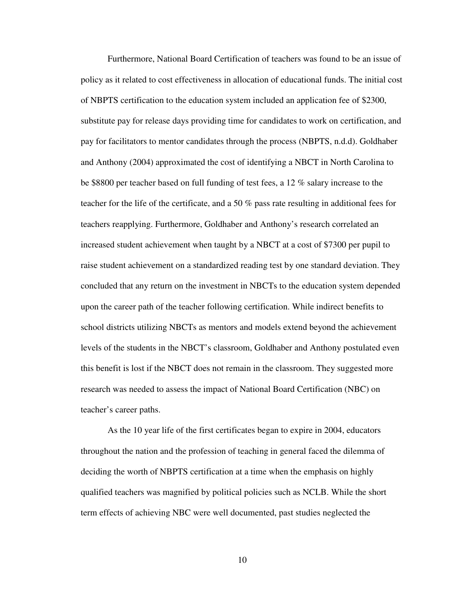Furthermore, National Board Certification of teachers was found to be an issue of policy as it related to cost effectiveness in allocation of educational funds. The initial cost of NBPTS certification to the education system included an application fee of \$2300, substitute pay for release days providing time for candidates to work on certification, and pay for facilitators to mentor candidates through the process (NBPTS, n.d.d). Goldhaber and Anthony (2004) approximated the cost of identifying a NBCT in North Carolina to be \$8800 per teacher based on full funding of test fees, a 12 % salary increase to the teacher for the life of the certificate, and a 50 % pass rate resulting in additional fees for teachers reapplying. Furthermore, Goldhaber and Anthony's research correlated an increased student achievement when taught by a NBCT at a cost of \$7300 per pupil to raise student achievement on a standardized reading test by one standard deviation. They concluded that any return on the investment in NBCTs to the education system depended upon the career path of the teacher following certification. While indirect benefits to school districts utilizing NBCTs as mentors and models extend beyond the achievement levels of the students in the NBCT's classroom, Goldhaber and Anthony postulated even this benefit is lost if the NBCT does not remain in the classroom. They suggested more research was needed to assess the impact of National Board Certification (NBC) on teacher's career paths.

 As the 10 year life of the first certificates began to expire in 2004, educators throughout the nation and the profession of teaching in general faced the dilemma of deciding the worth of NBPTS certification at a time when the emphasis on highly qualified teachers was magnified by political policies such as NCLB. While the short term effects of achieving NBC were well documented, past studies neglected the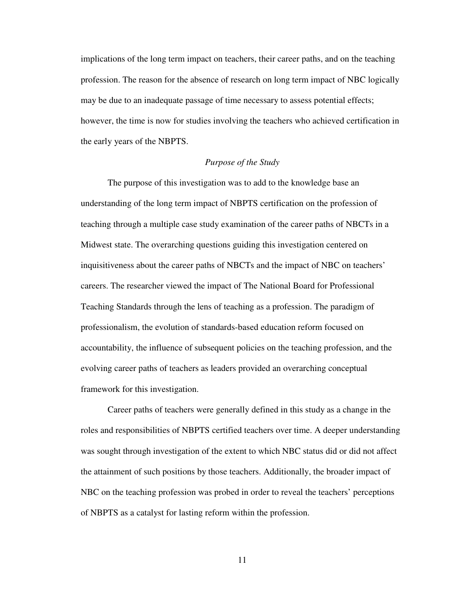implications of the long term impact on teachers, their career paths, and on the teaching profession. The reason for the absence of research on long term impact of NBC logically may be due to an inadequate passage of time necessary to assess potential effects; however, the time is now for studies involving the teachers who achieved certification in the early years of the NBPTS.

### *Purpose of the Study*

The purpose of this investigation was to add to the knowledge base an understanding of the long term impact of NBPTS certification on the profession of teaching through a multiple case study examination of the career paths of NBCTs in a Midwest state. The overarching questions guiding this investigation centered on inquisitiveness about the career paths of NBCTs and the impact of NBC on teachers' careers. The researcher viewed the impact of The National Board for Professional Teaching Standards through the lens of teaching as a profession. The paradigm of professionalism, the evolution of standards-based education reform focused on accountability, the influence of subsequent policies on the teaching profession, and the evolving career paths of teachers as leaders provided an overarching conceptual framework for this investigation.

Career paths of teachers were generally defined in this study as a change in the roles and responsibilities of NBPTS certified teachers over time. A deeper understanding was sought through investigation of the extent to which NBC status did or did not affect the attainment of such positions by those teachers. Additionally, the broader impact of NBC on the teaching profession was probed in order to reveal the teachers' perceptions of NBPTS as a catalyst for lasting reform within the profession.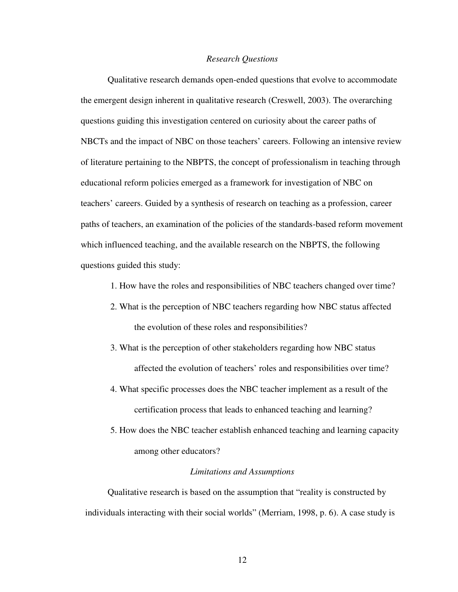#### *Research Questions*

 Qualitative research demands open-ended questions that evolve to accommodate the emergent design inherent in qualitative research (Creswell, 2003). The overarching questions guiding this investigation centered on curiosity about the career paths of NBCTs and the impact of NBC on those teachers' careers. Following an intensive review of literature pertaining to the NBPTS, the concept of professionalism in teaching through educational reform policies emerged as a framework for investigation of NBC on teachers' careers. Guided by a synthesis of research on teaching as a profession, career paths of teachers, an examination of the policies of the standards-based reform movement which influenced teaching, and the available research on the NBPTS, the following questions guided this study:

- 1. How have the roles and responsibilities of NBC teachers changed over time?
- 2. What is the perception of NBC teachers regarding how NBC status affected the evolution of these roles and responsibilities?
- 3. What is the perception of other stakeholders regarding how NBC status affected the evolution of teachers' roles and responsibilities over time?
- 4. What specific processes does the NBC teacher implement as a result of the certification process that leads to enhanced teaching and learning?
- 5. How does the NBC teacher establish enhanced teaching and learning capacity among other educators?

### *Limitations and Assumptions*

 Qualitative research is based on the assumption that "reality is constructed by individuals interacting with their social worlds" (Merriam, 1998, p. 6). A case study is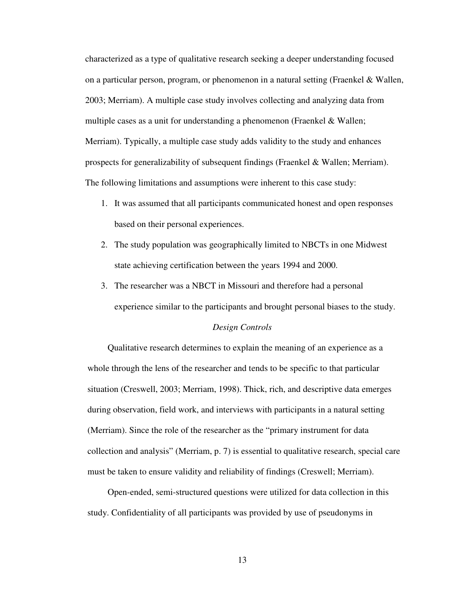characterized as a type of qualitative research seeking a deeper understanding focused on a particular person, program, or phenomenon in a natural setting (Fraenkel & Wallen, 2003; Merriam). A multiple case study involves collecting and analyzing data from multiple cases as a unit for understanding a phenomenon (Fraenkel & Wallen; Merriam). Typically, a multiple case study adds validity to the study and enhances prospects for generalizability of subsequent findings (Fraenkel & Wallen; Merriam). The following limitations and assumptions were inherent to this case study:

- 1. It was assumed that all participants communicated honest and open responses based on their personal experiences.
- 2. The study population was geographically limited to NBCTs in one Midwest state achieving certification between the years 1994 and 2000.
- 3. The researcher was a NBCT in Missouri and therefore had a personal experience similar to the participants and brought personal biases to the study.

#### *Design Controls*

 Qualitative research determines to explain the meaning of an experience as a whole through the lens of the researcher and tends to be specific to that particular situation (Creswell, 2003; Merriam, 1998). Thick, rich, and descriptive data emerges during observation, field work, and interviews with participants in a natural setting (Merriam). Since the role of the researcher as the "primary instrument for data collection and analysis" (Merriam, p. 7) is essential to qualitative research, special care must be taken to ensure validity and reliability of findings (Creswell; Merriam).

 Open-ended, semi-structured questions were utilized for data collection in this study. Confidentiality of all participants was provided by use of pseudonyms in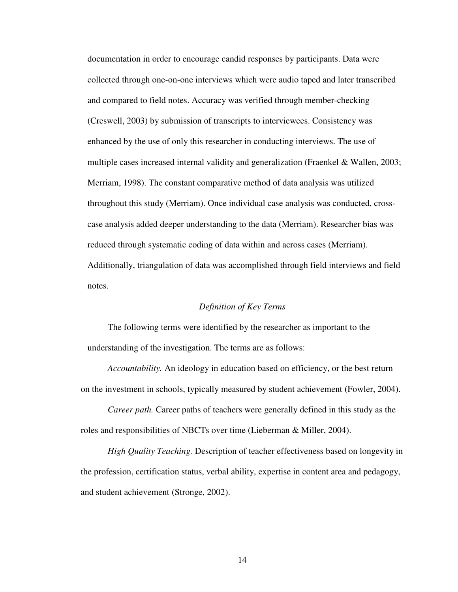documentation in order to encourage candid responses by participants. Data were collected through one-on-one interviews which were audio taped and later transcribed and compared to field notes. Accuracy was verified through member-checking (Creswell, 2003) by submission of transcripts to interviewees. Consistency was enhanced by the use of only this researcher in conducting interviews. The use of multiple cases increased internal validity and generalization (Fraenkel & Wallen, 2003; Merriam, 1998). The constant comparative method of data analysis was utilized throughout this study (Merriam). Once individual case analysis was conducted, crosscase analysis added deeper understanding to the data (Merriam). Researcher bias was reduced through systematic coding of data within and across cases (Merriam). Additionally, triangulation of data was accomplished through field interviews and field notes.

### *Definition of Key Terms*

The following terms were identified by the researcher as important to the understanding of the investigation. The terms are as follows:

 *Accountability.* An ideology in education based on efficiency, or the best return on the investment in schools, typically measured by student achievement (Fowler, 2004).

 *Career path.* Career paths of teachers were generally defined in this study as the roles and responsibilities of NBCTs over time (Lieberman & Miller, 2004).

 *High Quality Teaching.* Description of teacher effectiveness based on longevity in the profession, certification status, verbal ability, expertise in content area and pedagogy, and student achievement (Stronge, 2002).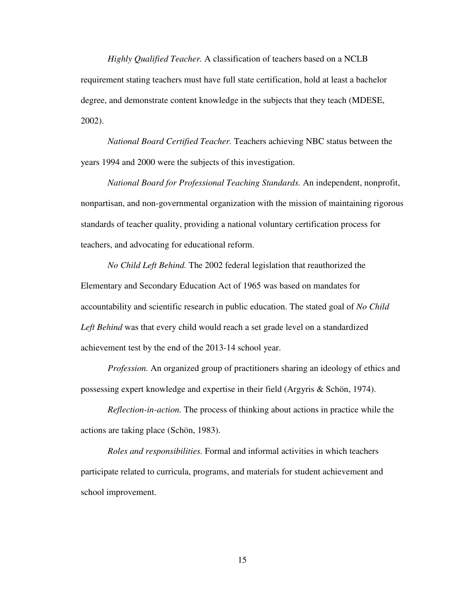*Highly Qualified Teacher.* A classification of teachers based on a NCLB requirement stating teachers must have full state certification, hold at least a bachelor degree, and demonstrate content knowledge in the subjects that they teach (MDESE, 2002).

*National Board Certified Teacher.* Teachers achieving NBC status between the years 1994 and 2000 were the subjects of this investigation.

 *National Board for Professional Teaching Standards.* An independent, nonprofit, nonpartisan, and non-governmental organization with the mission of maintaining rigorous standards of teacher quality, providing a national voluntary certification process for teachers, and advocating for educational reform.

 *No Child Left Behind.* The 2002 federal legislation that reauthorized the Elementary and Secondary Education Act of 1965 was based on mandates for accountability and scientific research in public education. The stated goal of *No Child Left Behind* was that every child would reach a set grade level on a standardized achievement test by the end of the 2013-14 school year.

*Profession.* An organized group of practitioners sharing an ideology of ethics and possessing expert knowledge and expertise in their field (Argyris & Schön, 1974).

 *Reflection-in-action.* The process of thinking about actions in practice while the actions are taking place (Schön, 1983).

*Roles and responsibilities.* Formal and informal activities in which teachers participate related to curricula, programs, and materials for student achievement and school improvement.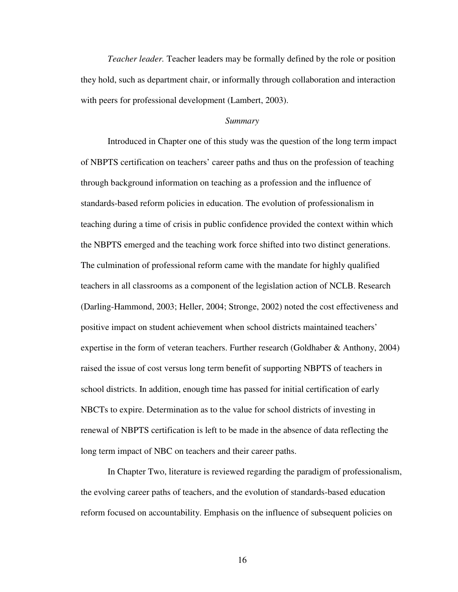*Teacher leader.* Teacher leaders may be formally defined by the role or position they hold, such as department chair, or informally through collaboration and interaction with peers for professional development (Lambert, 2003).

### *Summary*

 Introduced in Chapter one of this study was the question of the long term impact of NBPTS certification on teachers' career paths and thus on the profession of teaching through background information on teaching as a profession and the influence of standards-based reform policies in education. The evolution of professionalism in teaching during a time of crisis in public confidence provided the context within which the NBPTS emerged and the teaching work force shifted into two distinct generations. The culmination of professional reform came with the mandate for highly qualified teachers in all classrooms as a component of the legislation action of NCLB. Research (Darling-Hammond, 2003; Heller, 2004; Stronge, 2002) noted the cost effectiveness and positive impact on student achievement when school districts maintained teachers' expertise in the form of veteran teachers. Further research (Goldhaber & Anthony, 2004) raised the issue of cost versus long term benefit of supporting NBPTS of teachers in school districts. In addition, enough time has passed for initial certification of early NBCTs to expire. Determination as to the value for school districts of investing in renewal of NBPTS certification is left to be made in the absence of data reflecting the long term impact of NBC on teachers and their career paths.

 In Chapter Two, literature is reviewed regarding the paradigm of professionalism, the evolving career paths of teachers, and the evolution of standards-based education reform focused on accountability. Emphasis on the influence of subsequent policies on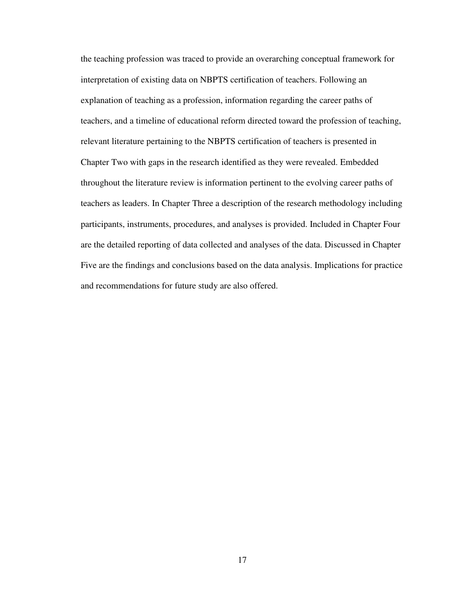the teaching profession was traced to provide an overarching conceptual framework for interpretation of existing data on NBPTS certification of teachers. Following an explanation of teaching as a profession, information regarding the career paths of teachers, and a timeline of educational reform directed toward the profession of teaching, relevant literature pertaining to the NBPTS certification of teachers is presented in Chapter Two with gaps in the research identified as they were revealed. Embedded throughout the literature review is information pertinent to the evolving career paths of teachers as leaders. In Chapter Three a description of the research methodology including participants, instruments, procedures, and analyses is provided. Included in Chapter Four are the detailed reporting of data collected and analyses of the data. Discussed in Chapter Five are the findings and conclusions based on the data analysis. Implications for practice and recommendations for future study are also offered.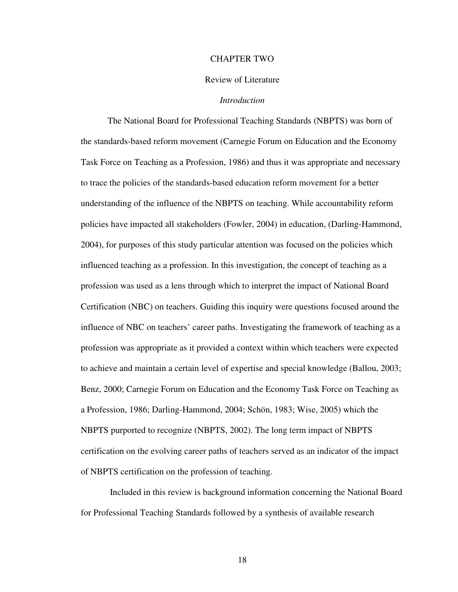#### CHAPTER TWO

#### Review of Literature

## *Introduction*

 The National Board for Professional Teaching Standards (NBPTS) was born of the standards-based reform movement (Carnegie Forum on Education and the Economy Task Force on Teaching as a Profession, 1986) and thus it was appropriate and necessary to trace the policies of the standards-based education reform movement for a better understanding of the influence of the NBPTS on teaching. While accountability reform policies have impacted all stakeholders (Fowler, 2004) in education, (Darling-Hammond, 2004), for purposes of this study particular attention was focused on the policies which influenced teaching as a profession. In this investigation, the concept of teaching as a profession was used as a lens through which to interpret the impact of National Board Certification (NBC) on teachers. Guiding this inquiry were questions focused around the influence of NBC on teachers' career paths. Investigating the framework of teaching as a profession was appropriate as it provided a context within which teachers were expected to achieve and maintain a certain level of expertise and special knowledge (Ballou, 2003; Benz, 2000; Carnegie Forum on Education and the Economy Task Force on Teaching as a Profession, 1986; Darling-Hammond, 2004; Schön, 1983; Wise, 2005) which the NBPTS purported to recognize (NBPTS, 2002). The long term impact of NBPTS certification on the evolving career paths of teachers served as an indicator of the impact of NBPTS certification on the profession of teaching.

 Included in this review is background information concerning the National Board for Professional Teaching Standards followed by a synthesis of available research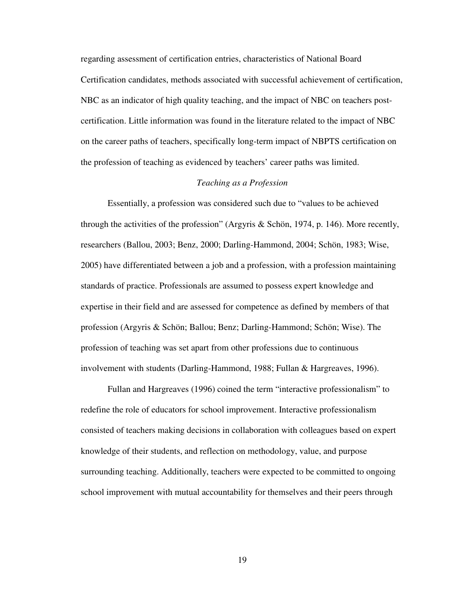regarding assessment of certification entries, characteristics of National Board Certification candidates, methods associated with successful achievement of certification, NBC as an indicator of high quality teaching, and the impact of NBC on teachers postcertification. Little information was found in the literature related to the impact of NBC on the career paths of teachers, specifically long-term impact of NBPTS certification on the profession of teaching as evidenced by teachers' career paths was limited.

## *Teaching as a Profession*

 Essentially, a profession was considered such due to "values to be achieved through the activities of the profession" (Argyris & Schön, 1974, p. 146). More recently, researchers (Ballou, 2003; Benz, 2000; Darling-Hammond, 2004; Schön, 1983; Wise, 2005) have differentiated between a job and a profession, with a profession maintaining standards of practice. Professionals are assumed to possess expert knowledge and expertise in their field and are assessed for competence as defined by members of that profession (Argyris & Schön; Ballou; Benz; Darling-Hammond; Schön; Wise). The profession of teaching was set apart from other professions due to continuous involvement with students (Darling-Hammond, 1988; Fullan & Hargreaves, 1996).

 Fullan and Hargreaves (1996) coined the term "interactive professionalism" to redefine the role of educators for school improvement. Interactive professionalism consisted of teachers making decisions in collaboration with colleagues based on expert knowledge of their students, and reflection on methodology, value, and purpose surrounding teaching. Additionally, teachers were expected to be committed to ongoing school improvement with mutual accountability for themselves and their peers through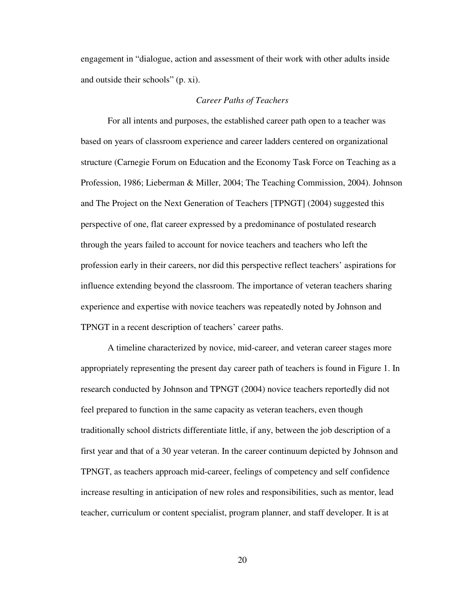engagement in "dialogue, action and assessment of their work with other adults inside and outside their schools" (p. xi).

### *Career Paths of Teachers*

 For all intents and purposes, the established career path open to a teacher was based on years of classroom experience and career ladders centered on organizational structure (Carnegie Forum on Education and the Economy Task Force on Teaching as a Profession, 1986; Lieberman & Miller, 2004; The Teaching Commission, 2004). Johnson and The Project on the Next Generation of Teachers [TPNGT] (2004) suggested this perspective of one, flat career expressed by a predominance of postulated research through the years failed to account for novice teachers and teachers who left the profession early in their careers, nor did this perspective reflect teachers' aspirations for influence extending beyond the classroom. The importance of veteran teachers sharing experience and expertise with novice teachers was repeatedly noted by Johnson and TPNGT in a recent description of teachers' career paths.

 A timeline characterized by novice, mid-career, and veteran career stages more appropriately representing the present day career path of teachers is found in Figure 1. In research conducted by Johnson and TPNGT (2004) novice teachers reportedly did not feel prepared to function in the same capacity as veteran teachers, even though traditionally school districts differentiate little, if any, between the job description of a first year and that of a 30 year veteran. In the career continuum depicted by Johnson and TPNGT, as teachers approach mid-career, feelings of competency and self confidence increase resulting in anticipation of new roles and responsibilities, such as mentor, lead teacher, curriculum or content specialist, program planner, and staff developer. It is at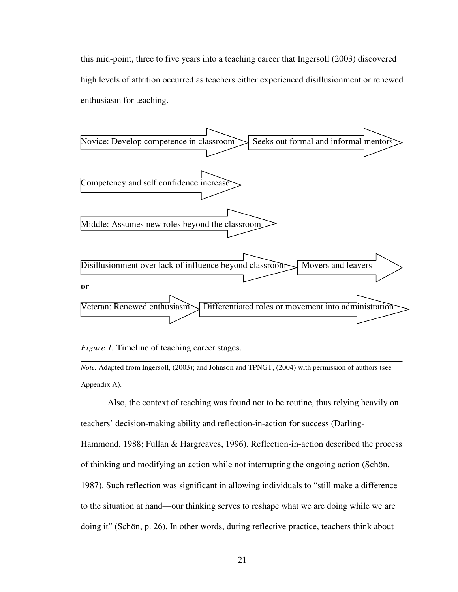this mid-point, three to five years into a teaching career that Ingersoll (2003) discovered high levels of attrition occurred as teachers either experienced disillusionment or renewed enthusiasm for teaching.



*Figure 1.* Timeline of teaching career stages.

*Note.* Adapted from Ingersoll, (2003); and Johnson and TPNGT, (2004) with permission of authors (see Appendix A).

 Also, the context of teaching was found not to be routine, thus relying heavily on teachers' decision-making ability and reflection-in-action for success (Darling-Hammond, 1988; Fullan & Hargreaves, 1996). Reflection-in-action described the process of thinking and modifying an action while not interrupting the ongoing action (Schön, 1987). Such reflection was significant in allowing individuals to "still make a difference to the situation at hand—our thinking serves to reshape what we are doing while we are doing it" (Schön, p. 26). In other words, during reflective practice, teachers think about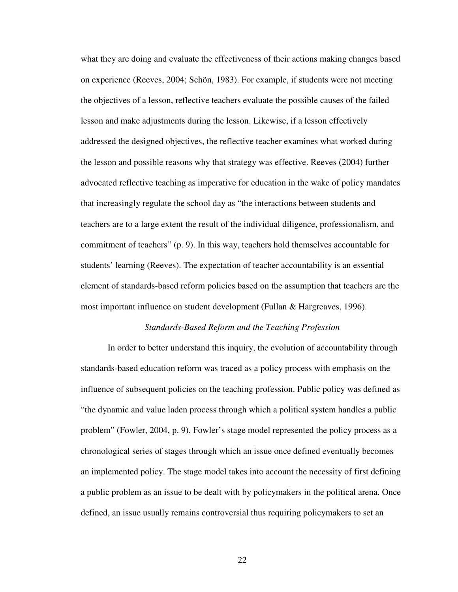what they are doing and evaluate the effectiveness of their actions making changes based on experience (Reeves, 2004; Schön, 1983). For example, if students were not meeting the objectives of a lesson, reflective teachers evaluate the possible causes of the failed lesson and make adjustments during the lesson. Likewise, if a lesson effectively addressed the designed objectives, the reflective teacher examines what worked during the lesson and possible reasons why that strategy was effective. Reeves (2004) further advocated reflective teaching as imperative for education in the wake of policy mandates that increasingly regulate the school day as "the interactions between students and teachers are to a large extent the result of the individual diligence, professionalism, and commitment of teachers" (p. 9). In this way, teachers hold themselves accountable for students' learning (Reeves). The expectation of teacher accountability is an essential element of standards-based reform policies based on the assumption that teachers are the most important influence on student development (Fullan & Hargreaves, 1996).

#### *Standards-Based Reform and the Teaching Profession*

 In order to better understand this inquiry, the evolution of accountability through standards-based education reform was traced as a policy process with emphasis on the influence of subsequent policies on the teaching profession. Public policy was defined as "the dynamic and value laden process through which a political system handles a public problem" (Fowler, 2004, p. 9). Fowler's stage model represented the policy process as a chronological series of stages through which an issue once defined eventually becomes an implemented policy. The stage model takes into account the necessity of first defining a public problem as an issue to be dealt with by policymakers in the political arena. Once defined, an issue usually remains controversial thus requiring policymakers to set an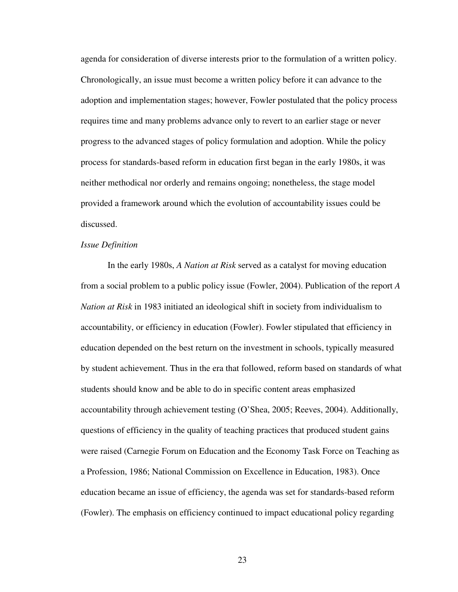agenda for consideration of diverse interests prior to the formulation of a written policy. Chronologically, an issue must become a written policy before it can advance to the adoption and implementation stages; however, Fowler postulated that the policy process requires time and many problems advance only to revert to an earlier stage or never progress to the advanced stages of policy formulation and adoption. While the policy process for standards-based reform in education first began in the early 1980s, it was neither methodical nor orderly and remains ongoing; nonetheless, the stage model provided a framework around which the evolution of accountability issues could be discussed.

#### *Issue Definition*

 In the early 1980s, *A Nation at Risk* served as a catalyst for moving education from a social problem to a public policy issue (Fowler, 2004). Publication of the report *A Nation at Risk* in 1983 initiated an ideological shift in society from individualism to accountability, or efficiency in education (Fowler). Fowler stipulated that efficiency in education depended on the best return on the investment in schools, typically measured by student achievement. Thus in the era that followed, reform based on standards of what students should know and be able to do in specific content areas emphasized accountability through achievement testing (O'Shea, 2005; Reeves, 2004). Additionally, questions of efficiency in the quality of teaching practices that produced student gains were raised (Carnegie Forum on Education and the Economy Task Force on Teaching as a Profession, 1986; National Commission on Excellence in Education, 1983). Once education became an issue of efficiency, the agenda was set for standards-based reform (Fowler). The emphasis on efficiency continued to impact educational policy regarding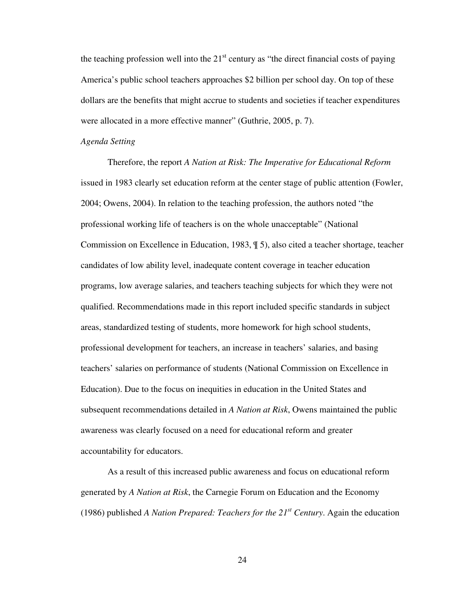the teaching profession well into the  $21<sup>st</sup>$  century as "the direct financial costs of paying America's public school teachers approaches \$2 billion per school day. On top of these dollars are the benefits that might accrue to students and societies if teacher expenditures were allocated in a more effective manner" (Guthrie, 2005, p. 7).

#### *Agenda Setting*

 Therefore, the report *A Nation at Risk: The Imperative for Educational Reform* issued in 1983 clearly set education reform at the center stage of public attention (Fowler, 2004; Owens, 2004). In relation to the teaching profession, the authors noted "the professional working life of teachers is on the whole unacceptable" (National Commission on Excellence in Education, 1983, ¶ 5), also cited a teacher shortage, teacher candidates of low ability level, inadequate content coverage in teacher education programs, low average salaries, and teachers teaching subjects for which they were not qualified. Recommendations made in this report included specific standards in subject areas, standardized testing of students, more homework for high school students, professional development for teachers, an increase in teachers' salaries, and basing teachers' salaries on performance of students (National Commission on Excellence in Education). Due to the focus on inequities in education in the United States and subsequent recommendations detailed in *A Nation at Risk*, Owens maintained the public awareness was clearly focused on a need for educational reform and greater accountability for educators.

 As a result of this increased public awareness and focus on educational reform generated by *A Nation at Risk*, the Carnegie Forum on Education and the Economy (1986) published *A Nation Prepared: Teachers for the 21st Century*. Again the education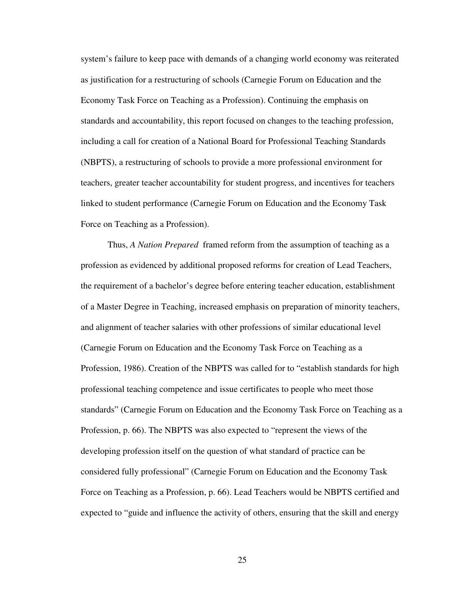system's failure to keep pace with demands of a changing world economy was reiterated as justification for a restructuring of schools (Carnegie Forum on Education and the Economy Task Force on Teaching as a Profession). Continuing the emphasis on standards and accountability, this report focused on changes to the teaching profession, including a call for creation of a National Board for Professional Teaching Standards (NBPTS), a restructuring of schools to provide a more professional environment for teachers, greater teacher accountability for student progress, and incentives for teachers linked to student performance (Carnegie Forum on Education and the Economy Task Force on Teaching as a Profession).

 Thus, *A Nation Prepared* framed reform from the assumption of teaching as a profession as evidenced by additional proposed reforms for creation of Lead Teachers, the requirement of a bachelor's degree before entering teacher education, establishment of a Master Degree in Teaching, increased emphasis on preparation of minority teachers, and alignment of teacher salaries with other professions of similar educational level (Carnegie Forum on Education and the Economy Task Force on Teaching as a Profession, 1986). Creation of the NBPTS was called for to "establish standards for high professional teaching competence and issue certificates to people who meet those standards" (Carnegie Forum on Education and the Economy Task Force on Teaching as a Profession, p. 66). The NBPTS was also expected to "represent the views of the developing profession itself on the question of what standard of practice can be considered fully professional" (Carnegie Forum on Education and the Economy Task Force on Teaching as a Profession, p. 66). Lead Teachers would be NBPTS certified and expected to "guide and influence the activity of others, ensuring that the skill and energy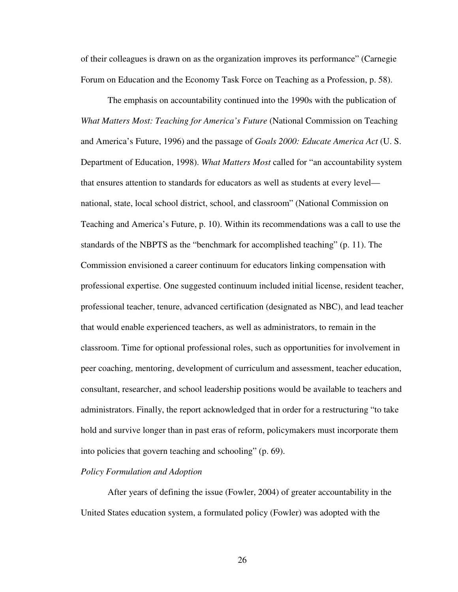of their colleagues is drawn on as the organization improves its performance" (Carnegie Forum on Education and the Economy Task Force on Teaching as a Profession, p. 58).

 The emphasis on accountability continued into the 1990s with the publication of *What Matters Most: Teaching for America's Future* (National Commission on Teaching and America's Future, 1996) and the passage of *Goals 2000: Educate America Act* (U. S. Department of Education, 1998). *What Matters Most* called for "an accountability system that ensures attention to standards for educators as well as students at every level national, state, local school district, school, and classroom" (National Commission on Teaching and America's Future, p. 10). Within its recommendations was a call to use the standards of the NBPTS as the "benchmark for accomplished teaching" (p. 11). The Commission envisioned a career continuum for educators linking compensation with professional expertise. One suggested continuum included initial license, resident teacher, professional teacher, tenure, advanced certification (designated as NBC), and lead teacher that would enable experienced teachers, as well as administrators, to remain in the classroom. Time for optional professional roles, such as opportunities for involvement in peer coaching, mentoring, development of curriculum and assessment, teacher education, consultant, researcher, and school leadership positions would be available to teachers and administrators. Finally, the report acknowledged that in order for a restructuring "to take hold and survive longer than in past eras of reform, policymakers must incorporate them into policies that govern teaching and schooling" (p. 69).

## *Policy Formulation and Adoption*

 After years of defining the issue (Fowler, 2004) of greater accountability in the United States education system, a formulated policy (Fowler) was adopted with the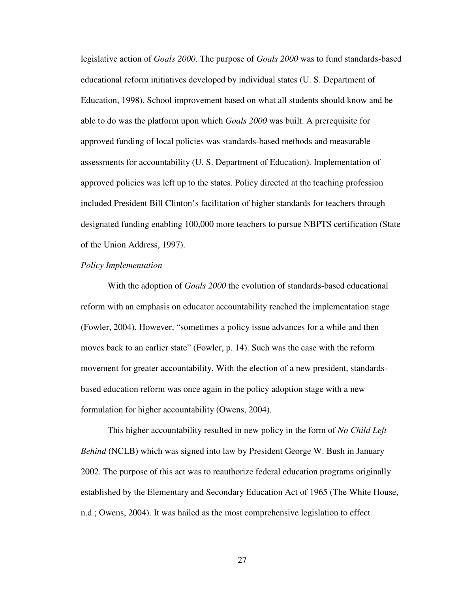legislative action of *Goals 2000*. The purpose of *Goals 2000* was to fund standards-based educational reform initiatives developed by individual states (U. S. Department of Education, 1998). School improvement based on what all students should know and be able to do was the platform upon which *Goals 2000* was built. A prerequisite for approved funding of local policies was standards-based methods and measurable assessments for accountability (U. S. Department of Education). Implementation of approved policies was left up to the states. Policy directed at the teaching profession included President Bill Clinton's facilitation of higher standards for teachers through designated funding enabling 100,000 more teachers to pursue NBPTS certification (State of the Union Address, 1997).

#### *Policy Implementation*

 With the adoption of *Goals 2000* the evolution of standards-based educational reform with an emphasis on educator accountability reached the implementation stage (Fowler, 2004). However, "sometimes a policy issue advances for a while and then moves back to an earlier state" (Fowler, p. 14). Such was the case with the reform movement for greater accountability. With the election of a new president, standardsbased education reform was once again in the policy adoption stage with a new formulation for higher accountability (Owens, 2004).

This higher accountability resulted in new policy in the form of *No Child Left Behind* (NCLB) which was signed into law by President George W. Bush in January 2002. The purpose of this act was to reauthorize federal education programs originally established by the Elementary and Secondary Education Act of 1965 (The White House, n.d.; Owens, 2004). It was hailed as the most comprehensive legislation to effect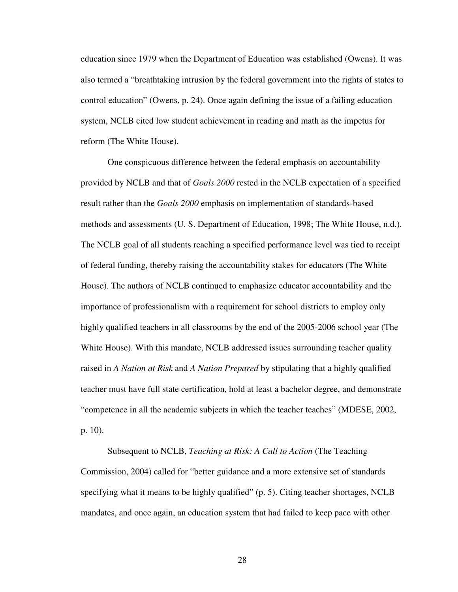education since 1979 when the Department of Education was established (Owens). It was also termed a "breathtaking intrusion by the federal government into the rights of states to control education" (Owens, p. 24). Once again defining the issue of a failing education system, NCLB cited low student achievement in reading and math as the impetus for reform (The White House).

One conspicuous difference between the federal emphasis on accountability provided by NCLB and that of *Goals 2000* rested in the NCLB expectation of a specified result rather than the *Goals 2000* emphasis on implementation of standards-based methods and assessments (U. S. Department of Education, 1998; The White House, n.d.). The NCLB goal of all students reaching a specified performance level was tied to receipt of federal funding, thereby raising the accountability stakes for educators (The White House). The authors of NCLB continued to emphasize educator accountability and the importance of professionalism with a requirement for school districts to employ only highly qualified teachers in all classrooms by the end of the 2005-2006 school year (The White House). With this mandate, NCLB addressed issues surrounding teacher quality raised in *A Nation at Risk* and *A Nation Prepared* by stipulating that a highly qualified teacher must have full state certification, hold at least a bachelor degree, and demonstrate "competence in all the academic subjects in which the teacher teaches" (MDESE, 2002, p. 10).

Subsequent to NCLB, *Teaching at Risk: A Call to Action* (The Teaching Commission, 2004) called for "better guidance and a more extensive set of standards specifying what it means to be highly qualified" (p. 5). Citing teacher shortages, NCLB mandates, and once again, an education system that had failed to keep pace with other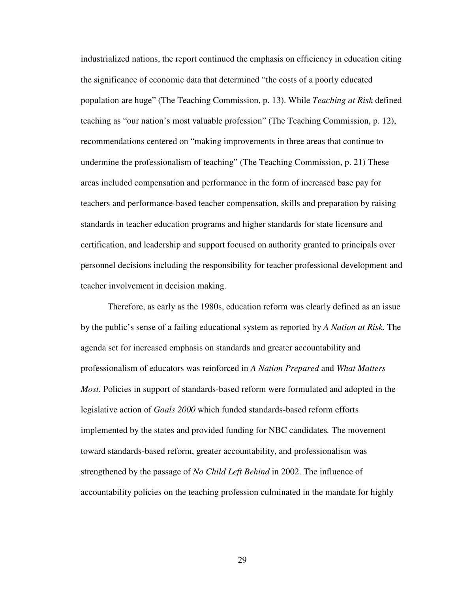industrialized nations, the report continued the emphasis on efficiency in education citing the significance of economic data that determined "the costs of a poorly educated population are huge" (The Teaching Commission, p. 13). While *Teaching at Risk* defined teaching as "our nation's most valuable profession" (The Teaching Commission, p. 12), recommendations centered on "making improvements in three areas that continue to undermine the professionalism of teaching" (The Teaching Commission, p. 21) These areas included compensation and performance in the form of increased base pay for teachers and performance-based teacher compensation, skills and preparation by raising standards in teacher education programs and higher standards for state licensure and certification, and leadership and support focused on authority granted to principals over personnel decisions including the responsibility for teacher professional development and teacher involvement in decision making.

Therefore, as early as the 1980s, education reform was clearly defined as an issue by the public's sense of a failing educational system as reported by *A Nation at Risk.* The agenda set for increased emphasis on standards and greater accountability and professionalism of educators was reinforced in *A Nation Prepared* and *What Matters Most*. Policies in support of standards-based reform were formulated and adopted in the legislative action of *Goals 2000* which funded standards-based reform efforts implemented by the states and provided funding for NBC candidates*.* The movement toward standards-based reform, greater accountability, and professionalism was strengthened by the passage of *No Child Left Behind* in 2002. The influence of accountability policies on the teaching profession culminated in the mandate for highly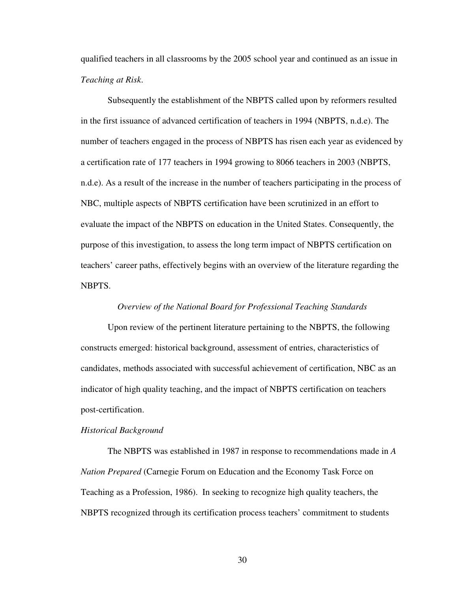qualified teachers in all classrooms by the 2005 school year and continued as an issue in *Teaching at Risk*.

Subsequently the establishment of the NBPTS called upon by reformers resulted in the first issuance of advanced certification of teachers in 1994 (NBPTS, n.d.e). The number of teachers engaged in the process of NBPTS has risen each year as evidenced by a certification rate of 177 teachers in 1994 growing to 8066 teachers in 2003 (NBPTS, n.d.e). As a result of the increase in the number of teachers participating in the process of NBC, multiple aspects of NBPTS certification have been scrutinized in an effort to evaluate the impact of the NBPTS on education in the United States. Consequently, the purpose of this investigation, to assess the long term impact of NBPTS certification on teachers' career paths, effectively begins with an overview of the literature regarding the NBPTS.

### *Overview of the National Board for Professional Teaching Standards*

 Upon review of the pertinent literature pertaining to the NBPTS, the following constructs emerged: historical background, assessment of entries, characteristics of candidates, methods associated with successful achievement of certification, NBC as an indicator of high quality teaching, and the impact of NBPTS certification on teachers post-certification.

#### *Historical Background*

The NBPTS was established in 1987 in response to recommendations made in *A Nation Prepared* (Carnegie Forum on Education and the Economy Task Force on Teaching as a Profession, 1986). In seeking to recognize high quality teachers, the NBPTS recognized through its certification process teachers' commitment to students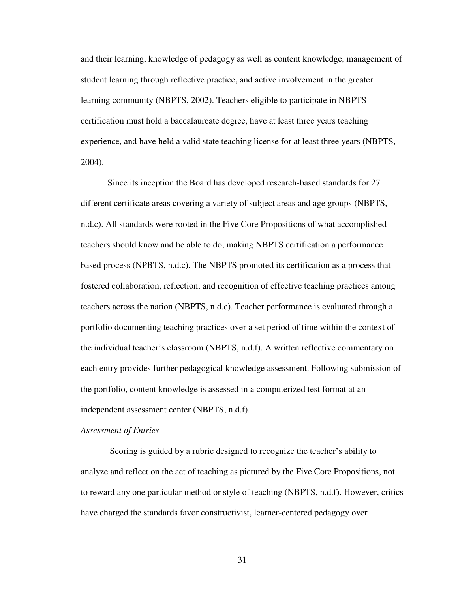and their learning, knowledge of pedagogy as well as content knowledge, management of student learning through reflective practice, and active involvement in the greater learning community (NBPTS, 2002). Teachers eligible to participate in NBPTS certification must hold a baccalaureate degree, have at least three years teaching experience, and have held a valid state teaching license for at least three years (NBPTS, 2004).

 Since its inception the Board has developed research-based standards for 27 different certificate areas covering a variety of subject areas and age groups (NBPTS, n.d.c). All standards were rooted in the Five Core Propositions of what accomplished teachers should know and be able to do, making NBPTS certification a performance based process (NPBTS, n.d.c). The NBPTS promoted its certification as a process that fostered collaboration, reflection, and recognition of effective teaching practices among teachers across the nation (NBPTS, n.d.c). Teacher performance is evaluated through a portfolio documenting teaching practices over a set period of time within the context of the individual teacher's classroom (NBPTS, n.d.f). A written reflective commentary on each entry provides further pedagogical knowledge assessment. Following submission of the portfolio, content knowledge is assessed in a computerized test format at an independent assessment center (NBPTS, n.d.f).

#### *Assessment of Entries*

Scoring is guided by a rubric designed to recognize the teacher's ability to analyze and reflect on the act of teaching as pictured by the Five Core Propositions, not to reward any one particular method or style of teaching (NBPTS, n.d.f). However, critics have charged the standards favor constructivist, learner-centered pedagogy over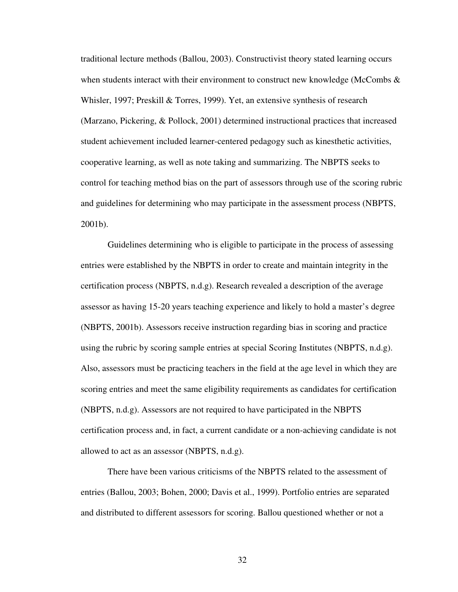traditional lecture methods (Ballou, 2003). Constructivist theory stated learning occurs when students interact with their environment to construct new knowledge (McCombs  $\&$ Whisler, 1997; Preskill & Torres, 1999). Yet, an extensive synthesis of research (Marzano, Pickering, & Pollock, 2001) determined instructional practices that increased student achievement included learner-centered pedagogy such as kinesthetic activities, cooperative learning, as well as note taking and summarizing. The NBPTS seeks to control for teaching method bias on the part of assessors through use of the scoring rubric and guidelines for determining who may participate in the assessment process (NBPTS, 2001b).

Guidelines determining who is eligible to participate in the process of assessing entries were established by the NBPTS in order to create and maintain integrity in the certification process (NBPTS, n.d.g). Research revealed a description of the average assessor as having 15-20 years teaching experience and likely to hold a master's degree (NBPTS, 2001b). Assessors receive instruction regarding bias in scoring and practice using the rubric by scoring sample entries at special Scoring Institutes (NBPTS, n.d.g). Also, assessors must be practicing teachers in the field at the age level in which they are scoring entries and meet the same eligibility requirements as candidates for certification (NBPTS, n.d.g). Assessors are not required to have participated in the NBPTS certification process and, in fact, a current candidate or a non-achieving candidate is not allowed to act as an assessor (NBPTS, n.d.g).

 There have been various criticisms of the NBPTS related to the assessment of entries (Ballou, 2003; Bohen, 2000; Davis et al., 1999). Portfolio entries are separated and distributed to different assessors for scoring. Ballou questioned whether or not a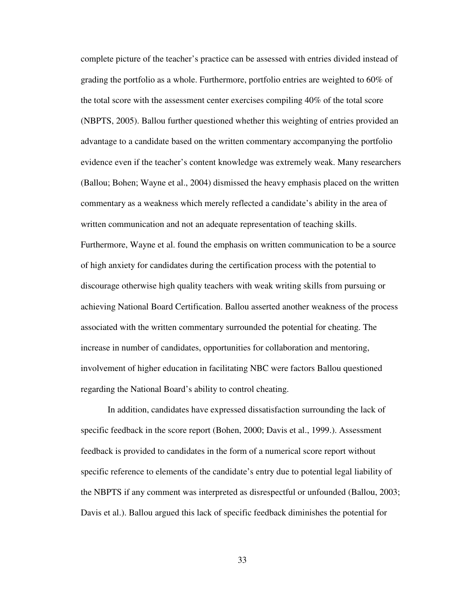complete picture of the teacher's practice can be assessed with entries divided instead of grading the portfolio as a whole. Furthermore, portfolio entries are weighted to 60% of the total score with the assessment center exercises compiling 40% of the total score (NBPTS, 2005). Ballou further questioned whether this weighting of entries provided an advantage to a candidate based on the written commentary accompanying the portfolio evidence even if the teacher's content knowledge was extremely weak. Many researchers (Ballou; Bohen; Wayne et al., 2004) dismissed the heavy emphasis placed on the written commentary as a weakness which merely reflected a candidate's ability in the area of written communication and not an adequate representation of teaching skills. Furthermore, Wayne et al. found the emphasis on written communication to be a source of high anxiety for candidates during the certification process with the potential to discourage otherwise high quality teachers with weak writing skills from pursuing or achieving National Board Certification. Ballou asserted another weakness of the process associated with the written commentary surrounded the potential for cheating. The increase in number of candidates, opportunities for collaboration and mentoring, involvement of higher education in facilitating NBC were factors Ballou questioned regarding the National Board's ability to control cheating.

 In addition, candidates have expressed dissatisfaction surrounding the lack of specific feedback in the score report (Bohen, 2000; Davis et al., 1999.). Assessment feedback is provided to candidates in the form of a numerical score report without specific reference to elements of the candidate's entry due to potential legal liability of the NBPTS if any comment was interpreted as disrespectful or unfounded (Ballou, 2003; Davis et al.). Ballou argued this lack of specific feedback diminishes the potential for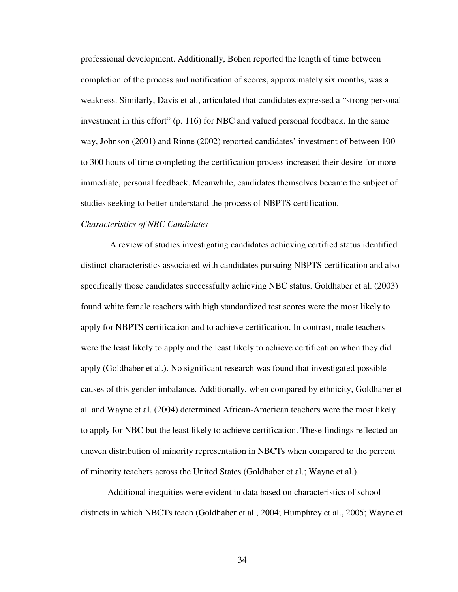professional development. Additionally, Bohen reported the length of time between completion of the process and notification of scores, approximately six months, was a weakness. Similarly, Davis et al., articulated that candidates expressed a "strong personal investment in this effort" (p. 116) for NBC and valued personal feedback. In the same way, Johnson (2001) and Rinne (2002) reported candidates' investment of between 100 to 300 hours of time completing the certification process increased their desire for more immediate, personal feedback. Meanwhile, candidates themselves became the subject of studies seeking to better understand the process of NBPTS certification.

## *Characteristics of NBC Candidates*

A review of studies investigating candidates achieving certified status identified distinct characteristics associated with candidates pursuing NBPTS certification and also specifically those candidates successfully achieving NBC status. Goldhaber et al. (2003) found white female teachers with high standardized test scores were the most likely to apply for NBPTS certification and to achieve certification. In contrast, male teachers were the least likely to apply and the least likely to achieve certification when they did apply (Goldhaber et al.). No significant research was found that investigated possible causes of this gender imbalance. Additionally, when compared by ethnicity, Goldhaber et al. and Wayne et al. (2004) determined African-American teachers were the most likely to apply for NBC but the least likely to achieve certification. These findings reflected an uneven distribution of minority representation in NBCTs when compared to the percent of minority teachers across the United States (Goldhaber et al.; Wayne et al.).

 Additional inequities were evident in data based on characteristics of school districts in which NBCTs teach (Goldhaber et al., 2004; Humphrey et al., 2005; Wayne et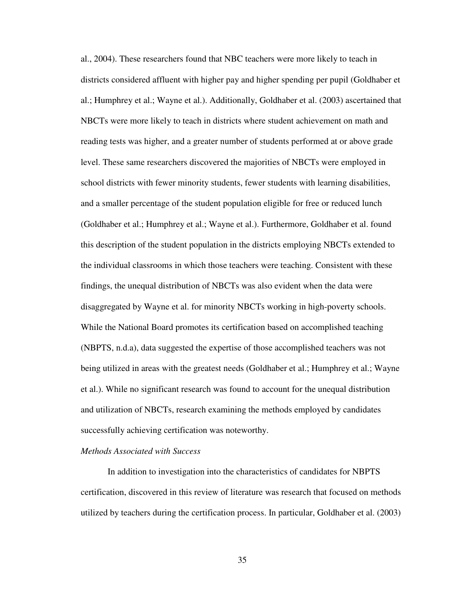al., 2004). These researchers found that NBC teachers were more likely to teach in districts considered affluent with higher pay and higher spending per pupil (Goldhaber et al.; Humphrey et al.; Wayne et al.). Additionally, Goldhaber et al. (2003) ascertained that NBCTs were more likely to teach in districts where student achievement on math and reading tests was higher, and a greater number of students performed at or above grade level. These same researchers discovered the majorities of NBCTs were employed in school districts with fewer minority students, fewer students with learning disabilities, and a smaller percentage of the student population eligible for free or reduced lunch (Goldhaber et al.; Humphrey et al.; Wayne et al.). Furthermore, Goldhaber et al. found this description of the student population in the districts employing NBCTs extended to the individual classrooms in which those teachers were teaching. Consistent with these findings, the unequal distribution of NBCTs was also evident when the data were disaggregated by Wayne et al. for minority NBCTs working in high-poverty schools. While the National Board promotes its certification based on accomplished teaching (NBPTS, n.d.a), data suggested the expertise of those accomplished teachers was not being utilized in areas with the greatest needs (Goldhaber et al.; Humphrey et al.; Wayne et al.). While no significant research was found to account for the unequal distribution and utilization of NBCTs, research examining the methods employed by candidates successfully achieving certification was noteworthy.

## *Methods Associated with Success*

In addition to investigation into the characteristics of candidates for NBPTS certification, discovered in this review of literature was research that focused on methods utilized by teachers during the certification process. In particular, Goldhaber et al. (2003)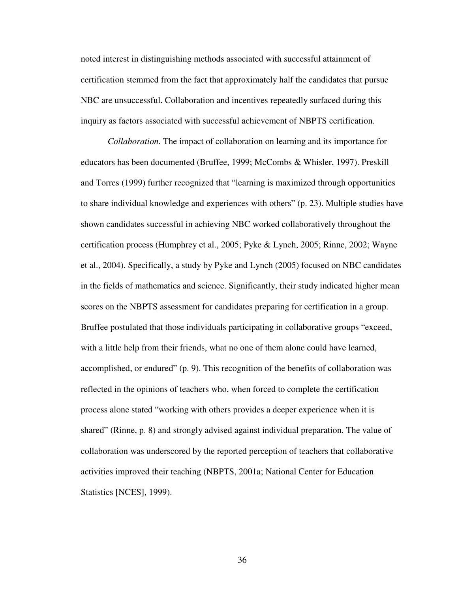noted interest in distinguishing methods associated with successful attainment of certification stemmed from the fact that approximately half the candidates that pursue NBC are unsuccessful. Collaboration and incentives repeatedly surfaced during this inquiry as factors associated with successful achievement of NBPTS certification.

 *Collaboration.* The impact of collaboration on learning and its importance for educators has been documented (Bruffee, 1999; McCombs & Whisler, 1997). Preskill and Torres (1999) further recognized that "learning is maximized through opportunities to share individual knowledge and experiences with others" (p. 23). Multiple studies have shown candidates successful in achieving NBC worked collaboratively throughout the certification process (Humphrey et al., 2005; Pyke & Lynch, 2005; Rinne, 2002; Wayne et al., 2004). Specifically, a study by Pyke and Lynch (2005) focused on NBC candidates in the fields of mathematics and science. Significantly, their study indicated higher mean scores on the NBPTS assessment for candidates preparing for certification in a group. Bruffee postulated that those individuals participating in collaborative groups "exceed, with a little help from their friends, what no one of them alone could have learned, accomplished, or endured" (p. 9). This recognition of the benefits of collaboration was reflected in the opinions of teachers who, when forced to complete the certification process alone stated "working with others provides a deeper experience when it is shared" (Rinne, p. 8) and strongly advised against individual preparation. The value of collaboration was underscored by the reported perception of teachers that collaborative activities improved their teaching (NBPTS, 2001a; National Center for Education Statistics [NCES], 1999).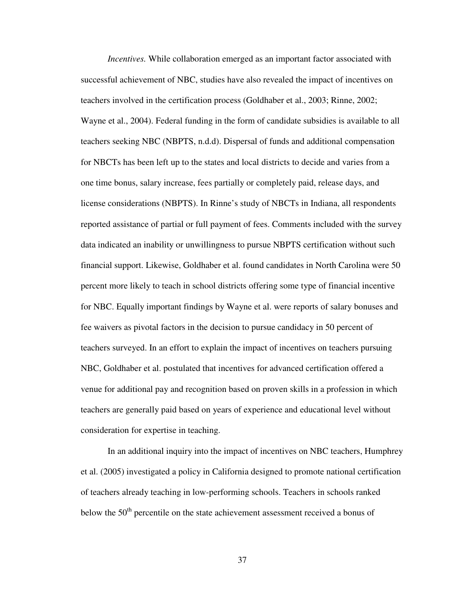*Incentives.* While collaboration emerged as an important factor associated with successful achievement of NBC, studies have also revealed the impact of incentives on teachers involved in the certification process (Goldhaber et al., 2003; Rinne, 2002; Wayne et al., 2004). Federal funding in the form of candidate subsidies is available to all teachers seeking NBC (NBPTS, n.d.d). Dispersal of funds and additional compensation for NBCTs has been left up to the states and local districts to decide and varies from a one time bonus, salary increase, fees partially or completely paid, release days, and license considerations (NBPTS). In Rinne's study of NBCTs in Indiana, all respondents reported assistance of partial or full payment of fees. Comments included with the survey data indicated an inability or unwillingness to pursue NBPTS certification without such financial support. Likewise, Goldhaber et al. found candidates in North Carolina were 50 percent more likely to teach in school districts offering some type of financial incentive for NBC. Equally important findings by Wayne et al. were reports of salary bonuses and fee waivers as pivotal factors in the decision to pursue candidacy in 50 percent of teachers surveyed. In an effort to explain the impact of incentives on teachers pursuing NBC, Goldhaber et al. postulated that incentives for advanced certification offered a venue for additional pay and recognition based on proven skills in a profession in which teachers are generally paid based on years of experience and educational level without consideration for expertise in teaching.

In an additional inquiry into the impact of incentives on NBC teachers, Humphrey et al. (2005) investigated a policy in California designed to promote national certification of teachers already teaching in low-performing schools. Teachers in schools ranked below the 50<sup>th</sup> percentile on the state achievement assessment received a bonus of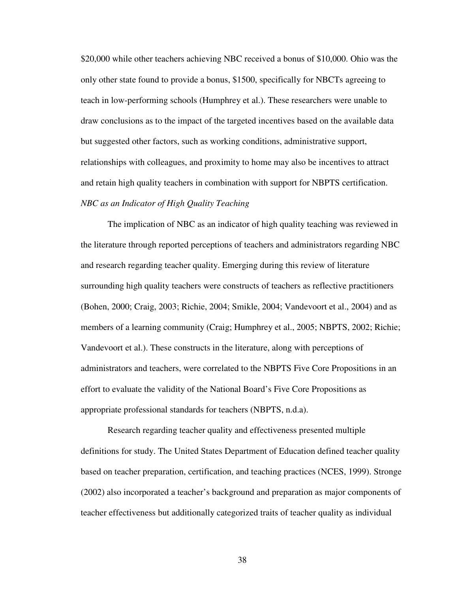\$20,000 while other teachers achieving NBC received a bonus of \$10,000. Ohio was the only other state found to provide a bonus, \$1500, specifically for NBCTs agreeing to teach in low-performing schools (Humphrey et al.). These researchers were unable to draw conclusions as to the impact of the targeted incentives based on the available data but suggested other factors, such as working conditions, administrative support, relationships with colleagues, and proximity to home may also be incentives to attract and retain high quality teachers in combination with support for NBPTS certification. *NBC as an Indicator of High Quality Teaching* 

 The implication of NBC as an indicator of high quality teaching was reviewed in the literature through reported perceptions of teachers and administrators regarding NBC and research regarding teacher quality. Emerging during this review of literature surrounding high quality teachers were constructs of teachers as reflective practitioners (Bohen, 2000; Craig, 2003; Richie, 2004; Smikle, 2004; Vandevoort et al., 2004) and as members of a learning community (Craig; Humphrey et al., 2005; NBPTS, 2002; Richie; Vandevoort et al.). These constructs in the literature, along with perceptions of administrators and teachers, were correlated to the NBPTS Five Core Propositions in an effort to evaluate the validity of the National Board's Five Core Propositions as appropriate professional standards for teachers (NBPTS, n.d.a).

 Research regarding teacher quality and effectiveness presented multiple definitions for study. The United States Department of Education defined teacher quality based on teacher preparation, certification, and teaching practices (NCES, 1999). Stronge (2002) also incorporated a teacher's background and preparation as major components of teacher effectiveness but additionally categorized traits of teacher quality as individual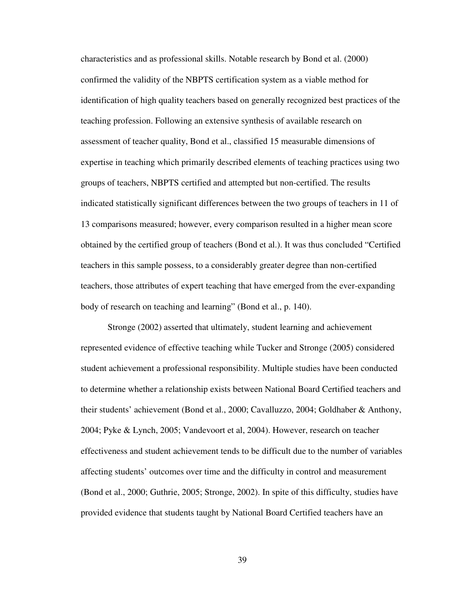characteristics and as professional skills. Notable research by Bond et al. (2000) confirmed the validity of the NBPTS certification system as a viable method for identification of high quality teachers based on generally recognized best practices of the teaching profession. Following an extensive synthesis of available research on assessment of teacher quality, Bond et al., classified 15 measurable dimensions of expertise in teaching which primarily described elements of teaching practices using two groups of teachers, NBPTS certified and attempted but non-certified. The results indicated statistically significant differences between the two groups of teachers in 11 of 13 comparisons measured; however, every comparison resulted in a higher mean score obtained by the certified group of teachers (Bond et al.). It was thus concluded "Certified teachers in this sample possess, to a considerably greater degree than non-certified teachers, those attributes of expert teaching that have emerged from the ever-expanding body of research on teaching and learning" (Bond et al., p. 140).

 Stronge (2002) asserted that ultimately, student learning and achievement represented evidence of effective teaching while Tucker and Stronge (2005) considered student achievement a professional responsibility. Multiple studies have been conducted to determine whether a relationship exists between National Board Certified teachers and their students' achievement (Bond et al., 2000; Cavalluzzo, 2004; Goldhaber & Anthony, 2004; Pyke & Lynch, 2005; Vandevoort et al, 2004). However, research on teacher effectiveness and student achievement tends to be difficult due to the number of variables affecting students' outcomes over time and the difficulty in control and measurement (Bond et al., 2000; Guthrie, 2005; Stronge, 2002). In spite of this difficulty, studies have provided evidence that students taught by National Board Certified teachers have an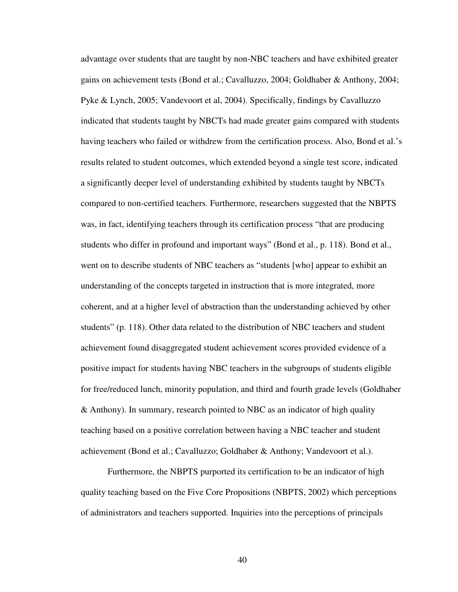advantage over students that are taught by non-NBC teachers and have exhibited greater gains on achievement tests (Bond et al.; Cavalluzzo, 2004; Goldhaber & Anthony, 2004; Pyke & Lynch, 2005; Vandevoort et al, 2004). Specifically, findings by Cavalluzzo indicated that students taught by NBCTs had made greater gains compared with students having teachers who failed or withdrew from the certification process. Also, Bond et al.'s results related to student outcomes, which extended beyond a single test score, indicated a significantly deeper level of understanding exhibited by students taught by NBCTs compared to non-certified teachers. Furthermore, researchers suggested that the NBPTS was, in fact, identifying teachers through its certification process "that are producing students who differ in profound and important ways" (Bond et al., p. 118). Bond et al., went on to describe students of NBC teachers as "students [who] appear to exhibit an understanding of the concepts targeted in instruction that is more integrated, more coherent, and at a higher level of abstraction than the understanding achieved by other students" (p. 118). Other data related to the distribution of NBC teachers and student achievement found disaggregated student achievement scores provided evidence of a positive impact for students having NBC teachers in the subgroups of students eligible for free/reduced lunch, minority population, and third and fourth grade levels (Goldhaber & Anthony). In summary, research pointed to NBC as an indicator of high quality teaching based on a positive correlation between having a NBC teacher and student achievement (Bond et al.; Cavalluzzo; Goldhaber & Anthony; Vandevoort et al.).

 Furthermore, the NBPTS purported its certification to be an indicator of high quality teaching based on the Five Core Propositions (NBPTS, 2002) which perceptions of administrators and teachers supported. Inquiries into the perceptions of principals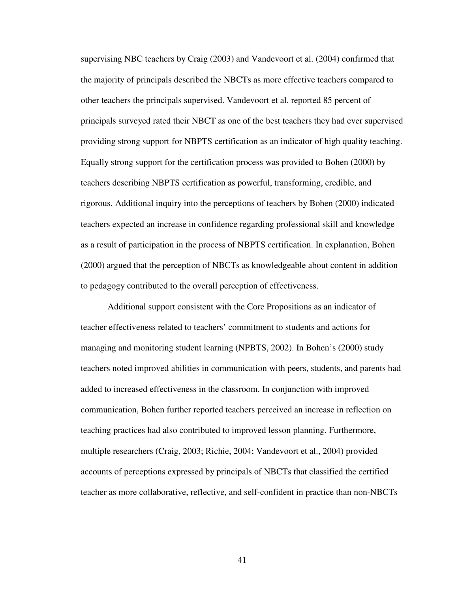supervising NBC teachers by Craig (2003) and Vandevoort et al. (2004) confirmed that the majority of principals described the NBCTs as more effective teachers compared to other teachers the principals supervised. Vandevoort et al. reported 85 percent of principals surveyed rated their NBCT as one of the best teachers they had ever supervised providing strong support for NBPTS certification as an indicator of high quality teaching. Equally strong support for the certification process was provided to Bohen (2000) by teachers describing NBPTS certification as powerful, transforming, credible, and rigorous. Additional inquiry into the perceptions of teachers by Bohen (2000) indicated teachers expected an increase in confidence regarding professional skill and knowledge as a result of participation in the process of NBPTS certification. In explanation, Bohen (2000) argued that the perception of NBCTs as knowledgeable about content in addition to pedagogy contributed to the overall perception of effectiveness.

Additional support consistent with the Core Propositions as an indicator of teacher effectiveness related to teachers' commitment to students and actions for managing and monitoring student learning (NPBTS, 2002). In Bohen's (2000) study teachers noted improved abilities in communication with peers, students, and parents had added to increased effectiveness in the classroom. In conjunction with improved communication, Bohen further reported teachers perceived an increase in reflection on teaching practices had also contributed to improved lesson planning. Furthermore, multiple researchers (Craig, 2003; Richie, 2004; Vandevoort et al., 2004) provided accounts of perceptions expressed by principals of NBCTs that classified the certified teacher as more collaborative, reflective, and self-confident in practice than non-NBCTs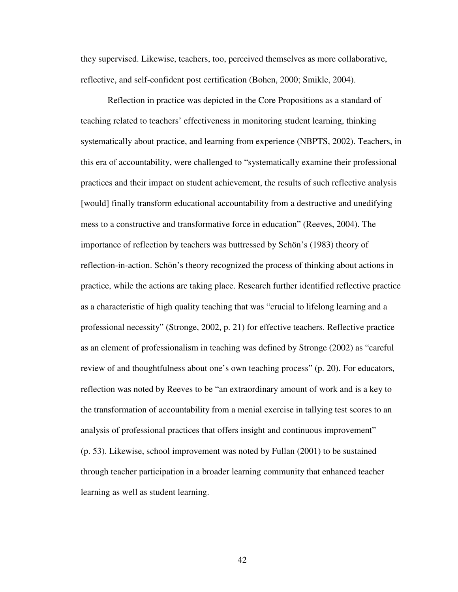they supervised. Likewise, teachers, too, perceived themselves as more collaborative, reflective, and self-confident post certification (Bohen, 2000; Smikle, 2004).

 Reflection in practice was depicted in the Core Propositions as a standard of teaching related to teachers' effectiveness in monitoring student learning, thinking systematically about practice, and learning from experience (NBPTS, 2002). Teachers, in this era of accountability, were challenged to "systematically examine their professional practices and their impact on student achievement, the results of such reflective analysis [would] finally transform educational accountability from a destructive and unedifying mess to a constructive and transformative force in education" (Reeves, 2004). The importance of reflection by teachers was buttressed by Schön's (1983) theory of reflection-in-action. Schön's theory recognized the process of thinking about actions in practice, while the actions are taking place. Research further identified reflective practice as a characteristic of high quality teaching that was "crucial to lifelong learning and a professional necessity" (Stronge, 2002, p. 21) for effective teachers. Reflective practice as an element of professionalism in teaching was defined by Stronge (2002) as "careful review of and thoughtfulness about one's own teaching process" (p. 20). For educators, reflection was noted by Reeves to be "an extraordinary amount of work and is a key to the transformation of accountability from a menial exercise in tallying test scores to an analysis of professional practices that offers insight and continuous improvement" (p. 53). Likewise, school improvement was noted by Fullan (2001) to be sustained through teacher participation in a broader learning community that enhanced teacher learning as well as student learning.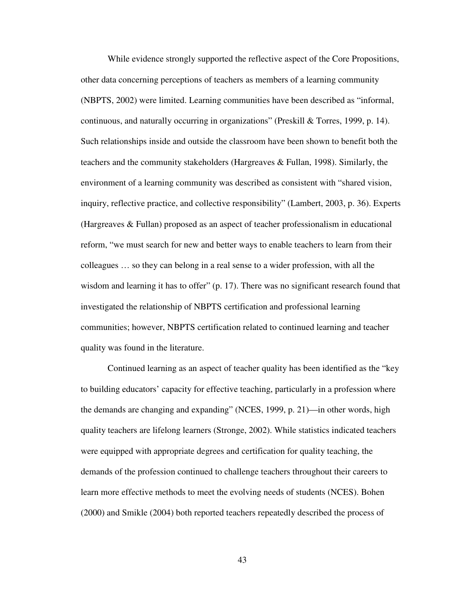While evidence strongly supported the reflective aspect of the Core Propositions, other data concerning perceptions of teachers as members of a learning community (NBPTS, 2002) were limited. Learning communities have been described as "informal, continuous, and naturally occurring in organizations" (Preskill & Torres, 1999, p. 14). Such relationships inside and outside the classroom have been shown to benefit both the teachers and the community stakeholders (Hargreaves & Fullan, 1998). Similarly, the environment of a learning community was described as consistent with "shared vision, inquiry, reflective practice, and collective responsibility" (Lambert, 2003, p. 36). Experts (Hargreaves & Fullan) proposed as an aspect of teacher professionalism in educational reform, "we must search for new and better ways to enable teachers to learn from their colleagues … so they can belong in a real sense to a wider profession, with all the wisdom and learning it has to offer" (p. 17). There was no significant research found that investigated the relationship of NBPTS certification and professional learning communities; however, NBPTS certification related to continued learning and teacher quality was found in the literature.

 Continued learning as an aspect of teacher quality has been identified as the "key to building educators' capacity for effective teaching, particularly in a profession where the demands are changing and expanding" (NCES, 1999, p. 21)—in other words, high quality teachers are lifelong learners (Stronge, 2002). While statistics indicated teachers were equipped with appropriate degrees and certification for quality teaching, the demands of the profession continued to challenge teachers throughout their careers to learn more effective methods to meet the evolving needs of students (NCES). Bohen (2000) and Smikle (2004) both reported teachers repeatedly described the process of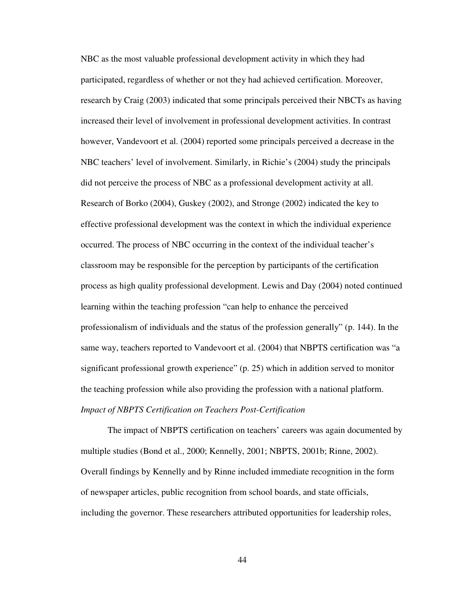NBC as the most valuable professional development activity in which they had participated, regardless of whether or not they had achieved certification. Moreover, research by Craig (2003) indicated that some principals perceived their NBCTs as having increased their level of involvement in professional development activities. In contrast however, Vandevoort et al. (2004) reported some principals perceived a decrease in the NBC teachers' level of involvement. Similarly, in Richie's (2004) study the principals did not perceive the process of NBC as a professional development activity at all. Research of Borko (2004), Guskey (2002), and Stronge (2002) indicated the key to effective professional development was the context in which the individual experience occurred. The process of NBC occurring in the context of the individual teacher's classroom may be responsible for the perception by participants of the certification process as high quality professional development. Lewis and Day (2004) noted continued learning within the teaching profession "can help to enhance the perceived professionalism of individuals and the status of the profession generally" (p. 144). In the same way, teachers reported to Vandevoort et al. (2004) that NBPTS certification was "a significant professional growth experience" (p. 25) which in addition served to monitor the teaching profession while also providing the profession with a national platform. *Impact of NBPTS Certification on Teachers Post-Certification* 

 The impact of NBPTS certification on teachers' careers was again documented by multiple studies (Bond et al., 2000; Kennelly, 2001; NBPTS, 2001b; Rinne, 2002). Overall findings by Kennelly and by Rinne included immediate recognition in the form of newspaper articles, public recognition from school boards, and state officials, including the governor. These researchers attributed opportunities for leadership roles,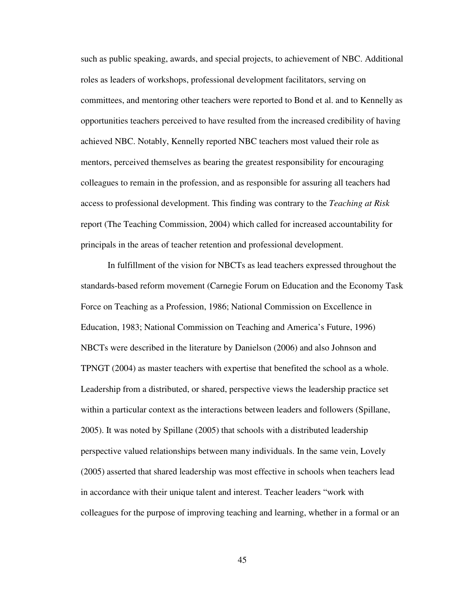such as public speaking, awards, and special projects, to achievement of NBC. Additional roles as leaders of workshops, professional development facilitators, serving on committees, and mentoring other teachers were reported to Bond et al. and to Kennelly as opportunities teachers perceived to have resulted from the increased credibility of having achieved NBC. Notably, Kennelly reported NBC teachers most valued their role as mentors, perceived themselves as bearing the greatest responsibility for encouraging colleagues to remain in the profession, and as responsible for assuring all teachers had access to professional development. This finding was contrary to the *Teaching at Risk* report (The Teaching Commission, 2004) which called for increased accountability for principals in the areas of teacher retention and professional development.

 In fulfillment of the vision for NBCTs as lead teachers expressed throughout the standards-based reform movement (Carnegie Forum on Education and the Economy Task Force on Teaching as a Profession, 1986; National Commission on Excellence in Education, 1983; National Commission on Teaching and America's Future, 1996) NBCTs were described in the literature by Danielson (2006) and also Johnson and TPNGT (2004) as master teachers with expertise that benefited the school as a whole. Leadership from a distributed, or shared, perspective views the leadership practice set within a particular context as the interactions between leaders and followers (Spillane, 2005). It was noted by Spillane (2005) that schools with a distributed leadership perspective valued relationships between many individuals. In the same vein, Lovely (2005) asserted that shared leadership was most effective in schools when teachers lead in accordance with their unique talent and interest. Teacher leaders "work with colleagues for the purpose of improving teaching and learning, whether in a formal or an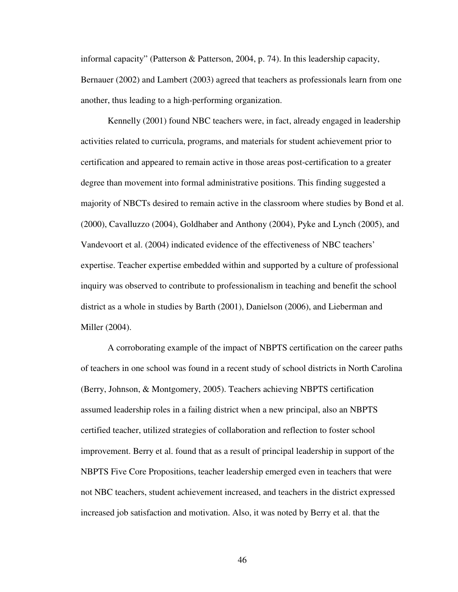informal capacity" (Patterson & Patterson, 2004, p. 74). In this leadership capacity, Bernauer (2002) and Lambert (2003) agreed that teachers as professionals learn from one another, thus leading to a high-performing organization.

Kennelly (2001) found NBC teachers were, in fact, already engaged in leadership activities related to curricula, programs, and materials for student achievement prior to certification and appeared to remain active in those areas post-certification to a greater degree than movement into formal administrative positions. This finding suggested a majority of NBCTs desired to remain active in the classroom where studies by Bond et al. (2000), Cavalluzzo (2004), Goldhaber and Anthony (2004), Pyke and Lynch (2005), and Vandevoort et al. (2004) indicated evidence of the effectiveness of NBC teachers' expertise. Teacher expertise embedded within and supported by a culture of professional inquiry was observed to contribute to professionalism in teaching and benefit the school district as a whole in studies by Barth (2001), Danielson (2006), and Lieberman and Miller (2004).

A corroborating example of the impact of NBPTS certification on the career paths of teachers in one school was found in a recent study of school districts in North Carolina (Berry, Johnson, & Montgomery, 2005). Teachers achieving NBPTS certification assumed leadership roles in a failing district when a new principal, also an NBPTS certified teacher, utilized strategies of collaboration and reflection to foster school improvement. Berry et al. found that as a result of principal leadership in support of the NBPTS Five Core Propositions, teacher leadership emerged even in teachers that were not NBC teachers, student achievement increased, and teachers in the district expressed increased job satisfaction and motivation. Also, it was noted by Berry et al. that the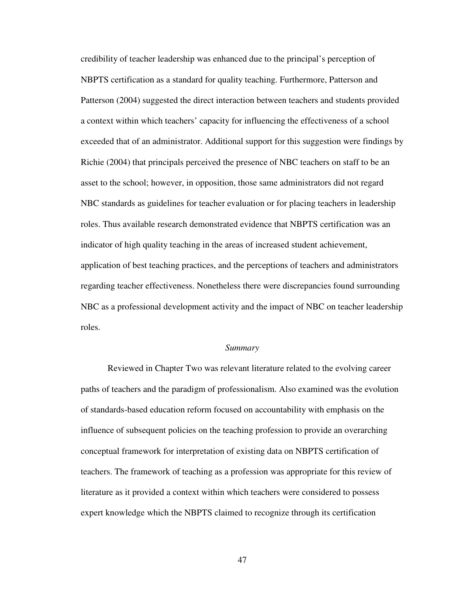credibility of teacher leadership was enhanced due to the principal's perception of NBPTS certification as a standard for quality teaching. Furthermore, Patterson and Patterson (2004) suggested the direct interaction between teachers and students provided a context within which teachers' capacity for influencing the effectiveness of a school exceeded that of an administrator. Additional support for this suggestion were findings by Richie (2004) that principals perceived the presence of NBC teachers on staff to be an asset to the school; however, in opposition, those same administrators did not regard NBC standards as guidelines for teacher evaluation or for placing teachers in leadership roles. Thus available research demonstrated evidence that NBPTS certification was an indicator of high quality teaching in the areas of increased student achievement, application of best teaching practices, and the perceptions of teachers and administrators regarding teacher effectiveness. Nonetheless there were discrepancies found surrounding NBC as a professional development activity and the impact of NBC on teacher leadership roles.

#### *Summary*

 Reviewed in Chapter Two was relevant literature related to the evolving career paths of teachers and the paradigm of professionalism. Also examined was the evolution of standards-based education reform focused on accountability with emphasis on the influence of subsequent policies on the teaching profession to provide an overarching conceptual framework for interpretation of existing data on NBPTS certification of teachers. The framework of teaching as a profession was appropriate for this review of literature as it provided a context within which teachers were considered to possess expert knowledge which the NBPTS claimed to recognize through its certification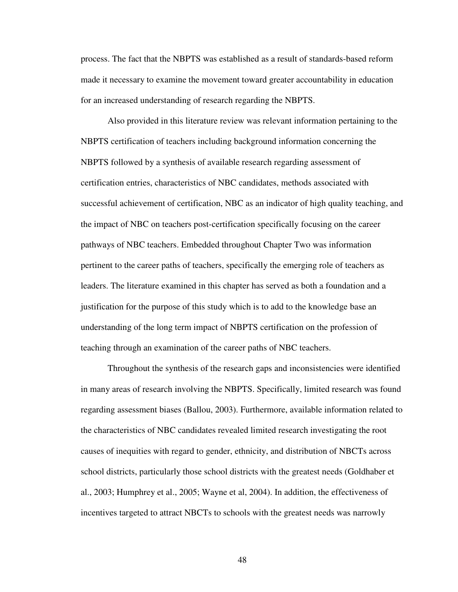process. The fact that the NBPTS was established as a result of standards-based reform made it necessary to examine the movement toward greater accountability in education for an increased understanding of research regarding the NBPTS.

 Also provided in this literature review was relevant information pertaining to the NBPTS certification of teachers including background information concerning the NBPTS followed by a synthesis of available research regarding assessment of certification entries, characteristics of NBC candidates, methods associated with successful achievement of certification, NBC as an indicator of high quality teaching, and the impact of NBC on teachers post-certification specifically focusing on the career pathways of NBC teachers. Embedded throughout Chapter Two was information pertinent to the career paths of teachers, specifically the emerging role of teachers as leaders. The literature examined in this chapter has served as both a foundation and a justification for the purpose of this study which is to add to the knowledge base an understanding of the long term impact of NBPTS certification on the profession of teaching through an examination of the career paths of NBC teachers.

Throughout the synthesis of the research gaps and inconsistencies were identified in many areas of research involving the NBPTS. Specifically, limited research was found regarding assessment biases (Ballou, 2003). Furthermore, available information related to the characteristics of NBC candidates revealed limited research investigating the root causes of inequities with regard to gender, ethnicity, and distribution of NBCTs across school districts, particularly those school districts with the greatest needs (Goldhaber et al., 2003; Humphrey et al., 2005; Wayne et al, 2004). In addition, the effectiveness of incentives targeted to attract NBCTs to schools with the greatest needs was narrowly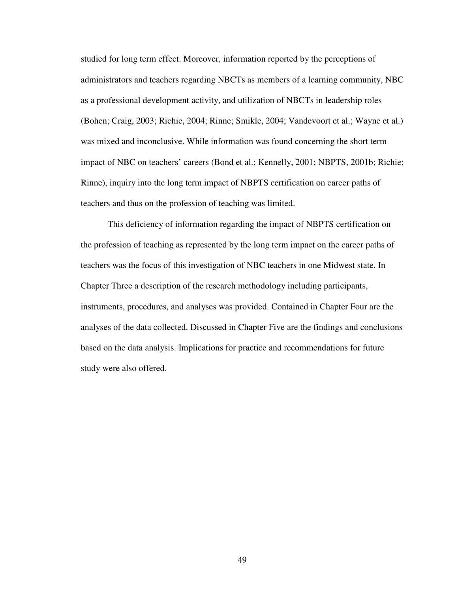studied for long term effect. Moreover, information reported by the perceptions of administrators and teachers regarding NBCTs as members of a learning community, NBC as a professional development activity, and utilization of NBCTs in leadership roles (Bohen; Craig, 2003; Richie, 2004; Rinne; Smikle, 2004; Vandevoort et al.; Wayne et al.) was mixed and inconclusive. While information was found concerning the short term impact of NBC on teachers' careers (Bond et al.; Kennelly, 2001; NBPTS, 2001b; Richie; Rinne), inquiry into the long term impact of NBPTS certification on career paths of teachers and thus on the profession of teaching was limited.

 This deficiency of information regarding the impact of NBPTS certification on the profession of teaching as represented by the long term impact on the career paths of teachers was the focus of this investigation of NBC teachers in one Midwest state. In Chapter Three a description of the research methodology including participants, instruments, procedures, and analyses was provided. Contained in Chapter Four are the analyses of the data collected. Discussed in Chapter Five are the findings and conclusions based on the data analysis. Implications for practice and recommendations for future study were also offered.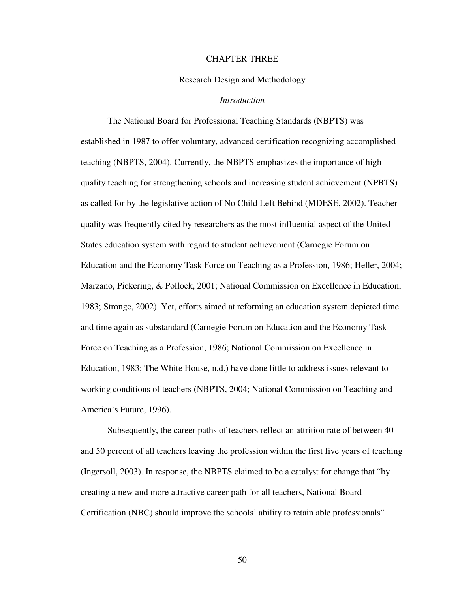## CHAPTER THREE

## Research Design and Methodology

## *Introduction*

 The National Board for Professional Teaching Standards (NBPTS) was established in 1987 to offer voluntary, advanced certification recognizing accomplished teaching (NBPTS, 2004). Currently, the NBPTS emphasizes the importance of high quality teaching for strengthening schools and increasing student achievement (NPBTS) as called for by the legislative action of No Child Left Behind (MDESE, 2002). Teacher quality was frequently cited by researchers as the most influential aspect of the United States education system with regard to student achievement (Carnegie Forum on Education and the Economy Task Force on Teaching as a Profession, 1986; Heller, 2004; Marzano, Pickering, & Pollock, 2001; National Commission on Excellence in Education, 1983; Stronge, 2002). Yet, efforts aimed at reforming an education system depicted time and time again as substandard (Carnegie Forum on Education and the Economy Task Force on Teaching as a Profession, 1986; National Commission on Excellence in Education, 1983; The White House, n.d.) have done little to address issues relevant to working conditions of teachers (NBPTS, 2004; National Commission on Teaching and America's Future, 1996).

Subsequently, the career paths of teachers reflect an attrition rate of between 40 and 50 percent of all teachers leaving the profession within the first five years of teaching (Ingersoll, 2003). In response, the NBPTS claimed to be a catalyst for change that "by creating a new and more attractive career path for all teachers, National Board Certification (NBC) should improve the schools' ability to retain able professionals"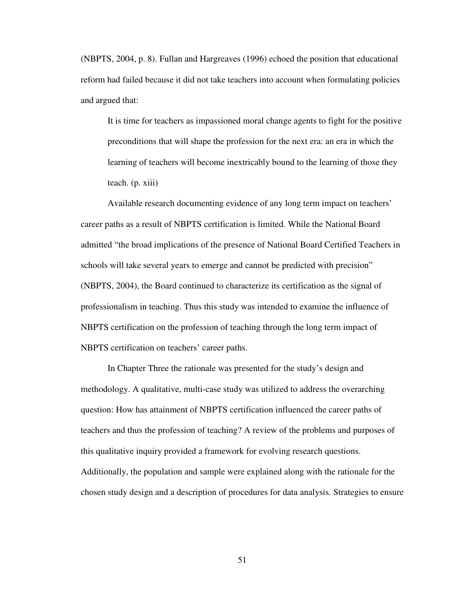(NBPTS, 2004, p. 8). Fullan and Hargreaves (1996) echoed the position that educational reform had failed because it did not take teachers into account when formulating policies and argued that:

It is time for teachers as impassioned moral change agents to fight for the positive preconditions that will shape the profession for the next era: an era in which the learning of teachers will become inextricably bound to the learning of those they teach. (p. xiii)

Available research documenting evidence of any long term impact on teachers' career paths as a result of NBPTS certification is limited. While the National Board admitted "the broad implications of the presence of National Board Certified Teachers in schools will take several years to emerge and cannot be predicted with precision" (NBPTS, 2004), the Board continued to characterize its certification as the signal of professionalism in teaching. Thus this study was intended to examine the influence of NBPTS certification on the profession of teaching through the long term impact of NBPTS certification on teachers' career paths.

 In Chapter Three the rationale was presented for the study's design and methodology. A qualitative, multi-case study was utilized to address the overarching question: How has attainment of NBPTS certification influenced the career paths of teachers and thus the profession of teaching? A review of the problems and purposes of this qualitative inquiry provided a framework for evolving research questions. Additionally, the population and sample were explained along with the rationale for the chosen study design and a description of procedures for data analysis. Strategies to ensure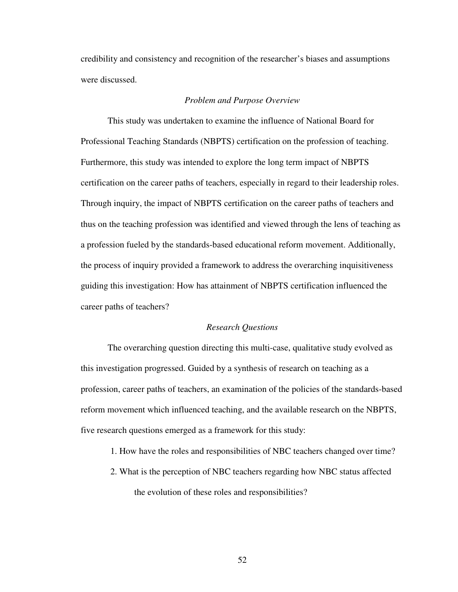credibility and consistency and recognition of the researcher's biases and assumptions were discussed.

# *Problem and Purpose Overview*

 This study was undertaken to examine the influence of National Board for Professional Teaching Standards (NBPTS) certification on the profession of teaching. Furthermore, this study was intended to explore the long term impact of NBPTS certification on the career paths of teachers, especially in regard to their leadership roles. Through inquiry, the impact of NBPTS certification on the career paths of teachers and thus on the teaching profession was identified and viewed through the lens of teaching as a profession fueled by the standards-based educational reform movement. Additionally, the process of inquiry provided a framework to address the overarching inquisitiveness guiding this investigation: How has attainment of NBPTS certification influenced the career paths of teachers?

### *Research Questions*

 The overarching question directing this multi-case, qualitative study evolved as this investigation progressed. Guided by a synthesis of research on teaching as a profession, career paths of teachers, an examination of the policies of the standards-based reform movement which influenced teaching, and the available research on the NBPTS, five research questions emerged as a framework for this study:

1. How have the roles and responsibilities of NBC teachers changed over time?

2. What is the perception of NBC teachers regarding how NBC status affected the evolution of these roles and responsibilities?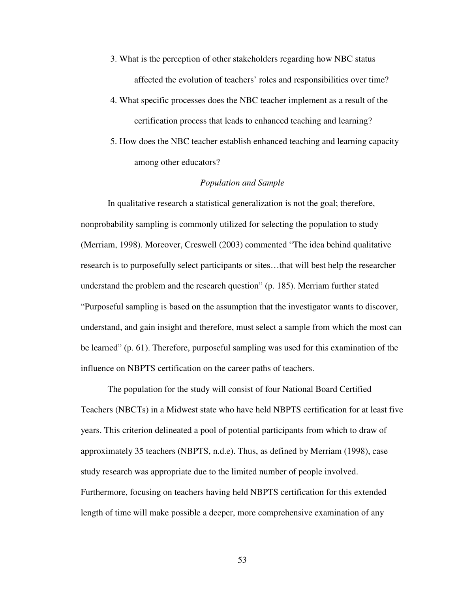- 3. What is the perception of other stakeholders regarding how NBC status affected the evolution of teachers' roles and responsibilities over time?
- 4. What specific processes does the NBC teacher implement as a result of the certification process that leads to enhanced teaching and learning?
- 5. How does the NBC teacher establish enhanced teaching and learning capacity among other educators?

# *Population and Sample*

In qualitative research a statistical generalization is not the goal; therefore, nonprobability sampling is commonly utilized for selecting the population to study (Merriam, 1998). Moreover, Creswell (2003) commented "The idea behind qualitative research is to purposefully select participants or sites…that will best help the researcher understand the problem and the research question" (p. 185). Merriam further stated "Purposeful sampling is based on the assumption that the investigator wants to discover, understand, and gain insight and therefore, must select a sample from which the most can be learned" (p. 61). Therefore, purposeful sampling was used for this examination of the influence on NBPTS certification on the career paths of teachers.

 The population for the study will consist of four National Board Certified Teachers (NBCTs) in a Midwest state who have held NBPTS certification for at least five years. This criterion delineated a pool of potential participants from which to draw of approximately 35 teachers (NBPTS, n.d.e). Thus, as defined by Merriam (1998), case study research was appropriate due to the limited number of people involved. Furthermore, focusing on teachers having held NBPTS certification for this extended length of time will make possible a deeper, more comprehensive examination of any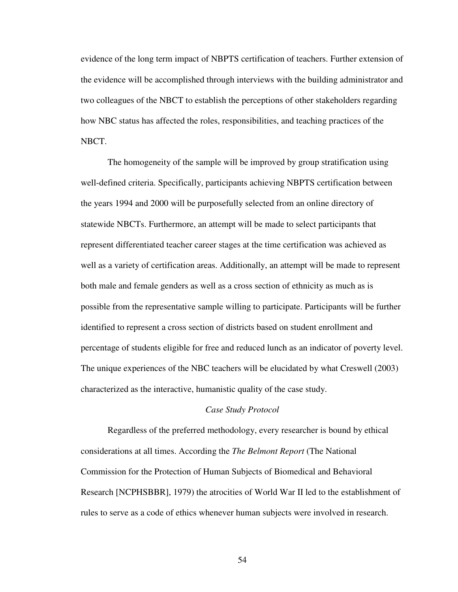evidence of the long term impact of NBPTS certification of teachers. Further extension of the evidence will be accomplished through interviews with the building administrator and two colleagues of the NBCT to establish the perceptions of other stakeholders regarding how NBC status has affected the roles, responsibilities, and teaching practices of the NBCT.

The homogeneity of the sample will be improved by group stratification using well-defined criteria. Specifically, participants achieving NBPTS certification between the years 1994 and 2000 will be purposefully selected from an online directory of statewide NBCTs. Furthermore, an attempt will be made to select participants that represent differentiated teacher career stages at the time certification was achieved as well as a variety of certification areas. Additionally, an attempt will be made to represent both male and female genders as well as a cross section of ethnicity as much as is possible from the representative sample willing to participate. Participants will be further identified to represent a cross section of districts based on student enrollment and percentage of students eligible for free and reduced lunch as an indicator of poverty level. The unique experiences of the NBC teachers will be elucidated by what Creswell (2003) characterized as the interactive, humanistic quality of the case study.

# *Case Study Protocol*

 Regardless of the preferred methodology, every researcher is bound by ethical considerations at all times. According the *The Belmont Report* (The National Commission for the Protection of Human Subjects of Biomedical and Behavioral Research [NCPHSBBR], 1979) the atrocities of World War II led to the establishment of rules to serve as a code of ethics whenever human subjects were involved in research.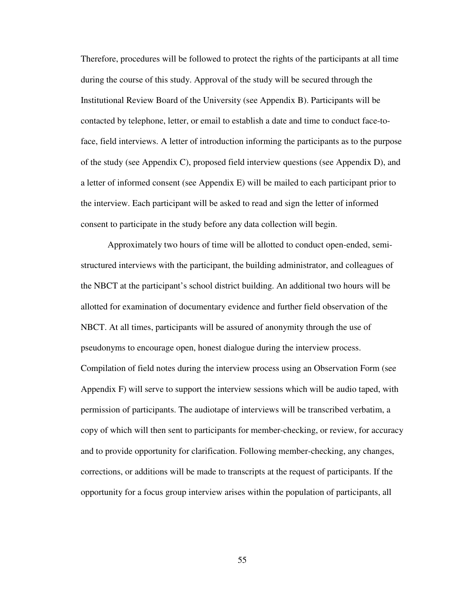Therefore, procedures will be followed to protect the rights of the participants at all time during the course of this study. Approval of the study will be secured through the Institutional Review Board of the University (see Appendix B). Participants will be contacted by telephone, letter, or email to establish a date and time to conduct face-toface, field interviews. A letter of introduction informing the participants as to the purpose of the study (see Appendix C), proposed field interview questions (see Appendix D), and a letter of informed consent (see Appendix E) will be mailed to each participant prior to the interview. Each participant will be asked to read and sign the letter of informed consent to participate in the study before any data collection will begin.

 Approximately two hours of time will be allotted to conduct open-ended, semistructured interviews with the participant, the building administrator, and colleagues of the NBCT at the participant's school district building. An additional two hours will be allotted for examination of documentary evidence and further field observation of the NBCT. At all times, participants will be assured of anonymity through the use of pseudonyms to encourage open, honest dialogue during the interview process. Compilation of field notes during the interview process using an Observation Form (see Appendix F) will serve to support the interview sessions which will be audio taped, with permission of participants. The audiotape of interviews will be transcribed verbatim, a copy of which will then sent to participants for member-checking, or review, for accuracy and to provide opportunity for clarification. Following member-checking, any changes, corrections, or additions will be made to transcripts at the request of participants. If the opportunity for a focus group interview arises within the population of participants, all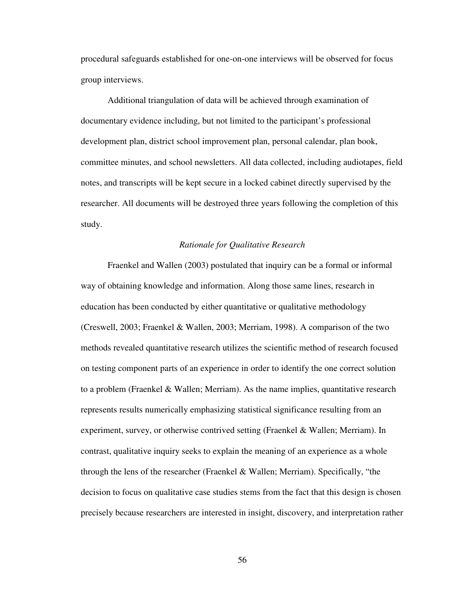procedural safeguards established for one-on-one interviews will be observed for focus group interviews.

Additional triangulation of data will be achieved through examination of documentary evidence including, but not limited to the participant's professional development plan, district school improvement plan, personal calendar, plan book, committee minutes, and school newsletters. All data collected, including audiotapes, field notes, and transcripts will be kept secure in a locked cabinet directly supervised by the researcher. All documents will be destroyed three years following the completion of this study.

### *Rationale for Qualitative Research*

Fraenkel and Wallen (2003) postulated that inquiry can be a formal or informal way of obtaining knowledge and information. Along those same lines, research in education has been conducted by either quantitative or qualitative methodology (Creswell, 2003; Fraenkel & Wallen, 2003; Merriam, 1998). A comparison of the two methods revealed quantitative research utilizes the scientific method of research focused on testing component parts of an experience in order to identify the one correct solution to a problem (Fraenkel & Wallen; Merriam). As the name implies, quantitative research represents results numerically emphasizing statistical significance resulting from an experiment, survey, or otherwise contrived setting (Fraenkel & Wallen; Merriam). In contrast, qualitative inquiry seeks to explain the meaning of an experience as a whole through the lens of the researcher (Fraenkel & Wallen; Merriam). Specifically, "the decision to focus on qualitative case studies stems from the fact that this design is chosen precisely because researchers are interested in insight, discovery, and interpretation rather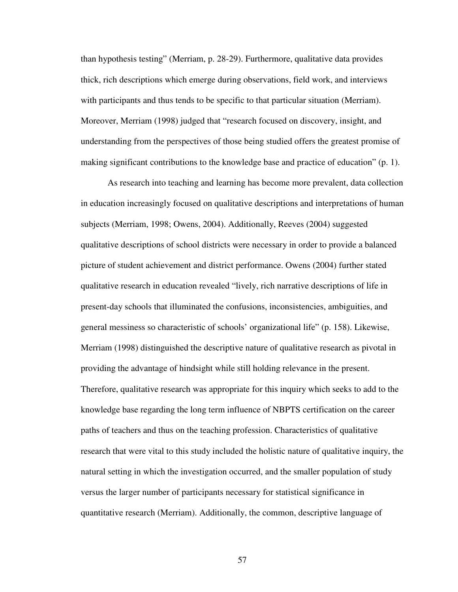than hypothesis testing" (Merriam, p. 28-29). Furthermore, qualitative data provides thick, rich descriptions which emerge during observations, field work, and interviews with participants and thus tends to be specific to that particular situation (Merriam). Moreover, Merriam (1998) judged that "research focused on discovery, insight, and understanding from the perspectives of those being studied offers the greatest promise of making significant contributions to the knowledge base and practice of education" (p. 1).

As research into teaching and learning has become more prevalent, data collection in education increasingly focused on qualitative descriptions and interpretations of human subjects (Merriam, 1998; Owens, 2004). Additionally, Reeves (2004) suggested qualitative descriptions of school districts were necessary in order to provide a balanced picture of student achievement and district performance. Owens (2004) further stated qualitative research in education revealed "lively, rich narrative descriptions of life in present-day schools that illuminated the confusions, inconsistencies, ambiguities, and general messiness so characteristic of schools' organizational life" (p. 158). Likewise, Merriam (1998) distinguished the descriptive nature of qualitative research as pivotal in providing the advantage of hindsight while still holding relevance in the present. Therefore, qualitative research was appropriate for this inquiry which seeks to add to the knowledge base regarding the long term influence of NBPTS certification on the career paths of teachers and thus on the teaching profession. Characteristics of qualitative research that were vital to this study included the holistic nature of qualitative inquiry, the natural setting in which the investigation occurred, and the smaller population of study versus the larger number of participants necessary for statistical significance in quantitative research (Merriam). Additionally, the common, descriptive language of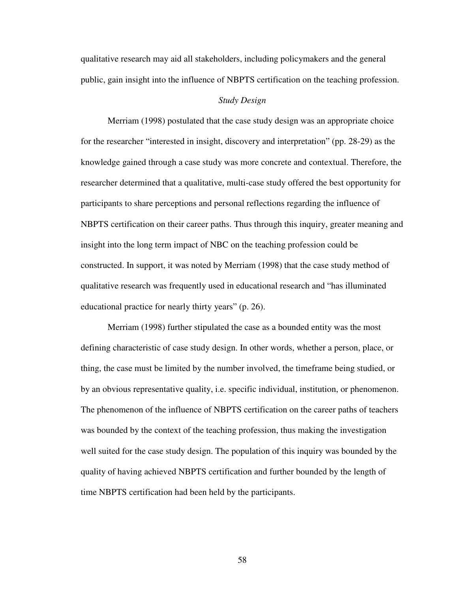qualitative research may aid all stakeholders, including policymakers and the general public, gain insight into the influence of NBPTS certification on the teaching profession.

# *Study Design*

 Merriam (1998) postulated that the case study design was an appropriate choice for the researcher "interested in insight, discovery and interpretation" (pp. 28-29) as the knowledge gained through a case study was more concrete and contextual. Therefore, the researcher determined that a qualitative, multi-case study offered the best opportunity for participants to share perceptions and personal reflections regarding the influence of NBPTS certification on their career paths. Thus through this inquiry, greater meaning and insight into the long term impact of NBC on the teaching profession could be constructed. In support, it was noted by Merriam (1998) that the case study method of qualitative research was frequently used in educational research and "has illuminated educational practice for nearly thirty years" (p. 26).

Merriam (1998) further stipulated the case as a bounded entity was the most defining characteristic of case study design. In other words, whether a person, place, or thing, the case must be limited by the number involved, the timeframe being studied, or by an obvious representative quality, i.e. specific individual, institution, or phenomenon. The phenomenon of the influence of NBPTS certification on the career paths of teachers was bounded by the context of the teaching profession, thus making the investigation well suited for the case study design. The population of this inquiry was bounded by the quality of having achieved NBPTS certification and further bounded by the length of time NBPTS certification had been held by the participants.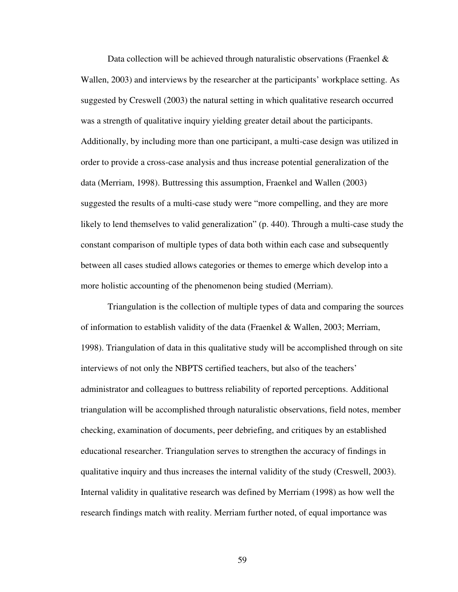Data collection will be achieved through naturalistic observations (Fraenkel  $\&$ Wallen, 2003) and interviews by the researcher at the participants' workplace setting. As suggested by Creswell (2003) the natural setting in which qualitative research occurred was a strength of qualitative inquiry yielding greater detail about the participants. Additionally, by including more than one participant, a multi-case design was utilized in order to provide a cross-case analysis and thus increase potential generalization of the data (Merriam, 1998). Buttressing this assumption, Fraenkel and Wallen (2003) suggested the results of a multi-case study were "more compelling, and they are more likely to lend themselves to valid generalization" (p. 440). Through a multi-case study the constant comparison of multiple types of data both within each case and subsequently between all cases studied allows categories or themes to emerge which develop into a more holistic accounting of the phenomenon being studied (Merriam).

Triangulation is the collection of multiple types of data and comparing the sources of information to establish validity of the data (Fraenkel & Wallen, 2003; Merriam, 1998). Triangulation of data in this qualitative study will be accomplished through on site interviews of not only the NBPTS certified teachers, but also of the teachers' administrator and colleagues to buttress reliability of reported perceptions. Additional triangulation will be accomplished through naturalistic observations, field notes, member checking, examination of documents, peer debriefing, and critiques by an established educational researcher. Triangulation serves to strengthen the accuracy of findings in qualitative inquiry and thus increases the internal validity of the study (Creswell, 2003). Internal validity in qualitative research was defined by Merriam (1998) as how well the research findings match with reality. Merriam further noted, of equal importance was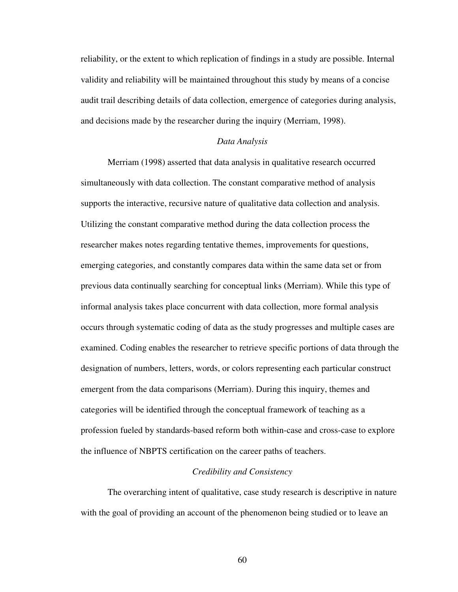reliability, or the extent to which replication of findings in a study are possible. Internal validity and reliability will be maintained throughout this study by means of a concise audit trail describing details of data collection, emergence of categories during analysis, and decisions made by the researcher during the inquiry (Merriam, 1998).

### *Data Analysis*

 Merriam (1998) asserted that data analysis in qualitative research occurred simultaneously with data collection. The constant comparative method of analysis supports the interactive, recursive nature of qualitative data collection and analysis. Utilizing the constant comparative method during the data collection process the researcher makes notes regarding tentative themes, improvements for questions, emerging categories, and constantly compares data within the same data set or from previous data continually searching for conceptual links (Merriam). While this type of informal analysis takes place concurrent with data collection, more formal analysis occurs through systematic coding of data as the study progresses and multiple cases are examined. Coding enables the researcher to retrieve specific portions of data through the designation of numbers, letters, words, or colors representing each particular construct emergent from the data comparisons (Merriam). During this inquiry, themes and categories will be identified through the conceptual framework of teaching as a profession fueled by standards-based reform both within-case and cross-case to explore the influence of NBPTS certification on the career paths of teachers.

## *Credibility and Consistency*

 The overarching intent of qualitative, case study research is descriptive in nature with the goal of providing an account of the phenomenon being studied or to leave an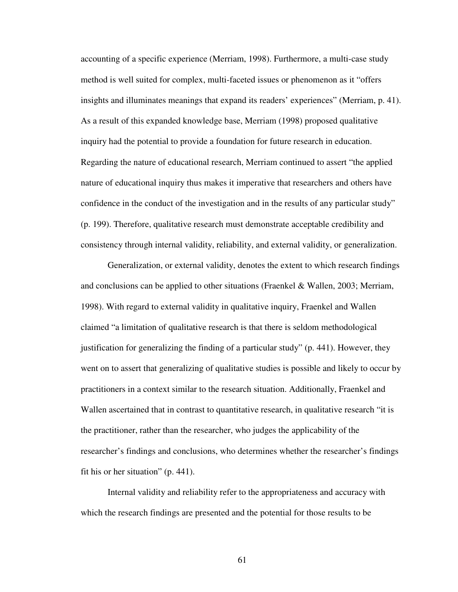accounting of a specific experience (Merriam, 1998). Furthermore, a multi-case study method is well suited for complex, multi-faceted issues or phenomenon as it "offers insights and illuminates meanings that expand its readers' experiences" (Merriam, p. 41). As a result of this expanded knowledge base, Merriam (1998) proposed qualitative inquiry had the potential to provide a foundation for future research in education. Regarding the nature of educational research, Merriam continued to assert "the applied nature of educational inquiry thus makes it imperative that researchers and others have confidence in the conduct of the investigation and in the results of any particular study" (p. 199). Therefore, qualitative research must demonstrate acceptable credibility and consistency through internal validity, reliability, and external validity, or generalization.

Generalization, or external validity, denotes the extent to which research findings and conclusions can be applied to other situations (Fraenkel & Wallen, 2003; Merriam, 1998). With regard to external validity in qualitative inquiry, Fraenkel and Wallen claimed "a limitation of qualitative research is that there is seldom methodological justification for generalizing the finding of a particular study" (p. 441). However, they went on to assert that generalizing of qualitative studies is possible and likely to occur by practitioners in a context similar to the research situation. Additionally, Fraenkel and Wallen ascertained that in contrast to quantitative research, in qualitative research "it is the practitioner, rather than the researcher, who judges the applicability of the researcher's findings and conclusions, who determines whether the researcher's findings fit his or her situation" (p. 441).

Internal validity and reliability refer to the appropriateness and accuracy with which the research findings are presented and the potential for those results to be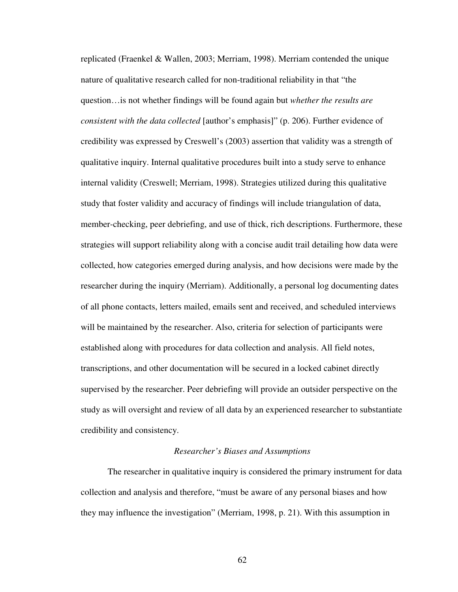replicated (Fraenkel & Wallen, 2003; Merriam, 1998). Merriam contended the unique nature of qualitative research called for non-traditional reliability in that "the question…is not whether findings will be found again but *whether the results are consistent with the data collected* [author's emphasis]" (p. 206). Further evidence of credibility was expressed by Creswell's (2003) assertion that validity was a strength of qualitative inquiry. Internal qualitative procedures built into a study serve to enhance internal validity (Creswell; Merriam, 1998). Strategies utilized during this qualitative study that foster validity and accuracy of findings will include triangulation of data, member-checking, peer debriefing, and use of thick, rich descriptions. Furthermore, these strategies will support reliability along with a concise audit trail detailing how data were collected, how categories emerged during analysis, and how decisions were made by the researcher during the inquiry (Merriam). Additionally, a personal log documenting dates of all phone contacts, letters mailed, emails sent and received, and scheduled interviews will be maintained by the researcher. Also, criteria for selection of participants were established along with procedures for data collection and analysis. All field notes, transcriptions, and other documentation will be secured in a locked cabinet directly supervised by the researcher. Peer debriefing will provide an outsider perspective on the study as will oversight and review of all data by an experienced researcher to substantiate credibility and consistency.

### *Researcher's Biases and Assumptions*

The researcher in qualitative inquiry is considered the primary instrument for data collection and analysis and therefore, "must be aware of any personal biases and how they may influence the investigation" (Merriam, 1998, p. 21). With this assumption in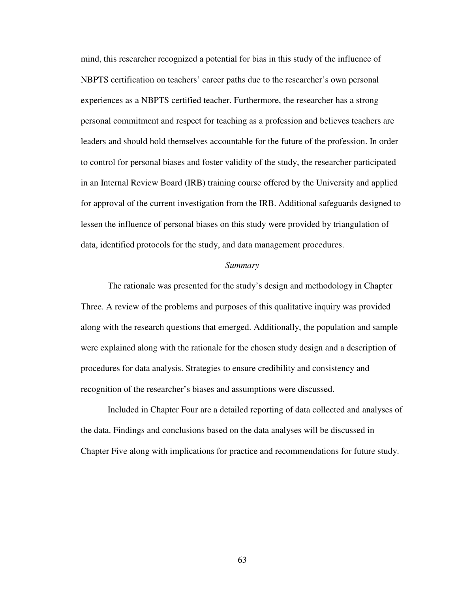mind, this researcher recognized a potential for bias in this study of the influence of NBPTS certification on teachers' career paths due to the researcher's own personal experiences as a NBPTS certified teacher. Furthermore, the researcher has a strong personal commitment and respect for teaching as a profession and believes teachers are leaders and should hold themselves accountable for the future of the profession. In order to control for personal biases and foster validity of the study, the researcher participated in an Internal Review Board (IRB) training course offered by the University and applied for approval of the current investigation from the IRB. Additional safeguards designed to lessen the influence of personal biases on this study were provided by triangulation of data, identified protocols for the study, and data management procedures.

#### *Summary*

The rationale was presented for the study's design and methodology in Chapter Three. A review of the problems and purposes of this qualitative inquiry was provided along with the research questions that emerged. Additionally, the population and sample were explained along with the rationale for the chosen study design and a description of procedures for data analysis. Strategies to ensure credibility and consistency and recognition of the researcher's biases and assumptions were discussed.

 Included in Chapter Four are a detailed reporting of data collected and analyses of the data. Findings and conclusions based on the data analyses will be discussed in Chapter Five along with implications for practice and recommendations for future study.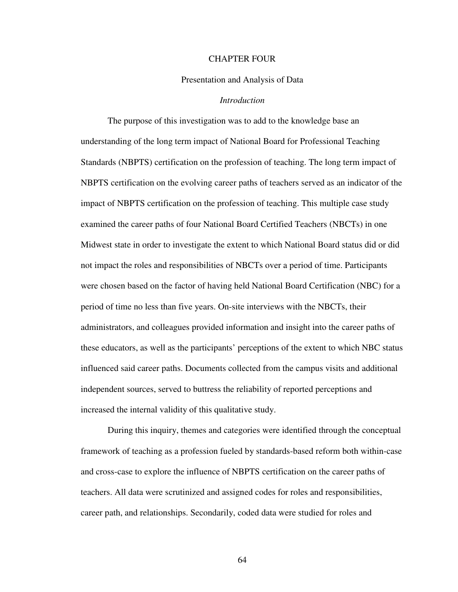#### CHAPTER FOUR

### Presentation and Analysis of Data

### *Introduction*

The purpose of this investigation was to add to the knowledge base an understanding of the long term impact of National Board for Professional Teaching Standards (NBPTS) certification on the profession of teaching. The long term impact of NBPTS certification on the evolving career paths of teachers served as an indicator of the impact of NBPTS certification on the profession of teaching. This multiple case study examined the career paths of four National Board Certified Teachers (NBCTs) in one Midwest state in order to investigate the extent to which National Board status did or did not impact the roles and responsibilities of NBCTs over a period of time. Participants were chosen based on the factor of having held National Board Certification (NBC) for a period of time no less than five years. On-site interviews with the NBCTs, their administrators, and colleagues provided information and insight into the career paths of these educators, as well as the participants' perceptions of the extent to which NBC status influenced said career paths. Documents collected from the campus visits and additional independent sources, served to buttress the reliability of reported perceptions and increased the internal validity of this qualitative study.

During this inquiry, themes and categories were identified through the conceptual framework of teaching as a profession fueled by standards-based reform both within-case and cross-case to explore the influence of NBPTS certification on the career paths of teachers. All data were scrutinized and assigned codes for roles and responsibilities, career path, and relationships. Secondarily, coded data were studied for roles and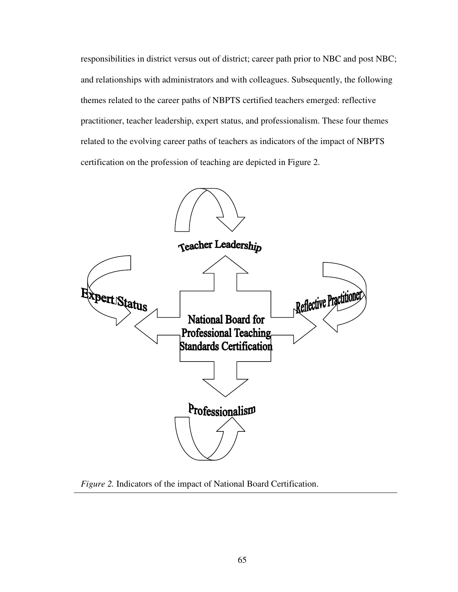responsibilities in district versus out of district; career path prior to NBC and post NBC; and relationships with administrators and with colleagues. Subsequently, the following themes related to the career paths of NBPTS certified teachers emerged: reflective practitioner, teacher leadership, expert status, and professionalism. These four themes related to the evolving career paths of teachers as indicators of the impact of NBPTS certification on the profession of teaching are depicted in Figure 2.



*Figure 2.* Indicators of the impact of National Board Certification.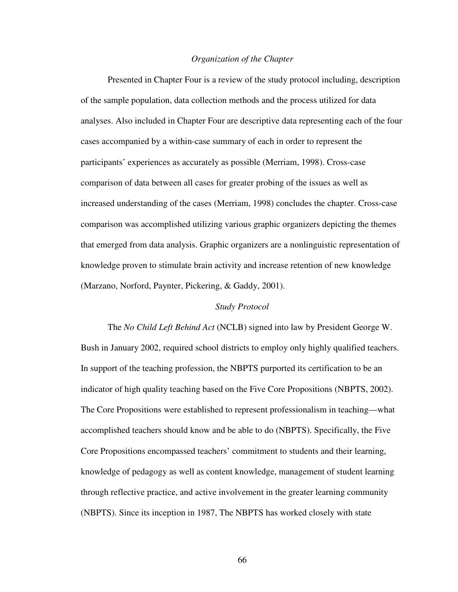### *Organization of the Chapter*

 Presented in Chapter Four is a review of the study protocol including, description of the sample population, data collection methods and the process utilized for data analyses. Also included in Chapter Four are descriptive data representing each of the four cases accompanied by a within-case summary of each in order to represent the participants' experiences as accurately as possible (Merriam, 1998). Cross-case comparison of data between all cases for greater probing of the issues as well as increased understanding of the cases (Merriam, 1998) concludes the chapter. Cross-case comparison was accomplished utilizing various graphic organizers depicting the themes that emerged from data analysis. Graphic organizers are a nonlinguistic representation of knowledge proven to stimulate brain activity and increase retention of new knowledge (Marzano, Norford, Paynter, Pickering, & Gaddy, 2001).

### *Study Protocol*

The *No Child Left Behind Act* (NCLB) signed into law by President George W. Bush in January 2002, required school districts to employ only highly qualified teachers. In support of the teaching profession, the NBPTS purported its certification to be an indicator of high quality teaching based on the Five Core Propositions (NBPTS, 2002). The Core Propositions were established to represent professionalism in teaching—what accomplished teachers should know and be able to do (NBPTS). Specifically, the Five Core Propositions encompassed teachers' commitment to students and their learning, knowledge of pedagogy as well as content knowledge, management of student learning through reflective practice, and active involvement in the greater learning community (NBPTS). Since its inception in 1987, The NBPTS has worked closely with state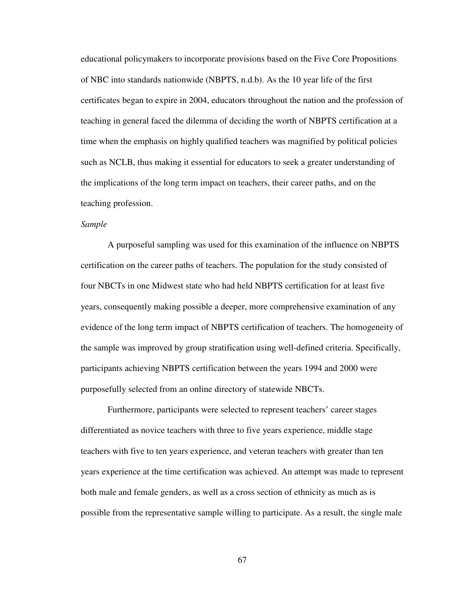educational policymakers to incorporate provisions based on the Five Core Propositions of NBC into standards nationwide (NBPTS, n.d.b). As the 10 year life of the first certificates began to expire in 2004, educators throughout the nation and the profession of teaching in general faced the dilemma of deciding the worth of NBPTS certification at a time when the emphasis on highly qualified teachers was magnified by political policies such as NCLB, thus making it essential for educators to seek a greater understanding of the implications of the long term impact on teachers, their career paths, and on the teaching profession.

### *Sample*

A purposeful sampling was used for this examination of the influence on NBPTS certification on the career paths of teachers. The population for the study consisted of four NBCTs in one Midwest state who had held NBPTS certification for at least five years, consequently making possible a deeper, more comprehensive examination of any evidence of the long term impact of NBPTS certification of teachers. The homogeneity of the sample was improved by group stratification using well-defined criteria. Specifically, participants achieving NBPTS certification between the years 1994 and 2000 were purposefully selected from an online directory of statewide NBCTs.

Furthermore, participants were selected to represent teachers' career stages differentiated as novice teachers with three to five years experience, middle stage teachers with five to ten years experience, and veteran teachers with greater than ten years experience at the time certification was achieved. An attempt was made to represent both male and female genders, as well as a cross section of ethnicity as much as is possible from the representative sample willing to participate. As a result, the single male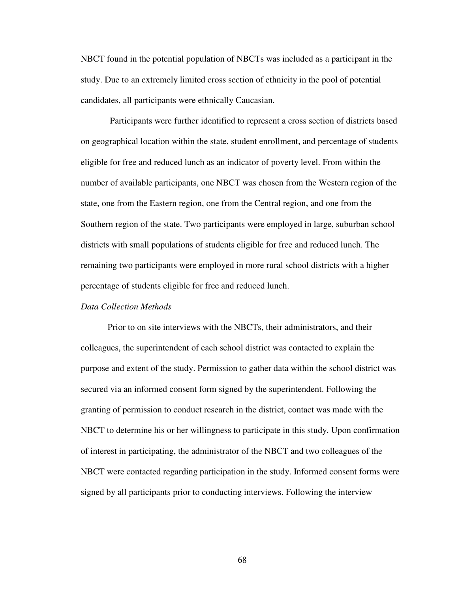NBCT found in the potential population of NBCTs was included as a participant in the study. Due to an extremely limited cross section of ethnicity in the pool of potential candidates, all participants were ethnically Caucasian.

 Participants were further identified to represent a cross section of districts based on geographical location within the state, student enrollment, and percentage of students eligible for free and reduced lunch as an indicator of poverty level. From within the number of available participants, one NBCT was chosen from the Western region of the state, one from the Eastern region, one from the Central region, and one from the Southern region of the state. Two participants were employed in large, suburban school districts with small populations of students eligible for free and reduced lunch. The remaining two participants were employed in more rural school districts with a higher percentage of students eligible for free and reduced lunch.

### *Data Collection Methods*

Prior to on site interviews with the NBCTs, their administrators, and their colleagues, the superintendent of each school district was contacted to explain the purpose and extent of the study. Permission to gather data within the school district was secured via an informed consent form signed by the superintendent. Following the granting of permission to conduct research in the district, contact was made with the NBCT to determine his or her willingness to participate in this study. Upon confirmation of interest in participating, the administrator of the NBCT and two colleagues of the NBCT were contacted regarding participation in the study. Informed consent forms were signed by all participants prior to conducting interviews. Following the interview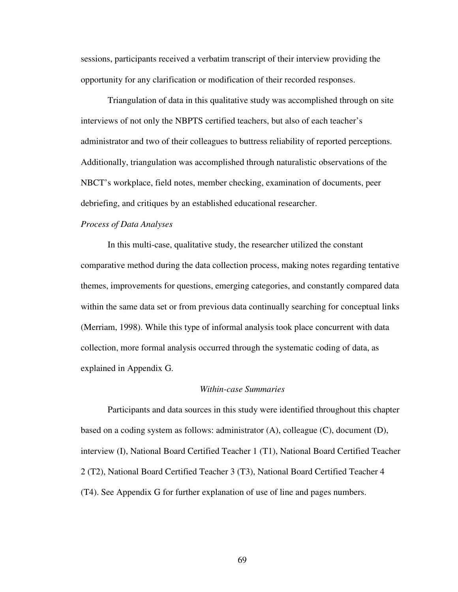sessions, participants received a verbatim transcript of their interview providing the opportunity for any clarification or modification of their recorded responses.

Triangulation of data in this qualitative study was accomplished through on site interviews of not only the NBPTS certified teachers, but also of each teacher's administrator and two of their colleagues to buttress reliability of reported perceptions. Additionally, triangulation was accomplished through naturalistic observations of the NBCT's workplace, field notes, member checking, examination of documents, peer debriefing, and critiques by an established educational researcher.

# *Process of Data Analyses*

In this multi-case, qualitative study, the researcher utilized the constant comparative method during the data collection process, making notes regarding tentative themes, improvements for questions, emerging categories, and constantly compared data within the same data set or from previous data continually searching for conceptual links (Merriam, 1998). While this type of informal analysis took place concurrent with data collection, more formal analysis occurred through the systematic coding of data, as explained in Appendix G.

#### *Within-case Summaries*

 Participants and data sources in this study were identified throughout this chapter based on a coding system as follows: administrator (A), colleague (C), document (D), interview (I), National Board Certified Teacher 1 (T1), National Board Certified Teacher 2 (T2), National Board Certified Teacher 3 (T3), National Board Certified Teacher 4 (T4). See Appendix G for further explanation of use of line and pages numbers.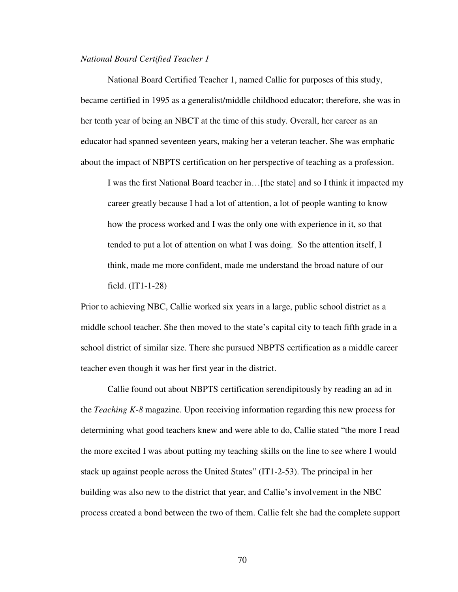#### *National Board Certified Teacher 1*

National Board Certified Teacher 1, named Callie for purposes of this study, became certified in 1995 as a generalist/middle childhood educator; therefore, she was in her tenth year of being an NBCT at the time of this study. Overall, her career as an educator had spanned seventeen years, making her a veteran teacher. She was emphatic about the impact of NBPTS certification on her perspective of teaching as a profession.

I was the first National Board teacher in…[the state] and so I think it impacted my career greatly because I had a lot of attention, a lot of people wanting to know how the process worked and I was the only one with experience in it, so that tended to put a lot of attention on what I was doing. So the attention itself, I think, made me more confident, made me understand the broad nature of our field. (IT1-1-28)

Prior to achieving NBC, Callie worked six years in a large, public school district as a middle school teacher. She then moved to the state's capital city to teach fifth grade in a school district of similar size. There she pursued NBPTS certification as a middle career teacher even though it was her first year in the district.

 Callie found out about NBPTS certification serendipitously by reading an ad in the *Teaching K-8* magazine. Upon receiving information regarding this new process for determining what good teachers knew and were able to do, Callie stated "the more I read the more excited I was about putting my teaching skills on the line to see where I would stack up against people across the United States" (IT1-2-53). The principal in her building was also new to the district that year, and Callie's involvement in the NBC process created a bond between the two of them. Callie felt she had the complete support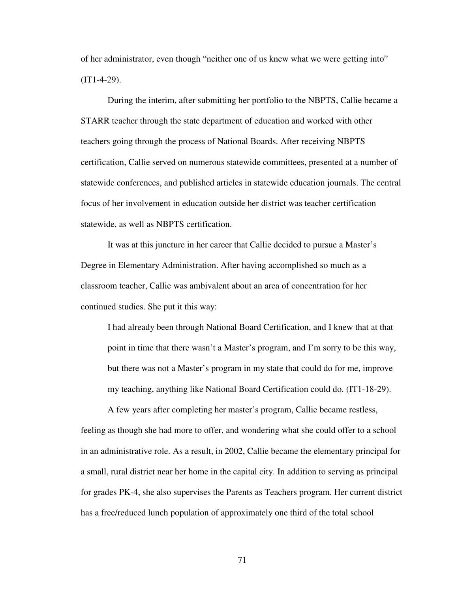of her administrator, even though "neither one of us knew what we were getting into"  $(IT1-4-29)$ .

 During the interim, after submitting her portfolio to the NBPTS, Callie became a STARR teacher through the state department of education and worked with other teachers going through the process of National Boards. After receiving NBPTS certification, Callie served on numerous statewide committees, presented at a number of statewide conferences, and published articles in statewide education journals. The central focus of her involvement in education outside her district was teacher certification statewide, as well as NBPTS certification.

 It was at this juncture in her career that Callie decided to pursue a Master's Degree in Elementary Administration. After having accomplished so much as a classroom teacher, Callie was ambivalent about an area of concentration for her continued studies. She put it this way:

I had already been through National Board Certification, and I knew that at that point in time that there wasn't a Master's program, and I'm sorry to be this way, but there was not a Master's program in my state that could do for me, improve my teaching, anything like National Board Certification could do. (IT1-18-29).

A few years after completing her master's program, Callie became restless, feeling as though she had more to offer, and wondering what she could offer to a school in an administrative role. As a result, in 2002, Callie became the elementary principal for a small, rural district near her home in the capital city. In addition to serving as principal for grades PK-4, she also supervises the Parents as Teachers program. Her current district has a free/reduced lunch population of approximately one third of the total school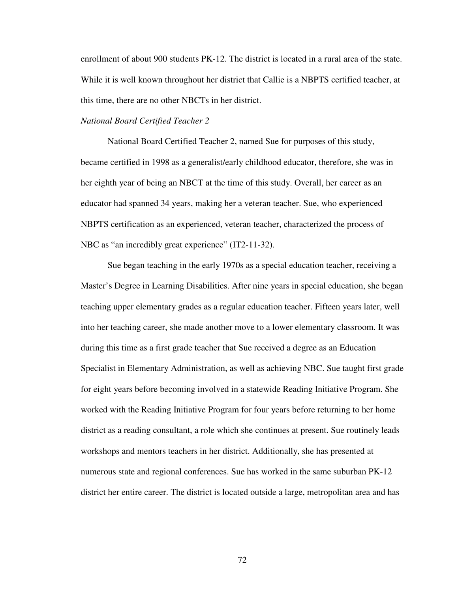enrollment of about 900 students PK-12. The district is located in a rural area of the state. While it is well known throughout her district that Callie is a NBPTS certified teacher, at this time, there are no other NBCTs in her district.

# *National Board Certified Teacher 2*

National Board Certified Teacher 2, named Sue for purposes of this study, became certified in 1998 as a generalist/early childhood educator, therefore, she was in her eighth year of being an NBCT at the time of this study. Overall, her career as an educator had spanned 34 years, making her a veteran teacher. Sue, who experienced NBPTS certification as an experienced, veteran teacher, characterized the process of NBC as "an incredibly great experience" (IT2-11-32).

Sue began teaching in the early 1970s as a special education teacher, receiving a Master's Degree in Learning Disabilities. After nine years in special education, she began teaching upper elementary grades as a regular education teacher. Fifteen years later, well into her teaching career, she made another move to a lower elementary classroom. It was during this time as a first grade teacher that Sue received a degree as an Education Specialist in Elementary Administration, as well as achieving NBC. Sue taught first grade for eight years before becoming involved in a statewide Reading Initiative Program. She worked with the Reading Initiative Program for four years before returning to her home district as a reading consultant, a role which she continues at present. Sue routinely leads workshops and mentors teachers in her district. Additionally, she has presented at numerous state and regional conferences. Sue has worked in the same suburban PK-12 district her entire career. The district is located outside a large, metropolitan area and has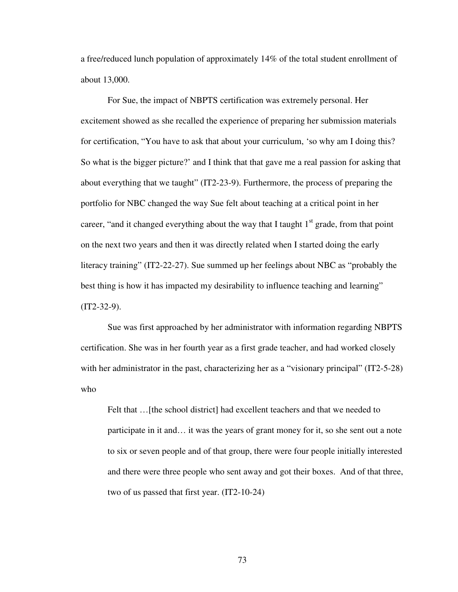a free/reduced lunch population of approximately 14% of the total student enrollment of about 13,000.

For Sue, the impact of NBPTS certification was extremely personal. Her excitement showed as she recalled the experience of preparing her submission materials for certification, "You have to ask that about your curriculum, 'so why am I doing this? So what is the bigger picture?' and I think that that gave me a real passion for asking that about everything that we taught" (IT2-23-9). Furthermore, the process of preparing the portfolio for NBC changed the way Sue felt about teaching at a critical point in her career, "and it changed everything about the way that I taught  $1<sup>st</sup>$  grade, from that point on the next two years and then it was directly related when I started doing the early literacy training" (IT2-22-27). Sue summed up her feelings about NBC as "probably the best thing is how it has impacted my desirability to influence teaching and learning"  $(TT2-32-9)$ .

 Sue was first approached by her administrator with information regarding NBPTS certification. She was in her fourth year as a first grade teacher, and had worked closely with her administrator in the past, characterizing her as a "visionary principal" (IT2-5-28) who

Felt that ... [the school district] had excellent teachers and that we needed to participate in it and… it was the years of grant money for it, so she sent out a note to six or seven people and of that group, there were four people initially interested and there were three people who sent away and got their boxes. And of that three, two of us passed that first year. (IT2-10-24)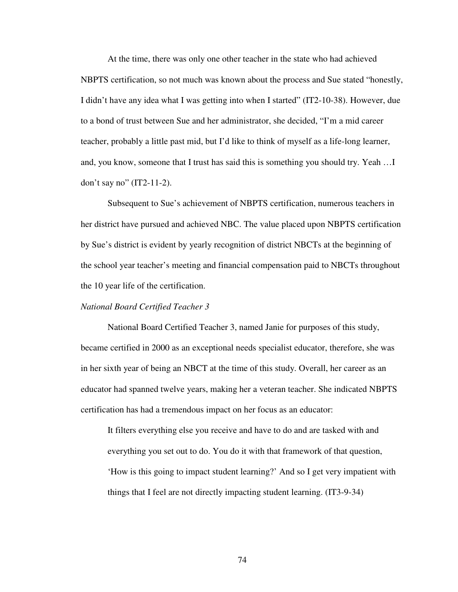At the time, there was only one other teacher in the state who had achieved NBPTS certification, so not much was known about the process and Sue stated "honestly, I didn't have any idea what I was getting into when I started" (IT2-10-38). However, due to a bond of trust between Sue and her administrator, she decided, "I'm a mid career teacher, probably a little past mid, but I'd like to think of myself as a life-long learner, and, you know, someone that I trust has said this is something you should try. Yeah …I don't say no" (IT2-11-2).

Subsequent to Sue's achievement of NBPTS certification, numerous teachers in her district have pursued and achieved NBC. The value placed upon NBPTS certification by Sue's district is evident by yearly recognition of district NBCTs at the beginning of the school year teacher's meeting and financial compensation paid to NBCTs throughout the 10 year life of the certification.

### *National Board Certified Teacher 3*

National Board Certified Teacher 3, named Janie for purposes of this study, became certified in 2000 as an exceptional needs specialist educator, therefore, she was in her sixth year of being an NBCT at the time of this study. Overall, her career as an educator had spanned twelve years, making her a veteran teacher. She indicated NBPTS certification has had a tremendous impact on her focus as an educator:

It filters everything else you receive and have to do and are tasked with and everything you set out to do. You do it with that framework of that question, 'How is this going to impact student learning?' And so I get very impatient with things that I feel are not directly impacting student learning. (IT3-9-34)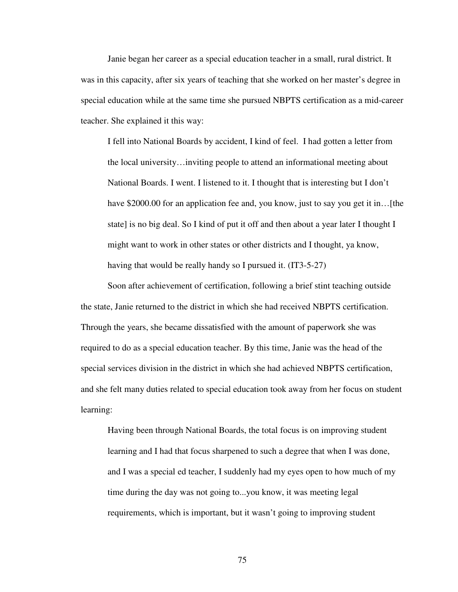Janie began her career as a special education teacher in a small, rural district. It was in this capacity, after six years of teaching that she worked on her master's degree in special education while at the same time she pursued NBPTS certification as a mid-career teacher. She explained it this way:

I fell into National Boards by accident, I kind of feel. I had gotten a letter from the local university…inviting people to attend an informational meeting about National Boards. I went. I listened to it. I thought that is interesting but I don't have \$2000.00 for an application fee and, you know, just to say you get it in... [the state] is no big deal. So I kind of put it off and then about a year later I thought I might want to work in other states or other districts and I thought, ya know, having that would be really handy so I pursued it. (IT3-5-27)

Soon after achievement of certification, following a brief stint teaching outside the state, Janie returned to the district in which she had received NBPTS certification. Through the years, she became dissatisfied with the amount of paperwork she was required to do as a special education teacher. By this time, Janie was the head of the special services division in the district in which she had achieved NBPTS certification, and she felt many duties related to special education took away from her focus on student learning:

Having been through National Boards, the total focus is on improving student learning and I had that focus sharpened to such a degree that when I was done, and I was a special ed teacher, I suddenly had my eyes open to how much of my time during the day was not going to...you know, it was meeting legal requirements, which is important, but it wasn't going to improving student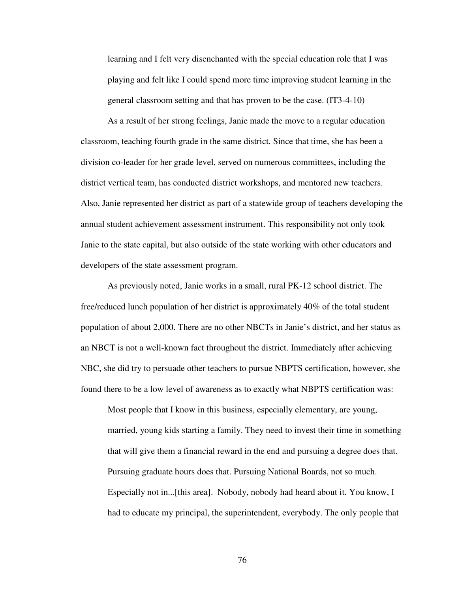learning and I felt very disenchanted with the special education role that I was playing and felt like I could spend more time improving student learning in the general classroom setting and that has proven to be the case. (IT3-4-10)

 As a result of her strong feelings, Janie made the move to a regular education classroom, teaching fourth grade in the same district. Since that time, she has been a division co-leader for her grade level, served on numerous committees, including the district vertical team, has conducted district workshops, and mentored new teachers. Also, Janie represented her district as part of a statewide group of teachers developing the annual student achievement assessment instrument. This responsibility not only took Janie to the state capital, but also outside of the state working with other educators and developers of the state assessment program.

 As previously noted, Janie works in a small, rural PK-12 school district. The free/reduced lunch population of her district is approximately 40% of the total student population of about 2,000. There are no other NBCTs in Janie's district, and her status as an NBCT is not a well-known fact throughout the district. Immediately after achieving NBC, she did try to persuade other teachers to pursue NBPTS certification, however, she found there to be a low level of awareness as to exactly what NBPTS certification was:

Most people that I know in this business, especially elementary, are young, married, young kids starting a family. They need to invest their time in something that will give them a financial reward in the end and pursuing a degree does that. Pursuing graduate hours does that. Pursuing National Boards, not so much. Especially not in...[this area]. Nobody, nobody had heard about it. You know, I had to educate my principal, the superintendent, everybody. The only people that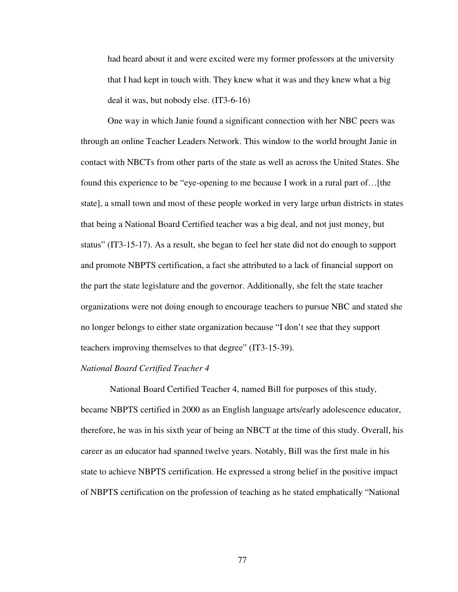had heard about it and were excited were my former professors at the university that I had kept in touch with. They knew what it was and they knew what a big deal it was, but nobody else. (IT3-6-16)

One way in which Janie found a significant connection with her NBC peers was through an online Teacher Leaders Network. This window to the world brought Janie in contact with NBCTs from other parts of the state as well as across the United States. She found this experience to be "eye-opening to me because I work in a rural part of…[the state], a small town and most of these people worked in very large urban districts in states that being a National Board Certified teacher was a big deal, and not just money, but status" (IT3-15-17). As a result, she began to feel her state did not do enough to support and promote NBPTS certification, a fact she attributed to a lack of financial support on the part the state legislature and the governor. Additionally, she felt the state teacher organizations were not doing enough to encourage teachers to pursue NBC and stated she no longer belongs to either state organization because "I don't see that they support teachers improving themselves to that degree" (IT3-15-39).

# *National Board Certified Teacher 4*

 National Board Certified Teacher 4, named Bill for purposes of this study, became NBPTS certified in 2000 as an English language arts/early adolescence educator, therefore, he was in his sixth year of being an NBCT at the time of this study. Overall, his career as an educator had spanned twelve years. Notably, Bill was the first male in his state to achieve NBPTS certification. He expressed a strong belief in the positive impact of NBPTS certification on the profession of teaching as he stated emphatically "National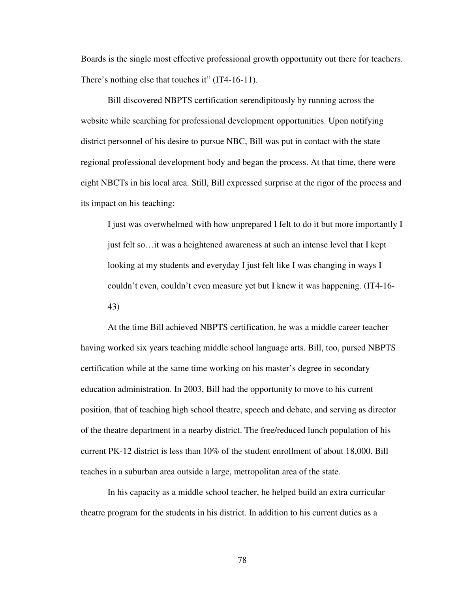Boards is the single most effective professional growth opportunity out there for teachers. There's nothing else that touches it" (IT4-16-11).

Bill discovered NBPTS certification serendipitously by running across the website while searching for professional development opportunities. Upon notifying district personnel of his desire to pursue NBC, Bill was put in contact with the state regional professional development body and began the process. At that time, there were eight NBCTs in his local area. Still, Bill expressed surprise at the rigor of the process and its impact on his teaching:

I just was overwhelmed with how unprepared I felt to do it but more importantly I just felt so…it was a heightened awareness at such an intense level that I kept looking at my students and everyday I just felt like I was changing in ways I couldn't even, couldn't even measure yet but I knew it was happening. (IT4-16- 43)

At the time Bill achieved NBPTS certification, he was a middle career teacher having worked six years teaching middle school language arts. Bill, too, pursed NBPTS certification while at the same time working on his master's degree in secondary education administration. In 2003, Bill had the opportunity to move to his current position, that of teaching high school theatre, speech and debate, and serving as director of the theatre department in a nearby district. The free/reduced lunch population of his current PK-12 district is less than 10% of the student enrollment of about 18,000. Bill teaches in a suburban area outside a large, metropolitan area of the state.

In his capacity as a middle school teacher, he helped build an extra curricular theatre program for the students in his district. In addition to his current duties as a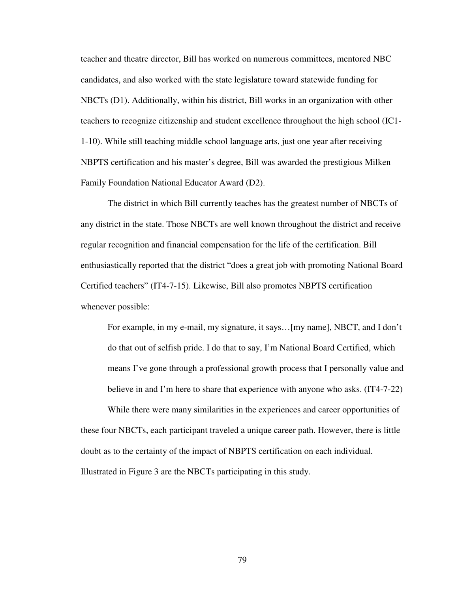teacher and theatre director, Bill has worked on numerous committees, mentored NBC candidates, and also worked with the state legislature toward statewide funding for NBCTs (D1). Additionally, within his district, Bill works in an organization with other teachers to recognize citizenship and student excellence throughout the high school (IC1- 1-10). While still teaching middle school language arts, just one year after receiving NBPTS certification and his master's degree, Bill was awarded the prestigious Milken Family Foundation National Educator Award (D2).

The district in which Bill currently teaches has the greatest number of NBCTs of any district in the state. Those NBCTs are well known throughout the district and receive regular recognition and financial compensation for the life of the certification. Bill enthusiastically reported that the district "does a great job with promoting National Board Certified teachers" (IT4-7-15). Likewise, Bill also promotes NBPTS certification whenever possible:

For example, in my e-mail, my signature, it says…[my name], NBCT, and I don't do that out of selfish pride. I do that to say, I'm National Board Certified, which means I've gone through a professional growth process that I personally value and believe in and I'm here to share that experience with anyone who asks. (IT4-7-22)

 While there were many similarities in the experiences and career opportunities of these four NBCTs, each participant traveled a unique career path. However, there is little doubt as to the certainty of the impact of NBPTS certification on each individual. Illustrated in Figure 3 are the NBCTs participating in this study.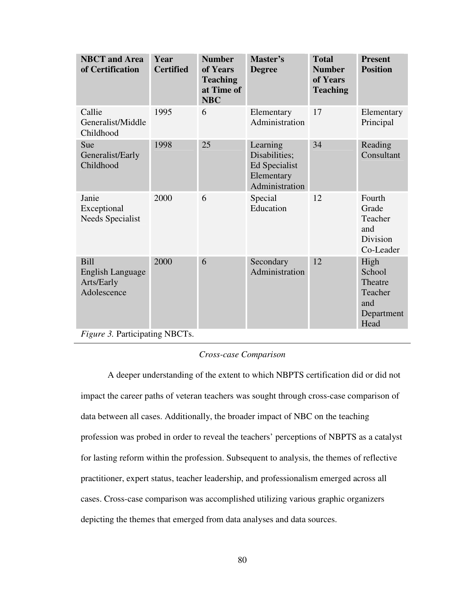| <b>NBCT</b> and Area<br>of Certification                     | Year<br><b>Certified</b> | <b>Number</b><br>of Years<br><b>Teaching</b><br>at Time of<br><b>NBC</b> | Master's<br><b>Degree</b>                                                  | <b>Total</b><br><b>Number</b><br>of Years<br><b>Teaching</b> | <b>Present</b><br><b>Position</b>                                 |
|--------------------------------------------------------------|--------------------------|--------------------------------------------------------------------------|----------------------------------------------------------------------------|--------------------------------------------------------------|-------------------------------------------------------------------|
| Callie<br>Generalist/Middle<br>Childhood                     | 1995                     | 6                                                                        | Elementary<br>Administration                                               | 17                                                           | Elementary<br>Principal                                           |
| Sue<br>Generalist/Early<br>Childhood                         | 1998                     | 25                                                                       | Learning<br>Disabilities;<br>Ed Specialist<br>Elementary<br>Administration | 34                                                           | Reading<br>Consultant                                             |
| Janie<br>Exceptional<br>Needs Specialist                     | 2000                     | 6                                                                        | Special<br>Education                                                       | 12                                                           | Fourth<br>Grade<br>Teacher<br>and<br><b>Division</b><br>Co-Leader |
| <b>Bill</b><br>English Language<br>Arts/Early<br>Adolescence | 2000                     | 6                                                                        | Secondary<br>Administration                                                | 12                                                           | High<br>School<br>Theatre<br>Teacher<br>and<br>Department<br>Head |
| <i>Figure 3.</i> Participating NBCTs.                        |                          |                                                                          |                                                                            |                                                              |                                                                   |

# *Cross-case Comparison*

A deeper understanding of the extent to which NBPTS certification did or did not impact the career paths of veteran teachers was sought through cross-case comparison of data between all cases. Additionally, the broader impact of NBC on the teaching profession was probed in order to reveal the teachers' perceptions of NBPTS as a catalyst for lasting reform within the profession. Subsequent to analysis, the themes of reflective practitioner, expert status, teacher leadership, and professionalism emerged across all cases. Cross-case comparison was accomplished utilizing various graphic organizers depicting the themes that emerged from data analyses and data sources.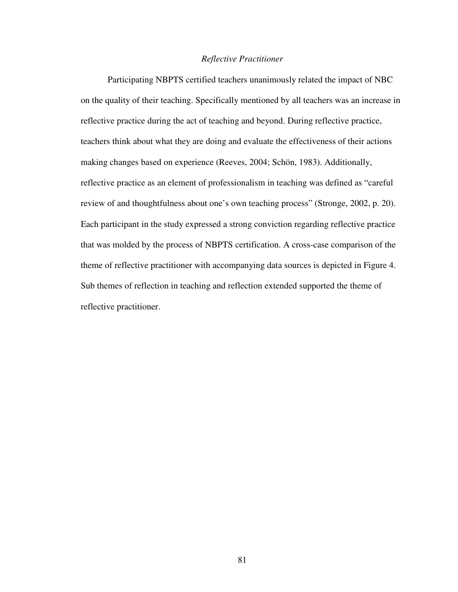## *Reflective Practitioner*

Participating NBPTS certified teachers unanimously related the impact of NBC on the quality of their teaching. Specifically mentioned by all teachers was an increase in reflective practice during the act of teaching and beyond. During reflective practice, teachers think about what they are doing and evaluate the effectiveness of their actions making changes based on experience (Reeves, 2004; Schön, 1983). Additionally, reflective practice as an element of professionalism in teaching was defined as "careful review of and thoughtfulness about one's own teaching process" (Stronge, 2002, p. 20). Each participant in the study expressed a strong conviction regarding reflective practice that was molded by the process of NBPTS certification. A cross-case comparison of the theme of reflective practitioner with accompanying data sources is depicted in Figure 4. Sub themes of reflection in teaching and reflection extended supported the theme of reflective practitioner.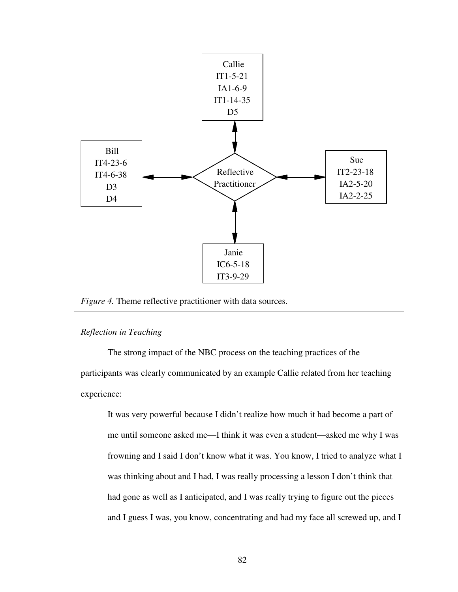

*Figure 4.* Theme reflective practitioner with data sources.

### *Reflection in Teaching*

 $\overline{a}$ 

The strong impact of the NBC process on the teaching practices of the participants was clearly communicated by an example Callie related from her teaching experience:

It was very powerful because I didn't realize how much it had become a part of me until someone asked me—I think it was even a student—asked me why I was frowning and I said I don't know what it was. You know, I tried to analyze what I was thinking about and I had, I was really processing a lesson I don't think that had gone as well as I anticipated, and I was really trying to figure out the pieces and I guess I was, you know, concentrating and had my face all screwed up, and I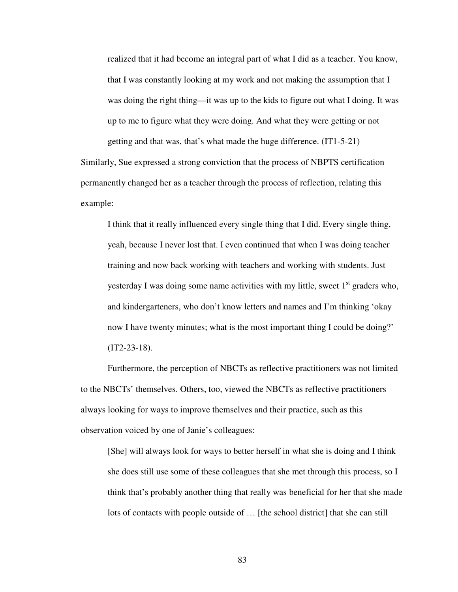realized that it had become an integral part of what I did as a teacher. You know, that I was constantly looking at my work and not making the assumption that I was doing the right thing—it was up to the kids to figure out what I doing. It was up to me to figure what they were doing. And what they were getting or not getting and that was, that's what made the huge difference. (IT1-5-21)

Similarly, Sue expressed a strong conviction that the process of NBPTS certification permanently changed her as a teacher through the process of reflection, relating this example:

I think that it really influenced every single thing that I did. Every single thing, yeah, because I never lost that. I even continued that when I was doing teacher training and now back working with teachers and working with students. Just yesterday I was doing some name activities with my little, sweet  $1<sup>st</sup>$  graders who, and kindergarteners, who don't know letters and names and I'm thinking 'okay now I have twenty minutes; what is the most important thing I could be doing?' (IT2-23-18).

Furthermore, the perception of NBCTs as reflective practitioners was not limited to the NBCTs' themselves. Others, too, viewed the NBCTs as reflective practitioners always looking for ways to improve themselves and their practice, such as this observation voiced by one of Janie's colleagues:

[She] will always look for ways to better herself in what she is doing and I think she does still use some of these colleagues that she met through this process, so I think that's probably another thing that really was beneficial for her that she made lots of contacts with people outside of … [the school district] that she can still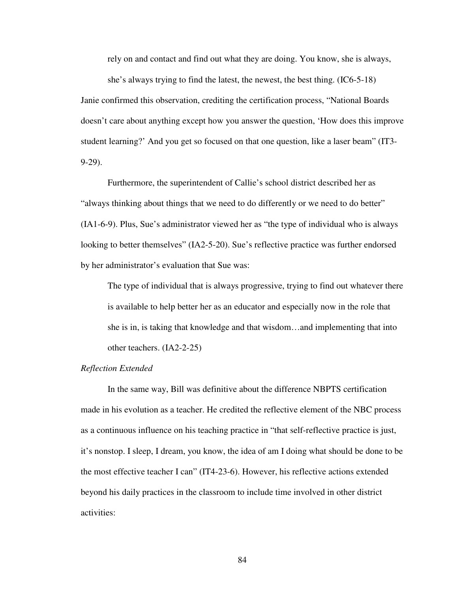rely on and contact and find out what they are doing. You know, she is always,

she's always trying to find the latest, the newest, the best thing. (IC6-5-18) Janie confirmed this observation, crediting the certification process, "National Boards doesn't care about anything except how you answer the question, 'How does this improve student learning?' And you get so focused on that one question, like a laser beam" (IT3- 9-29).

Furthermore, the superintendent of Callie's school district described her as "always thinking about things that we need to do differently or we need to do better" (IA1-6-9). Plus, Sue's administrator viewed her as "the type of individual who is always looking to better themselves" (IA2-5-20). Sue's reflective practice was further endorsed by her administrator's evaluation that Sue was:

The type of individual that is always progressive, trying to find out whatever there is available to help better her as an educator and especially now in the role that she is in, is taking that knowledge and that wisdom…and implementing that into other teachers. (IA2-2-25)

#### *Reflection Extended*

In the same way, Bill was definitive about the difference NBPTS certification made in his evolution as a teacher. He credited the reflective element of the NBC process as a continuous influence on his teaching practice in "that self-reflective practice is just, it's nonstop. I sleep, I dream, you know, the idea of am I doing what should be done to be the most effective teacher I can" (IT4-23-6). However, his reflective actions extended beyond his daily practices in the classroom to include time involved in other district activities: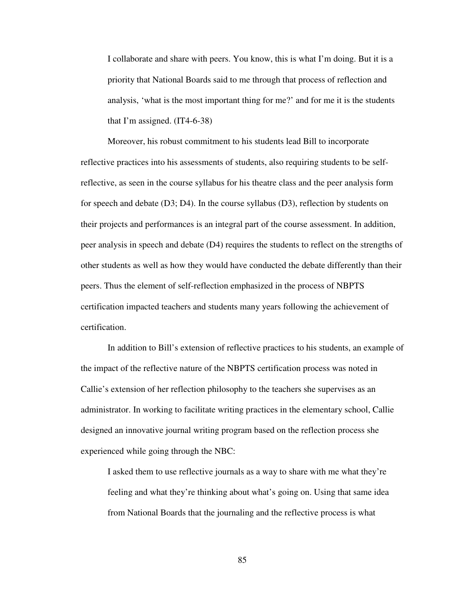I collaborate and share with peers. You know, this is what I'm doing. But it is a priority that National Boards said to me through that process of reflection and analysis, 'what is the most important thing for me?' and for me it is the students that I'm assigned.  $(IT4-6-38)$ 

Moreover, his robust commitment to his students lead Bill to incorporate reflective practices into his assessments of students, also requiring students to be selfreflective, as seen in the course syllabus for his theatre class and the peer analysis form for speech and debate  $(D3; D4)$ . In the course syllabus  $(D3)$ , reflection by students on their projects and performances is an integral part of the course assessment. In addition, peer analysis in speech and debate (D4) requires the students to reflect on the strengths of other students as well as how they would have conducted the debate differently than their peers. Thus the element of self-reflection emphasized in the process of NBPTS certification impacted teachers and students many years following the achievement of certification.

 In addition to Bill's extension of reflective practices to his students, an example of the impact of the reflective nature of the NBPTS certification process was noted in Callie's extension of her reflection philosophy to the teachers she supervises as an administrator. In working to facilitate writing practices in the elementary school, Callie designed an innovative journal writing program based on the reflection process she experienced while going through the NBC:

I asked them to use reflective journals as a way to share with me what they're feeling and what they're thinking about what's going on. Using that same idea from National Boards that the journaling and the reflective process is what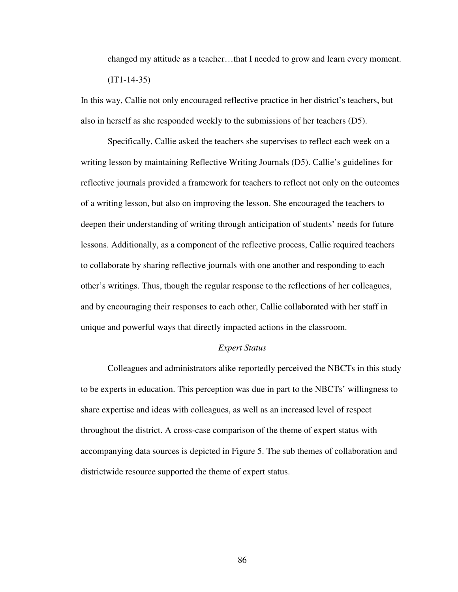changed my attitude as a teacher…that I needed to grow and learn every moment.  $(TT1-14-35)$ 

In this way, Callie not only encouraged reflective practice in her district's teachers, but also in herself as she responded weekly to the submissions of her teachers (D5).

 Specifically, Callie asked the teachers she supervises to reflect each week on a writing lesson by maintaining Reflective Writing Journals (D5). Callie's guidelines for reflective journals provided a framework for teachers to reflect not only on the outcomes of a writing lesson, but also on improving the lesson. She encouraged the teachers to deepen their understanding of writing through anticipation of students' needs for future lessons. Additionally, as a component of the reflective process, Callie required teachers to collaborate by sharing reflective journals with one another and responding to each other's writings. Thus, though the regular response to the reflections of her colleagues, and by encouraging their responses to each other, Callie collaborated with her staff in unique and powerful ways that directly impacted actions in the classroom.

# *Expert Status*

Colleagues and administrators alike reportedly perceived the NBCTs in this study to be experts in education. This perception was due in part to the NBCTs' willingness to share expertise and ideas with colleagues, as well as an increased level of respect throughout the district. A cross-case comparison of the theme of expert status with accompanying data sources is depicted in Figure 5. The sub themes of collaboration and districtwide resource supported the theme of expert status.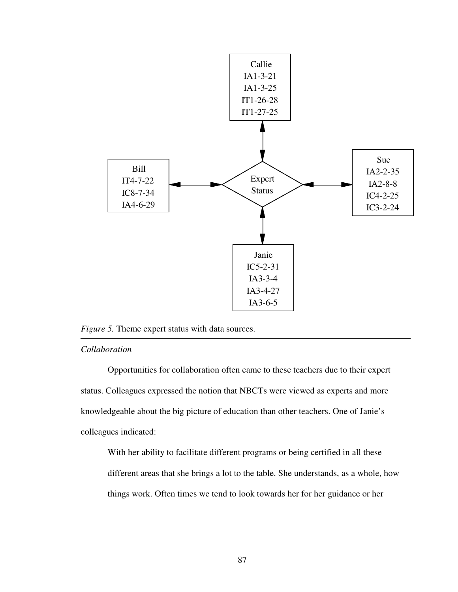

# *Figure 5.* Theme expert status with data sources.

# *Collaboration*

Opportunities for collaboration often came to these teachers due to their expert status. Colleagues expressed the notion that NBCTs were viewed as experts and more knowledgeable about the big picture of education than other teachers. One of Janie's colleagues indicated:

With her ability to facilitate different programs or being certified in all these different areas that she brings a lot to the table. She understands, as a whole, how things work. Often times we tend to look towards her for her guidance or her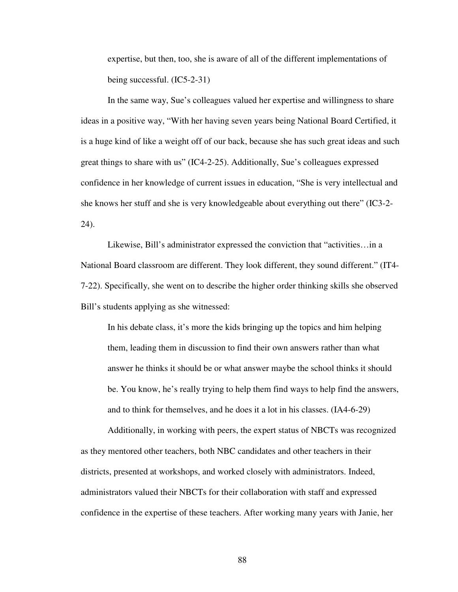expertise, but then, too, she is aware of all of the different implementations of being successful. (IC5-2-31)

In the same way, Sue's colleagues valued her expertise and willingness to share ideas in a positive way, "With her having seven years being National Board Certified, it is a huge kind of like a weight off of our back, because she has such great ideas and such great things to share with us" (IC4-2-25). Additionally, Sue's colleagues expressed confidence in her knowledge of current issues in education, "She is very intellectual and she knows her stuff and she is very knowledgeable about everything out there" (IC3-2- 24).

Likewise, Bill's administrator expressed the conviction that "activities…in a National Board classroom are different. They look different, they sound different." (IT4- 7-22). Specifically, she went on to describe the higher order thinking skills she observed Bill's students applying as she witnessed:

In his debate class, it's more the kids bringing up the topics and him helping them, leading them in discussion to find their own answers rather than what answer he thinks it should be or what answer maybe the school thinks it should be. You know, he's really trying to help them find ways to help find the answers, and to think for themselves, and he does it a lot in his classes. (IA4-6-29)

Additionally, in working with peers, the expert status of NBCTs was recognized as they mentored other teachers, both NBC candidates and other teachers in their districts, presented at workshops, and worked closely with administrators. Indeed, administrators valued their NBCTs for their collaboration with staff and expressed confidence in the expertise of these teachers. After working many years with Janie, her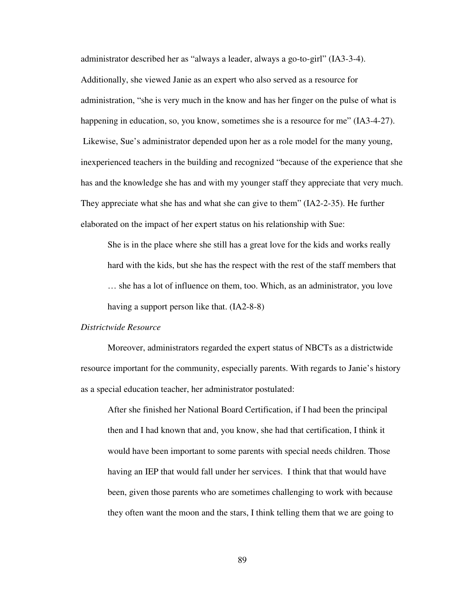administrator described her as "always a leader, always a go-to-girl" (IA3-3-4). Additionally, she viewed Janie as an expert who also served as a resource for administration, "she is very much in the know and has her finger on the pulse of what is happening in education, so, you know, sometimes she is a resource for me" (IA3-4-27). Likewise, Sue's administrator depended upon her as a role model for the many young, inexperienced teachers in the building and recognized "because of the experience that she has and the knowledge she has and with my younger staff they appreciate that very much. They appreciate what she has and what she can give to them" (IA2-2-35). He further elaborated on the impact of her expert status on his relationship with Sue:

She is in the place where she still has a great love for the kids and works really hard with the kids, but she has the respect with the rest of the staff members that … she has a lot of influence on them, too. Which, as an administrator, you love having a support person like that. (IA2-8-8)

### *Districtwide Resource*

Moreover, administrators regarded the expert status of NBCTs as a districtwide resource important for the community, especially parents. With regards to Janie's history as a special education teacher, her administrator postulated:

After she finished her National Board Certification, if I had been the principal then and I had known that and, you know, she had that certification, I think it would have been important to some parents with special needs children. Those having an IEP that would fall under her services. I think that that would have been, given those parents who are sometimes challenging to work with because they often want the moon and the stars, I think telling them that we are going to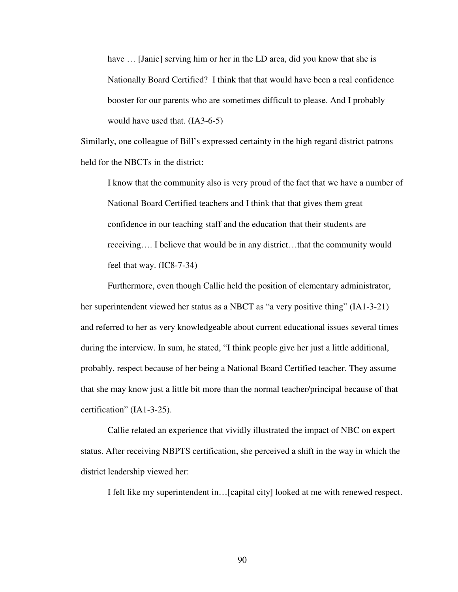have ... [Janie] serving him or her in the LD area, did you know that she is Nationally Board Certified? I think that that would have been a real confidence booster for our parents who are sometimes difficult to please. And I probably would have used that. (IA3-6-5)

Similarly, one colleague of Bill's expressed certainty in the high regard district patrons held for the NBCTs in the district:

I know that the community also is very proud of the fact that we have a number of National Board Certified teachers and I think that that gives them great confidence in our teaching staff and the education that their students are receiving…. I believe that would be in any district…that the community would feel that way. (IC8-7-34)

 Furthermore, even though Callie held the position of elementary administrator, her superintendent viewed her status as a NBCT as "a very positive thing" (IA1-3-21) and referred to her as very knowledgeable about current educational issues several times during the interview. In sum, he stated, "I think people give her just a little additional, probably, respect because of her being a National Board Certified teacher. They assume that she may know just a little bit more than the normal teacher/principal because of that certification" (IA1-3-25).

Callie related an experience that vividly illustrated the impact of NBC on expert status. After receiving NBPTS certification, she perceived a shift in the way in which the district leadership viewed her:

I felt like my superintendent in…[capital city] looked at me with renewed respect.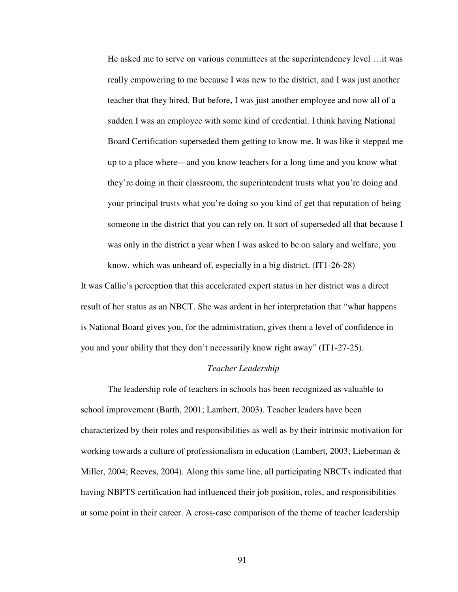He asked me to serve on various committees at the superintendency level …it was really empowering to me because I was new to the district, and I was just another teacher that they hired. But before, I was just another employee and now all of a sudden I was an employee with some kind of credential. I think having National Board Certification superseded them getting to know me. It was like it stepped me up to a place where—and you know teachers for a long time and you know what they're doing in their classroom, the superintendent trusts what you're doing and your principal trusts what you're doing so you kind of get that reputation of being someone in the district that you can rely on. It sort of superseded all that because I was only in the district a year when I was asked to be on salary and welfare, you know, which was unheard of, especially in a big district. (IT1-26-28)

It was Callie's perception that this accelerated expert status in her district was a direct result of her status as an NBCT. She was ardent in her interpretation that "what happens is National Board gives you, for the administration, gives them a level of confidence in you and your ability that they don't necessarily know right away" (IT1-27-25).

#### *Teacher Leadership*

The leadership role of teachers in schools has been recognized as valuable to school improvement (Barth, 2001; Lambert, 2003). Teacher leaders have been characterized by their roles and responsibilities as well as by their intrinsic motivation for working towards a culture of professionalism in education (Lambert, 2003; Lieberman & Miller, 2004; Reeves, 2004). Along this same line, all participating NBCTs indicated that having NBPTS certification had influenced their job position, roles, and responsibilities at some point in their career. A cross-case comparison of the theme of teacher leadership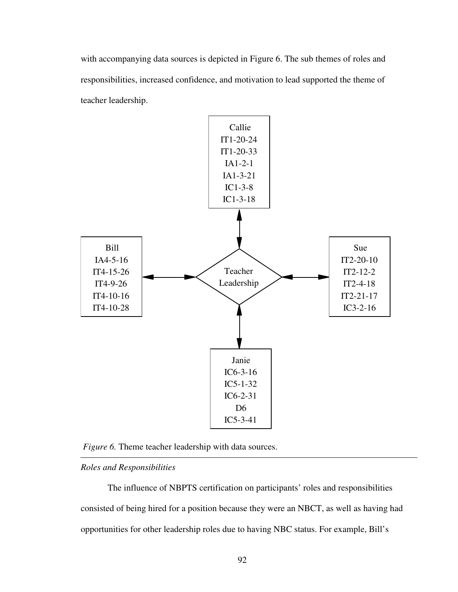with accompanying data sources is depicted in Figure 6. The sub themes of roles and responsibilities, increased confidence, and motivation to lead supported the theme of teacher leadership.



*Figure 6.* Theme teacher leadership with data sources.

# *Roles and Responsibilities*

The influence of NBPTS certification on participants' roles and responsibilities consisted of being hired for a position because they were an NBCT, as well as having had opportunities for other leadership roles due to having NBC status. For example, Bill's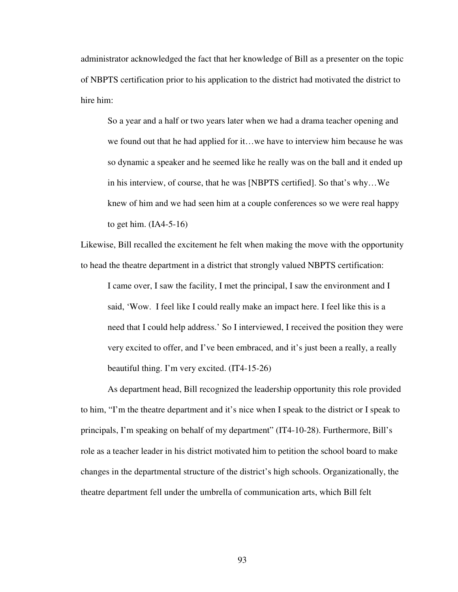administrator acknowledged the fact that her knowledge of Bill as a presenter on the topic of NBPTS certification prior to his application to the district had motivated the district to hire him:

So a year and a half or two years later when we had a drama teacher opening and we found out that he had applied for it…we have to interview him because he was so dynamic a speaker and he seemed like he really was on the ball and it ended up in his interview, of course, that he was [NBPTS certified]. So that's why…We knew of him and we had seen him at a couple conferences so we were real happy to get him.  $(IAA-5-16)$ 

Likewise, Bill recalled the excitement he felt when making the move with the opportunity to head the theatre department in a district that strongly valued NBPTS certification:

I came over, I saw the facility, I met the principal, I saw the environment and I said, 'Wow. I feel like I could really make an impact here. I feel like this is a need that I could help address.' So I interviewed, I received the position they were very excited to offer, and I've been embraced, and it's just been a really, a really beautiful thing. I'm very excited. (IT4-15-26)

As department head, Bill recognized the leadership opportunity this role provided to him, "I'm the theatre department and it's nice when I speak to the district or I speak to principals, I'm speaking on behalf of my department" (IT4-10-28). Furthermore, Bill's role as a teacher leader in his district motivated him to petition the school board to make changes in the departmental structure of the district's high schools. Organizationally, the theatre department fell under the umbrella of communication arts, which Bill felt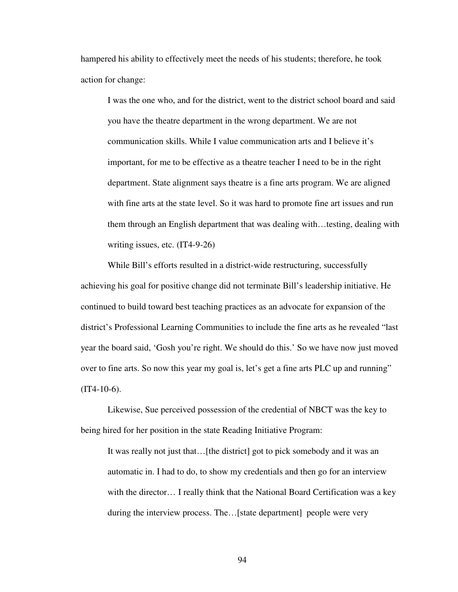hampered his ability to effectively meet the needs of his students; therefore, he took action for change:

I was the one who, and for the district, went to the district school board and said you have the theatre department in the wrong department. We are not communication skills. While I value communication arts and I believe it's important, for me to be effective as a theatre teacher I need to be in the right department. State alignment says theatre is a fine arts program. We are aligned with fine arts at the state level. So it was hard to promote fine art issues and run them through an English department that was dealing with…testing, dealing with writing issues, etc. (IT4-9-26)

While Bill's efforts resulted in a district-wide restructuring, successfully achieving his goal for positive change did not terminate Bill's leadership initiative. He continued to build toward best teaching practices as an advocate for expansion of the district's Professional Learning Communities to include the fine arts as he revealed "last year the board said, 'Gosh you're right. We should do this.' So we have now just moved over to fine arts. So now this year my goal is, let's get a fine arts PLC up and running"  $(TT4-10-6)$ .

Likewise, Sue perceived possession of the credential of NBCT was the key to being hired for her position in the state Reading Initiative Program:

It was really not just that…[the district] got to pick somebody and it was an automatic in. I had to do, to show my credentials and then go for an interview with the director… I really think that the National Board Certification was a key during the interview process. The... [state department] people were very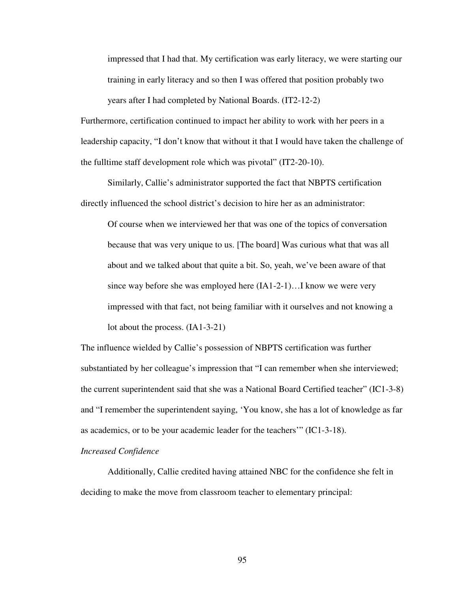impressed that I had that. My certification was early literacy, we were starting our training in early literacy and so then I was offered that position probably two years after I had completed by National Boards. (IT2-12-2)

Furthermore, certification continued to impact her ability to work with her peers in a leadership capacity, "I don't know that without it that I would have taken the challenge of the fulltime staff development role which was pivotal" (IT2-20-10).

 Similarly, Callie's administrator supported the fact that NBPTS certification directly influenced the school district's decision to hire her as an administrator:

Of course when we interviewed her that was one of the topics of conversation because that was very unique to us. [The board] Was curious what that was all about and we talked about that quite a bit. So, yeah, we've been aware of that since way before she was employed here (IA1-2-1)…I know we were very impressed with that fact, not being familiar with it ourselves and not knowing a lot about the process. (IA1-3-21)

The influence wielded by Callie's possession of NBPTS certification was further substantiated by her colleague's impression that "I can remember when she interviewed; the current superintendent said that she was a National Board Certified teacher" (IC1-3-8) and "I remember the superintendent saying, 'You know, she has a lot of knowledge as far as academics, or to be your academic leader for the teachers'" (IC1-3-18).

# *Increased Confidence*

Additionally, Callie credited having attained NBC for the confidence she felt in deciding to make the move from classroom teacher to elementary principal: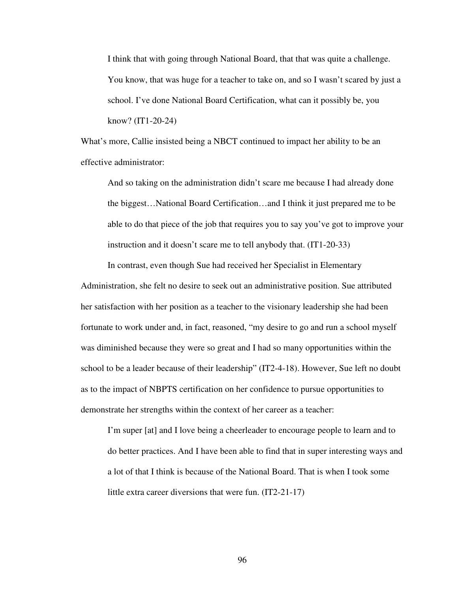I think that with going through National Board, that that was quite a challenge. You know, that was huge for a teacher to take on, and so I wasn't scared by just a school. I've done National Board Certification, what can it possibly be, you know? (IT1-20-24)

What's more, Callie insisted being a NBCT continued to impact her ability to be an effective administrator:

And so taking on the administration didn't scare me because I had already done the biggest…National Board Certification…and I think it just prepared me to be able to do that piece of the job that requires you to say you've got to improve your instruction and it doesn't scare me to tell anybody that. (IT1-20-33)

In contrast, even though Sue had received her Specialist in Elementary Administration, she felt no desire to seek out an administrative position. Sue attributed her satisfaction with her position as a teacher to the visionary leadership she had been fortunate to work under and, in fact, reasoned, "my desire to go and run a school myself was diminished because they were so great and I had so many opportunities within the school to be a leader because of their leadership" (IT2-4-18). However, Sue left no doubt as to the impact of NBPTS certification on her confidence to pursue opportunities to demonstrate her strengths within the context of her career as a teacher:

I'm super [at] and I love being a cheerleader to encourage people to learn and to do better practices. And I have been able to find that in super interesting ways and a lot of that I think is because of the National Board. That is when I took some little extra career diversions that were fun. (IT2-21-17)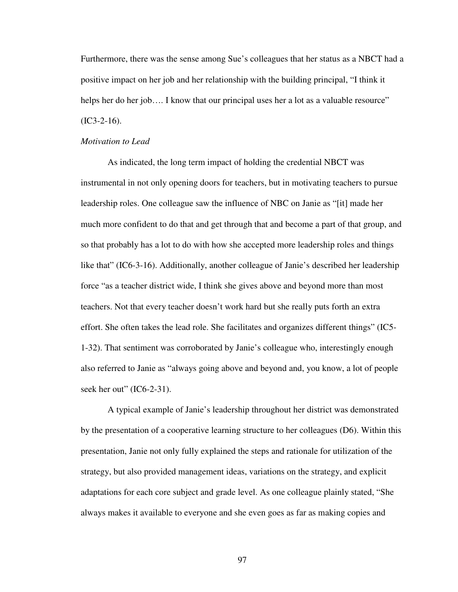Furthermore, there was the sense among Sue's colleagues that her status as a NBCT had a positive impact on her job and her relationship with the building principal, "I think it helps her do her job.... I know that our principal uses her a lot as a valuable resource"  $(IC3-2-16).$ 

### *Motivation to Lead*

As indicated, the long term impact of holding the credential NBCT was instrumental in not only opening doors for teachers, but in motivating teachers to pursue leadership roles. One colleague saw the influence of NBC on Janie as "[it] made her much more confident to do that and get through that and become a part of that group, and so that probably has a lot to do with how she accepted more leadership roles and things like that" (IC6-3-16). Additionally, another colleague of Janie's described her leadership force "as a teacher district wide, I think she gives above and beyond more than most teachers. Not that every teacher doesn't work hard but she really puts forth an extra effort. She often takes the lead role. She facilitates and organizes different things" (IC5- 1-32). That sentiment was corroborated by Janie's colleague who, interestingly enough also referred to Janie as "always going above and beyond and, you know, a lot of people seek her out" (IC6-2-31).

A typical example of Janie's leadership throughout her district was demonstrated by the presentation of a cooperative learning structure to her colleagues (D6). Within this presentation, Janie not only fully explained the steps and rationale for utilization of the strategy, but also provided management ideas, variations on the strategy, and explicit adaptations for each core subject and grade level. As one colleague plainly stated, "She always makes it available to everyone and she even goes as far as making copies and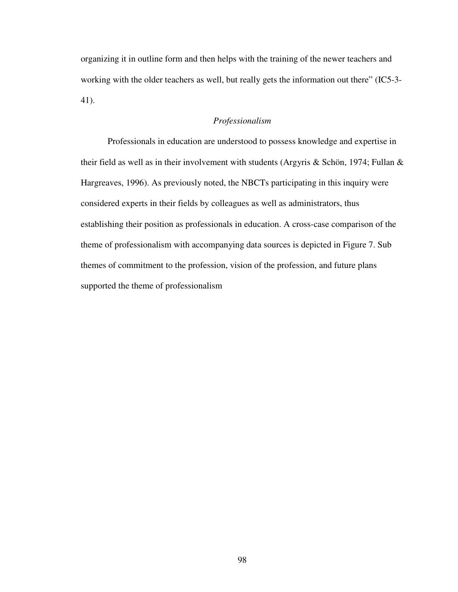organizing it in outline form and then helps with the training of the newer teachers and working with the older teachers as well, but really gets the information out there" (IC5-3- 41).

# *Professionalism*

Professionals in education are understood to possess knowledge and expertise in their field as well as in their involvement with students (Argyris & Schön, 1974; Fullan & Hargreaves, 1996). As previously noted, the NBCTs participating in this inquiry were considered experts in their fields by colleagues as well as administrators, thus establishing their position as professionals in education. A cross-case comparison of the theme of professionalism with accompanying data sources is depicted in Figure 7. Sub themes of commitment to the profession, vision of the profession, and future plans supported the theme of professionalism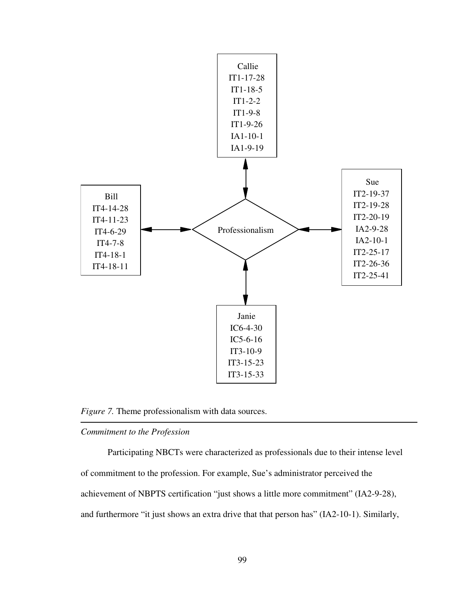

*Figure 7.* Theme professionalism with data sources.

## *Commitment to the Profession*

Participating NBCTs were characterized as professionals due to their intense level of commitment to the profession. For example, Sue's administrator perceived the achievement of NBPTS certification "just shows a little more commitment" (IA2-9-28), and furthermore "it just shows an extra drive that that person has" (IA2-10-1). Similarly,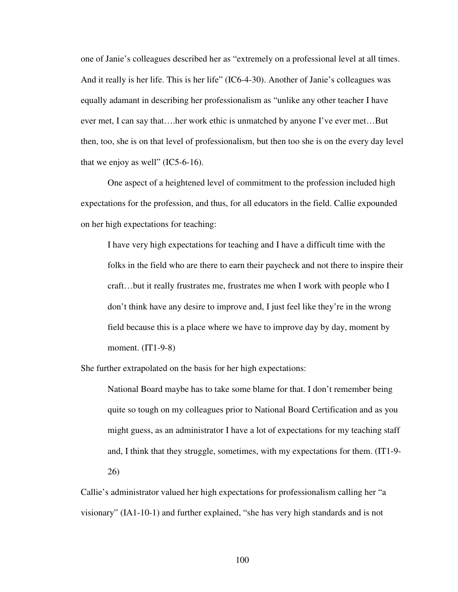one of Janie's colleagues described her as "extremely on a professional level at all times. And it really is her life. This is her life" (IC6-4-30). Another of Janie's colleagues was equally adamant in describing her professionalism as "unlike any other teacher I have ever met, I can say that….her work ethic is unmatched by anyone I've ever met…But then, too, she is on that level of professionalism, but then too she is on the every day level that we enjoy as well"  $(IC5-6-16)$ .

One aspect of a heightened level of commitment to the profession included high expectations for the profession, and thus, for all educators in the field. Callie expounded on her high expectations for teaching:

I have very high expectations for teaching and I have a difficult time with the folks in the field who are there to earn their paycheck and not there to inspire their craft…but it really frustrates me, frustrates me when I work with people who I don't think have any desire to improve and, I just feel like they're in the wrong field because this is a place where we have to improve day by day, moment by moment. (IT1-9-8)

She further extrapolated on the basis for her high expectations:

National Board maybe has to take some blame for that. I don't remember being quite so tough on my colleagues prior to National Board Certification and as you might guess, as an administrator I have a lot of expectations for my teaching staff and, I think that they struggle, sometimes, with my expectations for them. (IT1-9- 26)

Callie's administrator valued her high expectations for professionalism calling her "a visionary" (IA1-10-1) and further explained, "she has very high standards and is not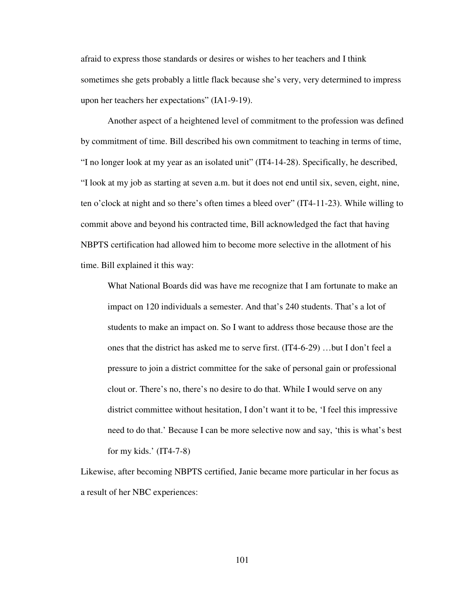afraid to express those standards or desires or wishes to her teachers and I think sometimes she gets probably a little flack because she's very, very determined to impress upon her teachers her expectations" (IA1-9-19).

Another aspect of a heightened level of commitment to the profession was defined by commitment of time. Bill described his own commitment to teaching in terms of time, "I no longer look at my year as an isolated unit" (IT4-14-28). Specifically, he described, "I look at my job as starting at seven a.m. but it does not end until six, seven, eight, nine, ten o'clock at night and so there's often times a bleed over" (IT4-11-23). While willing to commit above and beyond his contracted time, Bill acknowledged the fact that having NBPTS certification had allowed him to become more selective in the allotment of his time. Bill explained it this way:

What National Boards did was have me recognize that I am fortunate to make an impact on 120 individuals a semester. And that's 240 students. That's a lot of students to make an impact on. So I want to address those because those are the ones that the district has asked me to serve first. (IT4-6-29) …but I don't feel a pressure to join a district committee for the sake of personal gain or professional clout or. There's no, there's no desire to do that. While I would serve on any district committee without hesitation, I don't want it to be, 'I feel this impressive need to do that.' Because I can be more selective now and say, 'this is what's best for my kids.'  $(IT4-7-8)$ 

Likewise, after becoming NBPTS certified, Janie became more particular in her focus as a result of her NBC experiences: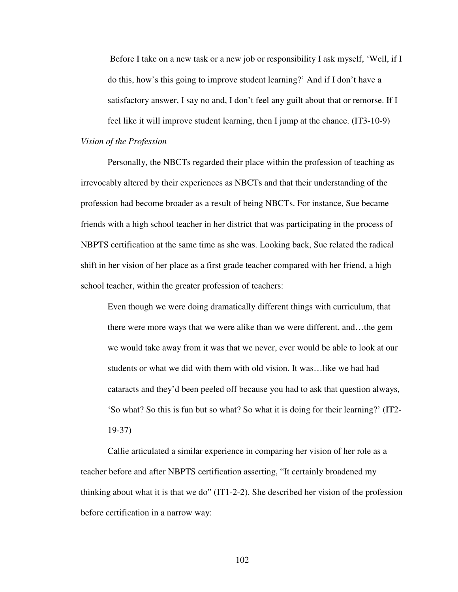Before I take on a new task or a new job or responsibility I ask myself, 'Well, if I do this, how's this going to improve student learning?' And if I don't have a satisfactory answer, I say no and, I don't feel any guilt about that or remorse. If I feel like it will improve student learning, then I jump at the chance. (IT3-10-9)

*Vision of the Profession* 

Personally, the NBCTs regarded their place within the profession of teaching as irrevocably altered by their experiences as NBCTs and that their understanding of the profession had become broader as a result of being NBCTs. For instance, Sue became friends with a high school teacher in her district that was participating in the process of NBPTS certification at the same time as she was. Looking back, Sue related the radical shift in her vision of her place as a first grade teacher compared with her friend, a high school teacher, within the greater profession of teachers:

Even though we were doing dramatically different things with curriculum, that there were more ways that we were alike than we were different, and…the gem we would take away from it was that we never, ever would be able to look at our students or what we did with them with old vision. It was…like we had had cataracts and they'd been peeled off because you had to ask that question always, 'So what? So this is fun but so what? So what it is doing for their learning?' (IT2- 19-37)

Callie articulated a similar experience in comparing her vision of her role as a teacher before and after NBPTS certification asserting, "It certainly broadened my thinking about what it is that we do"  $(IT1-2-2)$ . She described her vision of the profession before certification in a narrow way: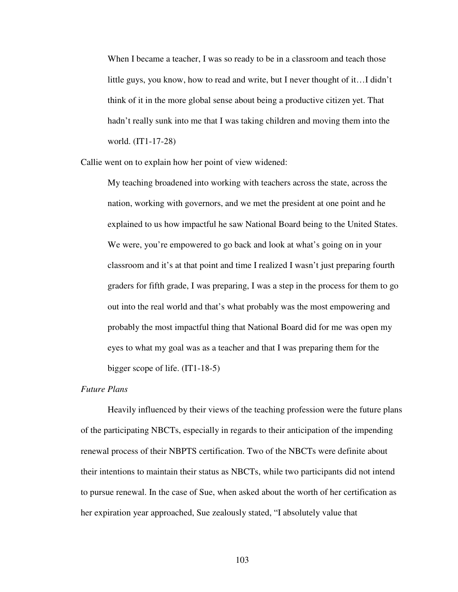When I became a teacher, I was so ready to be in a classroom and teach those little guys, you know, how to read and write, but I never thought of it…I didn't think of it in the more global sense about being a productive citizen yet. That hadn't really sunk into me that I was taking children and moving them into the world. (IT1-17-28)

Callie went on to explain how her point of view widened:

My teaching broadened into working with teachers across the state, across the nation, working with governors, and we met the president at one point and he explained to us how impactful he saw National Board being to the United States. We were, you're empowered to go back and look at what's going on in your classroom and it's at that point and time I realized I wasn't just preparing fourth graders for fifth grade, I was preparing, I was a step in the process for them to go out into the real world and that's what probably was the most empowering and probably the most impactful thing that National Board did for me was open my eyes to what my goal was as a teacher and that I was preparing them for the bigger scope of life. (IT1-18-5)

### *Future Plans*

Heavily influenced by their views of the teaching profession were the future plans of the participating NBCTs, especially in regards to their anticipation of the impending renewal process of their NBPTS certification. Two of the NBCTs were definite about their intentions to maintain their status as NBCTs, while two participants did not intend to pursue renewal. In the case of Sue, when asked about the worth of her certification as her expiration year approached, Sue zealously stated, "I absolutely value that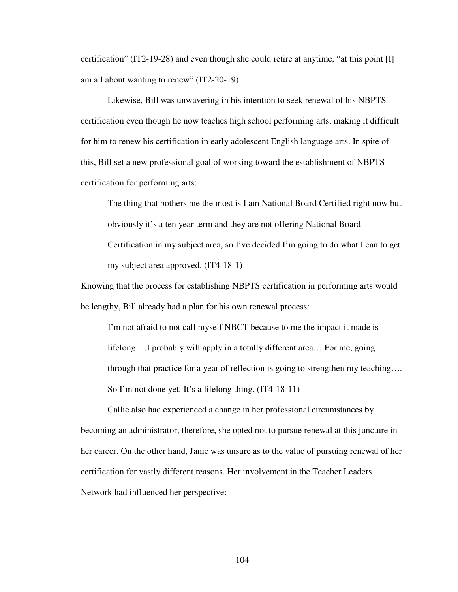certification" (IT2-19-28) and even though she could retire at anytime, "at this point [I] am all about wanting to renew" (IT2-20-19).

Likewise, Bill was unwavering in his intention to seek renewal of his NBPTS certification even though he now teaches high school performing arts, making it difficult for him to renew his certification in early adolescent English language arts. In spite of this, Bill set a new professional goal of working toward the establishment of NBPTS certification for performing arts:

The thing that bothers me the most is I am National Board Certified right now but obviously it's a ten year term and they are not offering National Board Certification in my subject area, so I've decided I'm going to do what I can to get my subject area approved. (IT4-18-1)

Knowing that the process for establishing NBPTS certification in performing arts would be lengthy, Bill already had a plan for his own renewal process:

I'm not afraid to not call myself NBCT because to me the impact it made is lifelong….I probably will apply in a totally different area….For me, going through that practice for a year of reflection is going to strengthen my teaching…. So I'm not done yet. It's a lifelong thing. (IT4-18-11)

 Callie also had experienced a change in her professional circumstances by becoming an administrator; therefore, she opted not to pursue renewal at this juncture in her career. On the other hand, Janie was unsure as to the value of pursuing renewal of her certification for vastly different reasons. Her involvement in the Teacher Leaders Network had influenced her perspective: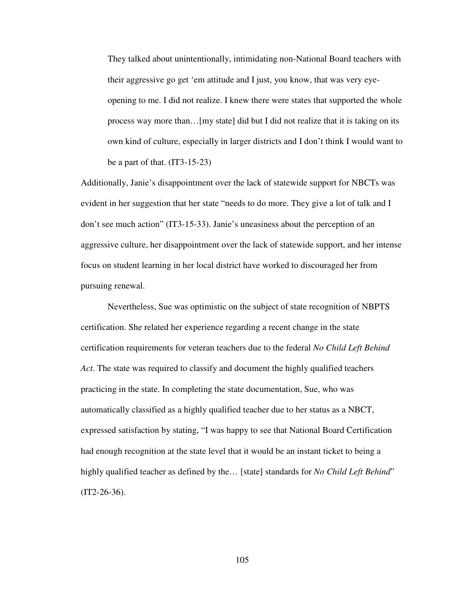They talked about unintentionally, intimidating non-National Board teachers with their aggressive go get 'em attitude and I just, you know, that was very eyeopening to me. I did not realize. I knew there were states that supported the whole process way more than…[my state] did but I did not realize that it is taking on its own kind of culture, especially in larger districts and I don't think I would want to be a part of that.  $(IT3-15-23)$ 

Additionally, Janie's disappointment over the lack of statewide support for NBCTs was evident in her suggestion that her state "needs to do more. They give a lot of talk and I don't see much action" (IT3-15-33). Janie's uneasiness about the perception of an aggressive culture, her disappointment over the lack of statewide support, and her intense focus on student learning in her local district have worked to discouraged her from pursuing renewal.

 Nevertheless, Sue was optimistic on the subject of state recognition of NBPTS certification. She related her experience regarding a recent change in the state certification requirements for veteran teachers due to the federal *No Child Left Behind Act*. The state was required to classify and document the highly qualified teachers practicing in the state. In completing the state documentation, Sue, who was automatically classified as a highly qualified teacher due to her status as a NBCT, expressed satisfaction by stating, "I was happy to see that National Board Certification had enough recognition at the state level that it would be an instant ticket to being a highly qualified teacher as defined by the... [state] standards for *No Child Left Behind*"  $(IT2-26-36).$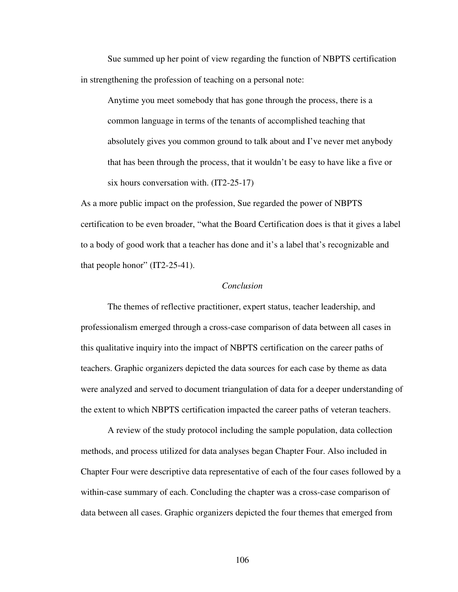Sue summed up her point of view regarding the function of NBPTS certification in strengthening the profession of teaching on a personal note:

Anytime you meet somebody that has gone through the process, there is a common language in terms of the tenants of accomplished teaching that absolutely gives you common ground to talk about and I've never met anybody that has been through the process, that it wouldn't be easy to have like a five or six hours conversation with. (IT2-25-17)

As a more public impact on the profession, Sue regarded the power of NBPTS certification to be even broader, "what the Board Certification does is that it gives a label to a body of good work that a teacher has done and it's a label that's recognizable and that people honor" (IT2-25-41).

### *Conclusion*

 The themes of reflective practitioner, expert status, teacher leadership, and professionalism emerged through a cross-case comparison of data between all cases in this qualitative inquiry into the impact of NBPTS certification on the career paths of teachers. Graphic organizers depicted the data sources for each case by theme as data were analyzed and served to document triangulation of data for a deeper understanding of the extent to which NBPTS certification impacted the career paths of veteran teachers.

 A review of the study protocol including the sample population, data collection methods, and process utilized for data analyses began Chapter Four. Also included in Chapter Four were descriptive data representative of each of the four cases followed by a within-case summary of each. Concluding the chapter was a cross-case comparison of data between all cases. Graphic organizers depicted the four themes that emerged from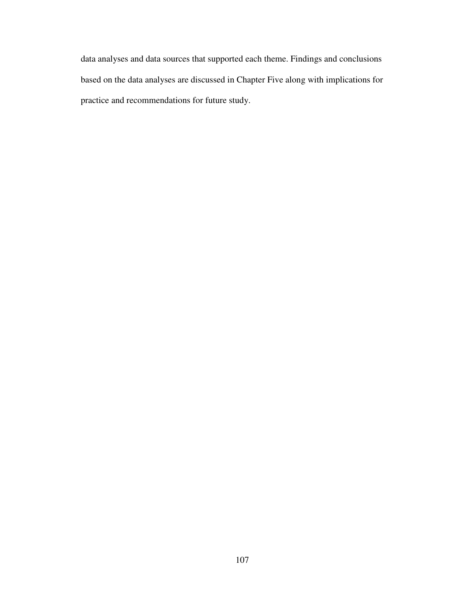data analyses and data sources that supported each theme. Findings and conclusions based on the data analyses are discussed in Chapter Five along with implications for practice and recommendations for future study.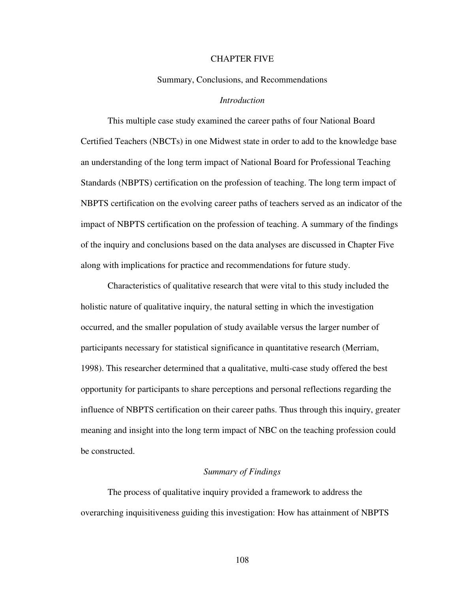### CHAPTER FIVE

### Summary, Conclusions, and Recommendations

### *Introduction*

This multiple case study examined the career paths of four National Board Certified Teachers (NBCTs) in one Midwest state in order to add to the knowledge base an understanding of the long term impact of National Board for Professional Teaching Standards (NBPTS) certification on the profession of teaching. The long term impact of NBPTS certification on the evolving career paths of teachers served as an indicator of the impact of NBPTS certification on the profession of teaching. A summary of the findings of the inquiry and conclusions based on the data analyses are discussed in Chapter Five along with implications for practice and recommendations for future study.

Characteristics of qualitative research that were vital to this study included the holistic nature of qualitative inquiry, the natural setting in which the investigation occurred, and the smaller population of study available versus the larger number of participants necessary for statistical significance in quantitative research (Merriam, 1998). This researcher determined that a qualitative, multi-case study offered the best opportunity for participants to share perceptions and personal reflections regarding the influence of NBPTS certification on their career paths. Thus through this inquiry, greater meaning and insight into the long term impact of NBC on the teaching profession could be constructed.

#### *Summary of Findings*

The process of qualitative inquiry provided a framework to address the overarching inquisitiveness guiding this investigation: How has attainment of NBPTS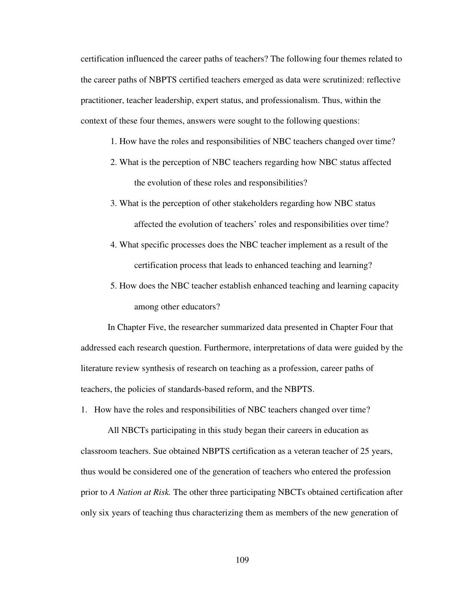certification influenced the career paths of teachers? The following four themes related to the career paths of NBPTS certified teachers emerged as data were scrutinized: reflective practitioner, teacher leadership, expert status, and professionalism. Thus, within the context of these four themes, answers were sought to the following questions:

- 1. How have the roles and responsibilities of NBC teachers changed over time?
- 2. What is the perception of NBC teachers regarding how NBC status affected the evolution of these roles and responsibilities?
- 3. What is the perception of other stakeholders regarding how NBC status affected the evolution of teachers' roles and responsibilities over time?
- 4. What specific processes does the NBC teacher implement as a result of the certification process that leads to enhanced teaching and learning?
- 5. How does the NBC teacher establish enhanced teaching and learning capacity among other educators?

In Chapter Five, the researcher summarized data presented in Chapter Four that addressed each research question. Furthermore, interpretations of data were guided by the literature review synthesis of research on teaching as a profession, career paths of teachers, the policies of standards-based reform, and the NBPTS.

1. How have the roles and responsibilities of NBC teachers changed over time?

All NBCTs participating in this study began their careers in education as classroom teachers. Sue obtained NBPTS certification as a veteran teacher of 25 years, thus would be considered one of the generation of teachers who entered the profession prior to *A Nation at Risk.* The other three participating NBCTs obtained certification after only six years of teaching thus characterizing them as members of the new generation of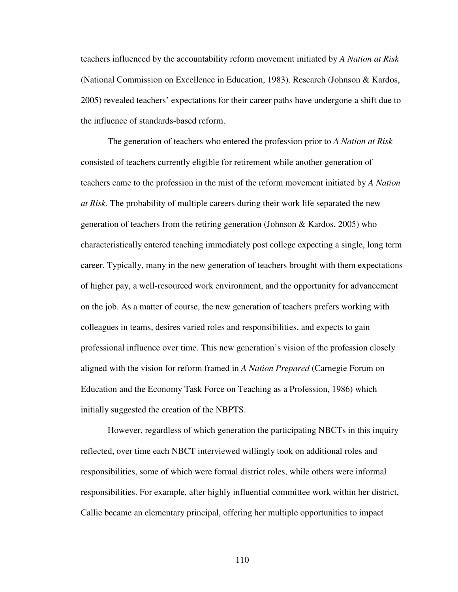teachers influenced by the accountability reform movement initiated by *A Nation at Risk* (National Commission on Excellence in Education, 1983). Research (Johnson & Kardos, 2005) revealed teachers' expectations for their career paths have undergone a shift due to the influence of standards-based reform.

The generation of teachers who entered the profession prior to *A Nation at Risk*  consisted of teachers currently eligible for retirement while another generation of teachers came to the profession in the mist of the reform movement initiated by *A Nation at Risk.* The probability of multiple careers during their work life separated the new generation of teachers from the retiring generation (Johnson & Kardos, 2005) who characteristically entered teaching immediately post college expecting a single, long term career. Typically, many in the new generation of teachers brought with them expectations of higher pay, a well-resourced work environment, and the opportunity for advancement on the job. As a matter of course, the new generation of teachers prefers working with colleagues in teams, desires varied roles and responsibilities, and expects to gain professional influence over time. This new generation's vision of the profession closely aligned with the vision for reform framed in *A Nation Prepared* (Carnegie Forum on Education and the Economy Task Force on Teaching as a Profession, 1986) which initially suggested the creation of the NBPTS.

However, regardless of which generation the participating NBCTs in this inquiry reflected, over time each NBCT interviewed willingly took on additional roles and responsibilities, some of which were formal district roles, while others were informal responsibilities. For example, after highly influential committee work within her district, Callie became an elementary principal, offering her multiple opportunities to impact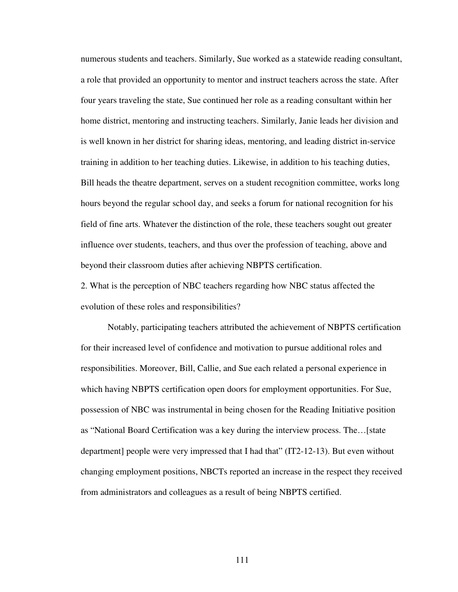numerous students and teachers. Similarly, Sue worked as a statewide reading consultant, a role that provided an opportunity to mentor and instruct teachers across the state. After four years traveling the state, Sue continued her role as a reading consultant within her home district, mentoring and instructing teachers. Similarly, Janie leads her division and is well known in her district for sharing ideas, mentoring, and leading district in-service training in addition to her teaching duties. Likewise, in addition to his teaching duties, Bill heads the theatre department, serves on a student recognition committee, works long hours beyond the regular school day, and seeks a forum for national recognition for his field of fine arts. Whatever the distinction of the role, these teachers sought out greater influence over students, teachers, and thus over the profession of teaching, above and beyond their classroom duties after achieving NBPTS certification.

2. What is the perception of NBC teachers regarding how NBC status affected the evolution of these roles and responsibilities?

Notably, participating teachers attributed the achievement of NBPTS certification for their increased level of confidence and motivation to pursue additional roles and responsibilities. Moreover, Bill, Callie, and Sue each related a personal experience in which having NBPTS certification open doors for employment opportunities. For Sue, possession of NBC was instrumental in being chosen for the Reading Initiative position as "National Board Certification was a key during the interview process. The…[state department] people were very impressed that I had that" (IT2-12-13). But even without changing employment positions, NBCTs reported an increase in the respect they received from administrators and colleagues as a result of being NBPTS certified.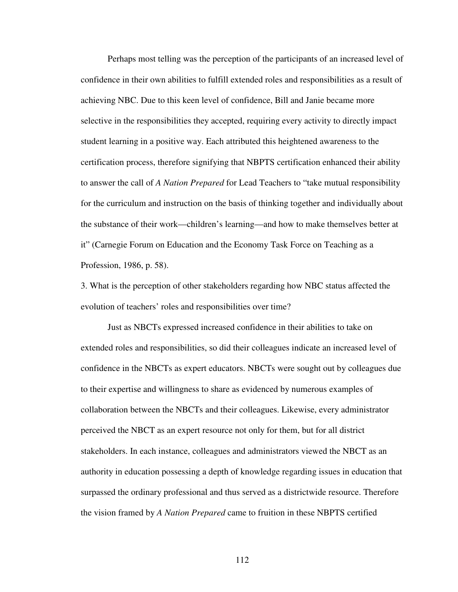Perhaps most telling was the perception of the participants of an increased level of confidence in their own abilities to fulfill extended roles and responsibilities as a result of achieving NBC. Due to this keen level of confidence, Bill and Janie became more selective in the responsibilities they accepted, requiring every activity to directly impact student learning in a positive way. Each attributed this heightened awareness to the certification process, therefore signifying that NBPTS certification enhanced their ability to answer the call of *A Nation Prepared* for Lead Teachers to "take mutual responsibility for the curriculum and instruction on the basis of thinking together and individually about the substance of their work—children's learning—and how to make themselves better at it" (Carnegie Forum on Education and the Economy Task Force on Teaching as a Profession, 1986, p. 58).

3. What is the perception of other stakeholders regarding how NBC status affected the evolution of teachers' roles and responsibilities over time?

Just as NBCTs expressed increased confidence in their abilities to take on extended roles and responsibilities, so did their colleagues indicate an increased level of confidence in the NBCTs as expert educators. NBCTs were sought out by colleagues due to their expertise and willingness to share as evidenced by numerous examples of collaboration between the NBCTs and their colleagues. Likewise, every administrator perceived the NBCT as an expert resource not only for them, but for all district stakeholders. In each instance, colleagues and administrators viewed the NBCT as an authority in education possessing a depth of knowledge regarding issues in education that surpassed the ordinary professional and thus served as a districtwide resource. Therefore the vision framed by *A Nation Prepared* came to fruition in these NBPTS certified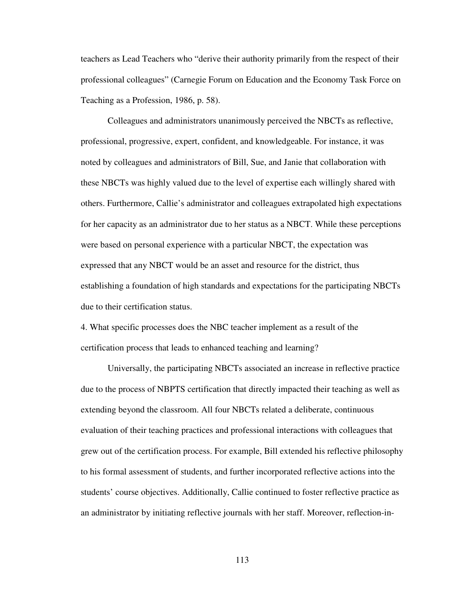teachers as Lead Teachers who "derive their authority primarily from the respect of their professional colleagues" (Carnegie Forum on Education and the Economy Task Force on Teaching as a Profession, 1986, p. 58).

Colleagues and administrators unanimously perceived the NBCTs as reflective, professional, progressive, expert, confident, and knowledgeable. For instance, it was noted by colleagues and administrators of Bill, Sue, and Janie that collaboration with these NBCTs was highly valued due to the level of expertise each willingly shared with others. Furthermore, Callie's administrator and colleagues extrapolated high expectations for her capacity as an administrator due to her status as a NBCT. While these perceptions were based on personal experience with a particular NBCT, the expectation was expressed that any NBCT would be an asset and resource for the district, thus establishing a foundation of high standards and expectations for the participating NBCTs due to their certification status.

4. What specific processes does the NBC teacher implement as a result of the certification process that leads to enhanced teaching and learning?

Universally, the participating NBCTs associated an increase in reflective practice due to the process of NBPTS certification that directly impacted their teaching as well as extending beyond the classroom. All four NBCTs related a deliberate, continuous evaluation of their teaching practices and professional interactions with colleagues that grew out of the certification process. For example, Bill extended his reflective philosophy to his formal assessment of students, and further incorporated reflective actions into the students' course objectives. Additionally, Callie continued to foster reflective practice as an administrator by initiating reflective journals with her staff. Moreover, reflection-in-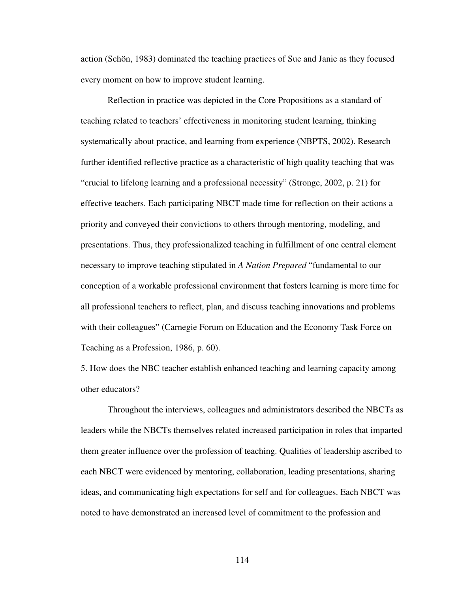action (Schön, 1983) dominated the teaching practices of Sue and Janie as they focused every moment on how to improve student learning.

Reflection in practice was depicted in the Core Propositions as a standard of teaching related to teachers' effectiveness in monitoring student learning, thinking systematically about practice, and learning from experience (NBPTS, 2002). Research further identified reflective practice as a characteristic of high quality teaching that was "crucial to lifelong learning and a professional necessity" (Stronge, 2002, p. 21) for effective teachers. Each participating NBCT made time for reflection on their actions a priority and conveyed their convictions to others through mentoring, modeling, and presentations. Thus, they professionalized teaching in fulfillment of one central element necessary to improve teaching stipulated in *A Nation Prepared* "fundamental to our conception of a workable professional environment that fosters learning is more time for all professional teachers to reflect, plan, and discuss teaching innovations and problems with their colleagues" (Carnegie Forum on Education and the Economy Task Force on Teaching as a Profession, 1986, p. 60).

5. How does the NBC teacher establish enhanced teaching and learning capacity among other educators?

Throughout the interviews, colleagues and administrators described the NBCTs as leaders while the NBCTs themselves related increased participation in roles that imparted them greater influence over the profession of teaching. Qualities of leadership ascribed to each NBCT were evidenced by mentoring, collaboration, leading presentations, sharing ideas, and communicating high expectations for self and for colleagues. Each NBCT was noted to have demonstrated an increased level of commitment to the profession and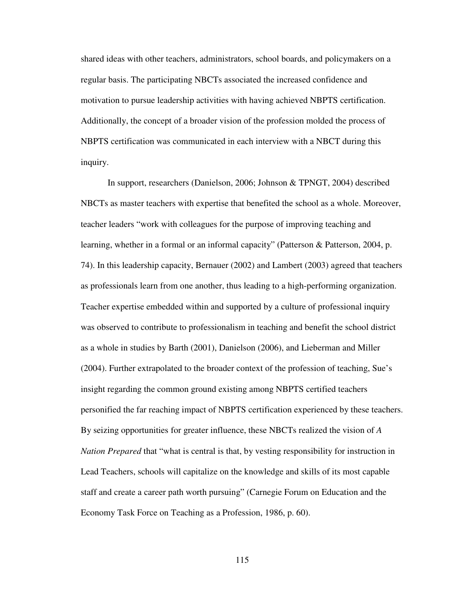shared ideas with other teachers, administrators, school boards, and policymakers on a regular basis. The participating NBCTs associated the increased confidence and motivation to pursue leadership activities with having achieved NBPTS certification. Additionally, the concept of a broader vision of the profession molded the process of NBPTS certification was communicated in each interview with a NBCT during this inquiry.

In support, researchers (Danielson, 2006; Johnson & TPNGT, 2004) described NBCTs as master teachers with expertise that benefited the school as a whole. Moreover, teacher leaders "work with colleagues for the purpose of improving teaching and learning, whether in a formal or an informal capacity" (Patterson & Patterson, 2004, p. 74). In this leadership capacity, Bernauer (2002) and Lambert (2003) agreed that teachers as professionals learn from one another, thus leading to a high-performing organization. Teacher expertise embedded within and supported by a culture of professional inquiry was observed to contribute to professionalism in teaching and benefit the school district as a whole in studies by Barth (2001), Danielson (2006), and Lieberman and Miller (2004). Further extrapolated to the broader context of the profession of teaching, Sue's insight regarding the common ground existing among NBPTS certified teachers personified the far reaching impact of NBPTS certification experienced by these teachers. By seizing opportunities for greater influence, these NBCTs realized the vision of *A Nation Prepared* that "what is central is that, by vesting responsibility for instruction in Lead Teachers, schools will capitalize on the knowledge and skills of its most capable staff and create a career path worth pursuing" (Carnegie Forum on Education and the Economy Task Force on Teaching as a Profession, 1986, p. 60).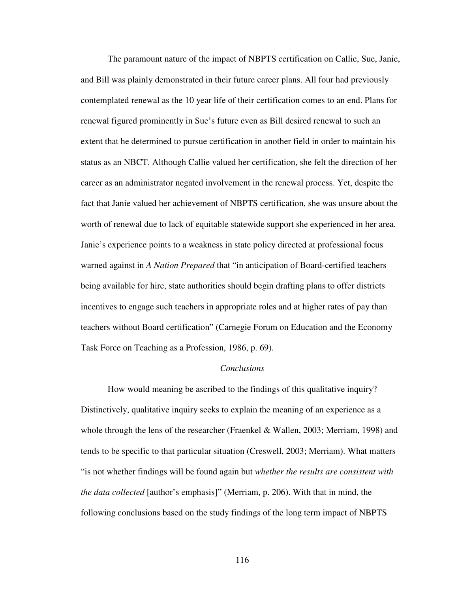The paramount nature of the impact of NBPTS certification on Callie, Sue, Janie, and Bill was plainly demonstrated in their future career plans. All four had previously contemplated renewal as the 10 year life of their certification comes to an end. Plans for renewal figured prominently in Sue's future even as Bill desired renewal to such an extent that he determined to pursue certification in another field in order to maintain his status as an NBCT. Although Callie valued her certification, she felt the direction of her career as an administrator negated involvement in the renewal process. Yet, despite the fact that Janie valued her achievement of NBPTS certification, she was unsure about the worth of renewal due to lack of equitable statewide support she experienced in her area. Janie's experience points to a weakness in state policy directed at professional focus warned against in *A Nation Prepared* that "in anticipation of Board-certified teachers being available for hire, state authorities should begin drafting plans to offer districts incentives to engage such teachers in appropriate roles and at higher rates of pay than teachers without Board certification" (Carnegie Forum on Education and the Economy Task Force on Teaching as a Profession, 1986, p. 69).

### *Conclusions*

 How would meaning be ascribed to the findings of this qualitative inquiry? Distinctively, qualitative inquiry seeks to explain the meaning of an experience as a whole through the lens of the researcher (Fraenkel & Wallen, 2003; Merriam, 1998) and tends to be specific to that particular situation (Creswell, 2003; Merriam). What matters "is not whether findings will be found again but *whether the results are consistent with the data collected* [author's emphasis]" (Merriam, p. 206). With that in mind, the following conclusions based on the study findings of the long term impact of NBPTS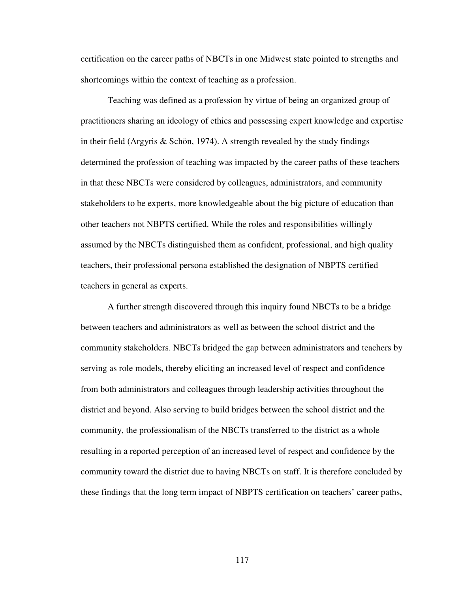certification on the career paths of NBCTs in one Midwest state pointed to strengths and shortcomings within the context of teaching as a profession.

Teaching was defined as a profession by virtue of being an organized group of practitioners sharing an ideology of ethics and possessing expert knowledge and expertise in their field (Argyris & Schön, 1974). A strength revealed by the study findings determined the profession of teaching was impacted by the career paths of these teachers in that these NBCTs were considered by colleagues, administrators, and community stakeholders to be experts, more knowledgeable about the big picture of education than other teachers not NBPTS certified. While the roles and responsibilities willingly assumed by the NBCTs distinguished them as confident, professional, and high quality teachers, their professional persona established the designation of NBPTS certified teachers in general as experts.

A further strength discovered through this inquiry found NBCTs to be a bridge between teachers and administrators as well as between the school district and the community stakeholders. NBCTs bridged the gap between administrators and teachers by serving as role models, thereby eliciting an increased level of respect and confidence from both administrators and colleagues through leadership activities throughout the district and beyond. Also serving to build bridges between the school district and the community, the professionalism of the NBCTs transferred to the district as a whole resulting in a reported perception of an increased level of respect and confidence by the community toward the district due to having NBCTs on staff. It is therefore concluded by these findings that the long term impact of NBPTS certification on teachers' career paths,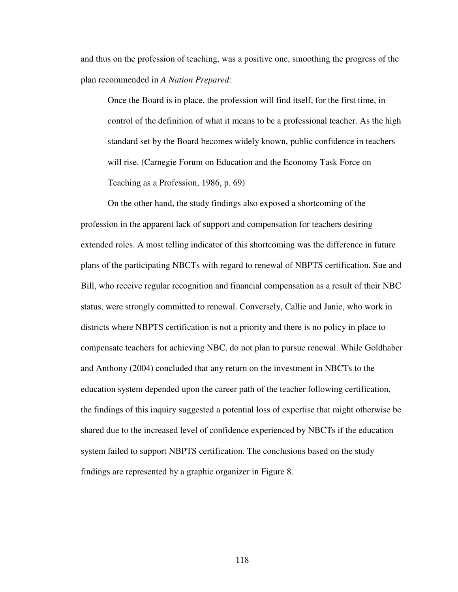and thus on the profession of teaching, was a positive one, smoothing the progress of the plan recommended in *A Nation Prepared*:

Once the Board is in place, the profession will find itself, for the first time, in control of the definition of what it means to be a professional teacher. As the high standard set by the Board becomes widely known, public confidence in teachers will rise. (Carnegie Forum on Education and the Economy Task Force on Teaching as a Profession, 1986, p. 69)

On the other hand, the study findings also exposed a shortcoming of the profession in the apparent lack of support and compensation for teachers desiring extended roles. A most telling indicator of this shortcoming was the difference in future plans of the participating NBCTs with regard to renewal of NBPTS certification. Sue and Bill, who receive regular recognition and financial compensation as a result of their NBC status, were strongly committed to renewal. Conversely, Callie and Janie, who work in districts where NBPTS certification is not a priority and there is no policy in place to compensate teachers for achieving NBC, do not plan to pursue renewal. While Goldhaber and Anthony (2004) concluded that any return on the investment in NBCTs to the education system depended upon the career path of the teacher following certification, the findings of this inquiry suggested a potential loss of expertise that might otherwise be shared due to the increased level of confidence experienced by NBCTs if the education system failed to support NBPTS certification. The conclusions based on the study findings are represented by a graphic organizer in Figure 8.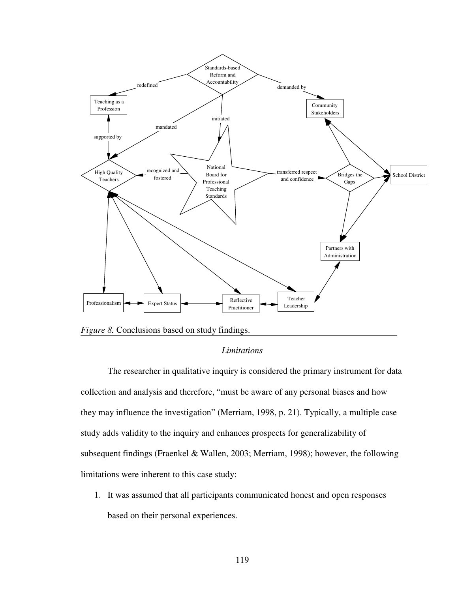

*Figure 8.* Conclusions based on study findings.

# *Limitations*

The researcher in qualitative inquiry is considered the primary instrument for data collection and analysis and therefore, "must be aware of any personal biases and how they may influence the investigation" (Merriam, 1998, p. 21). Typically, a multiple case study adds validity to the inquiry and enhances prospects for generalizability of subsequent findings (Fraenkel & Wallen, 2003; Merriam, 1998); however, the following limitations were inherent to this case study:

1. It was assumed that all participants communicated honest and open responses based on their personal experiences.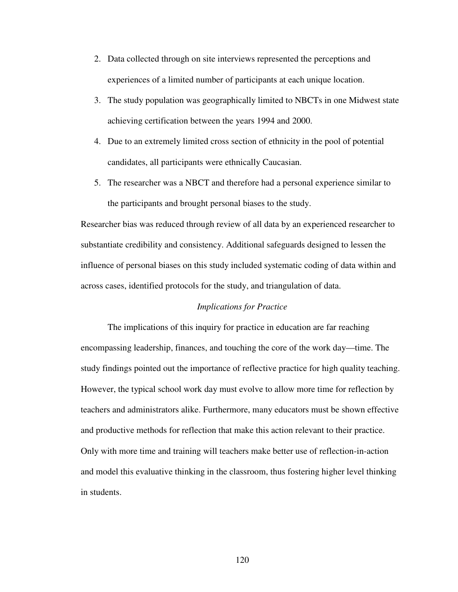- 2. Data collected through on site interviews represented the perceptions and experiences of a limited number of participants at each unique location.
- 3. The study population was geographically limited to NBCTs in one Midwest state achieving certification between the years 1994 and 2000.
- 4. Due to an extremely limited cross section of ethnicity in the pool of potential candidates, all participants were ethnically Caucasian.
- 5. The researcher was a NBCT and therefore had a personal experience similar to the participants and brought personal biases to the study.

Researcher bias was reduced through review of all data by an experienced researcher to substantiate credibility and consistency. Additional safeguards designed to lessen the influence of personal biases on this study included systematic coding of data within and across cases, identified protocols for the study, and triangulation of data.

# *Implications for Practice*

The implications of this inquiry for practice in education are far reaching encompassing leadership, finances, and touching the core of the work day—time. The study findings pointed out the importance of reflective practice for high quality teaching. However, the typical school work day must evolve to allow more time for reflection by teachers and administrators alike. Furthermore, many educators must be shown effective and productive methods for reflection that make this action relevant to their practice. Only with more time and training will teachers make better use of reflection-in-action and model this evaluative thinking in the classroom, thus fostering higher level thinking in students.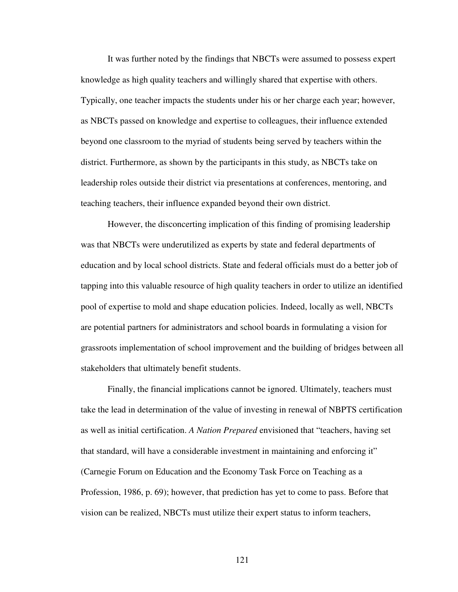It was further noted by the findings that NBCTs were assumed to possess expert knowledge as high quality teachers and willingly shared that expertise with others. Typically, one teacher impacts the students under his or her charge each year; however, as NBCTs passed on knowledge and expertise to colleagues, their influence extended beyond one classroom to the myriad of students being served by teachers within the district. Furthermore, as shown by the participants in this study, as NBCTs take on leadership roles outside their district via presentations at conferences, mentoring, and teaching teachers, their influence expanded beyond their own district.

However, the disconcerting implication of this finding of promising leadership was that NBCTs were underutilized as experts by state and federal departments of education and by local school districts. State and federal officials must do a better job of tapping into this valuable resource of high quality teachers in order to utilize an identified pool of expertise to mold and shape education policies. Indeed, locally as well, NBCTs are potential partners for administrators and school boards in formulating a vision for grassroots implementation of school improvement and the building of bridges between all stakeholders that ultimately benefit students.

Finally, the financial implications cannot be ignored. Ultimately, teachers must take the lead in determination of the value of investing in renewal of NBPTS certification as well as initial certification. *A Nation Prepared* envisioned that "teachers, having set that standard, will have a considerable investment in maintaining and enforcing it" (Carnegie Forum on Education and the Economy Task Force on Teaching as a Profession, 1986, p. 69); however, that prediction has yet to come to pass. Before that vision can be realized, NBCTs must utilize their expert status to inform teachers,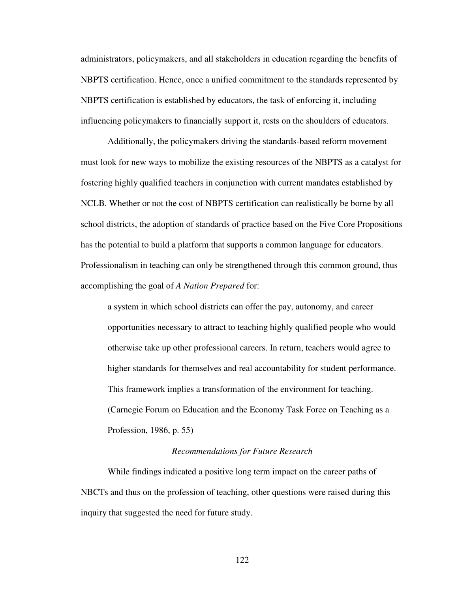administrators, policymakers, and all stakeholders in education regarding the benefits of NBPTS certification. Hence, once a unified commitment to the standards represented by NBPTS certification is established by educators, the task of enforcing it, including influencing policymakers to financially support it, rests on the shoulders of educators.

Additionally, the policymakers driving the standards-based reform movement must look for new ways to mobilize the existing resources of the NBPTS as a catalyst for fostering highly qualified teachers in conjunction with current mandates established by NCLB. Whether or not the cost of NBPTS certification can realistically be borne by all school districts, the adoption of standards of practice based on the Five Core Propositions has the potential to build a platform that supports a common language for educators. Professionalism in teaching can only be strengthened through this common ground, thus accomplishing the goal of *A Nation Prepared* for:

a system in which school districts can offer the pay, autonomy, and career opportunities necessary to attract to teaching highly qualified people who would otherwise take up other professional careers. In return, teachers would agree to higher standards for themselves and real accountability for student performance. This framework implies a transformation of the environment for teaching. (Carnegie Forum on Education and the Economy Task Force on Teaching as a Profession, 1986, p. 55)

#### *Recommendations for Future Research*

 While findings indicated a positive long term impact on the career paths of NBCTs and thus on the profession of teaching, other questions were raised during this inquiry that suggested the need for future study.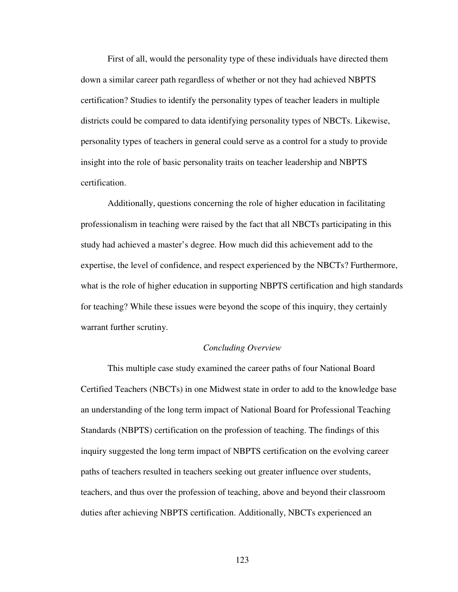First of all, would the personality type of these individuals have directed them down a similar career path regardless of whether or not they had achieved NBPTS certification? Studies to identify the personality types of teacher leaders in multiple districts could be compared to data identifying personality types of NBCTs. Likewise, personality types of teachers in general could serve as a control for a study to provide insight into the role of basic personality traits on teacher leadership and NBPTS certification.

 Additionally, questions concerning the role of higher education in facilitating professionalism in teaching were raised by the fact that all NBCTs participating in this study had achieved a master's degree. How much did this achievement add to the expertise, the level of confidence, and respect experienced by the NBCTs? Furthermore, what is the role of higher education in supporting NBPTS certification and high standards for teaching? While these issues were beyond the scope of this inquiry, they certainly warrant further scrutiny.

## *Concluding Overview*

This multiple case study examined the career paths of four National Board Certified Teachers (NBCTs) in one Midwest state in order to add to the knowledge base an understanding of the long term impact of National Board for Professional Teaching Standards (NBPTS) certification on the profession of teaching. The findings of this inquiry suggested the long term impact of NBPTS certification on the evolving career paths of teachers resulted in teachers seeking out greater influence over students, teachers, and thus over the profession of teaching, above and beyond their classroom duties after achieving NBPTS certification. Additionally, NBCTs experienced an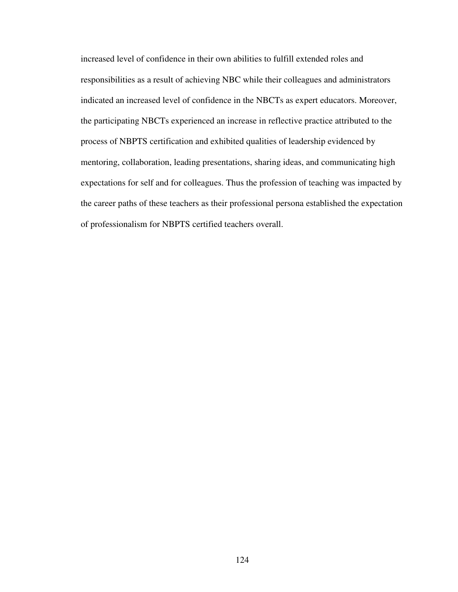increased level of confidence in their own abilities to fulfill extended roles and responsibilities as a result of achieving NBC while their colleagues and administrators indicated an increased level of confidence in the NBCTs as expert educators. Moreover, the participating NBCTs experienced an increase in reflective practice attributed to the process of NBPTS certification and exhibited qualities of leadership evidenced by mentoring, collaboration, leading presentations, sharing ideas, and communicating high expectations for self and for colleagues. Thus the profession of teaching was impacted by the career paths of these teachers as their professional persona established the expectation of professionalism for NBPTS certified teachers overall.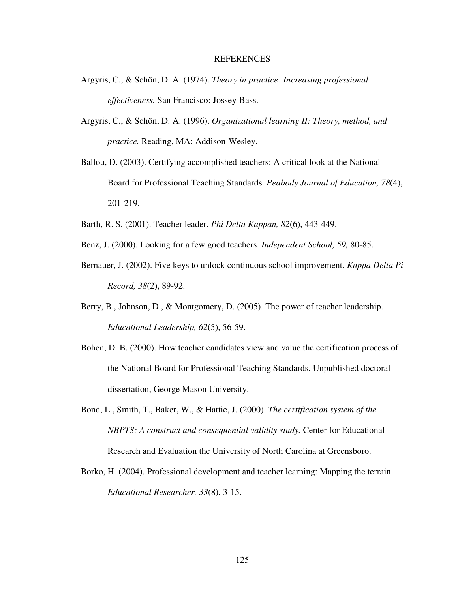#### REFERENCES

- Argyris, C., & Schön, D. A. (1974). *Theory in practice: Increasing professional effectiveness.* San Francisco: Jossey-Bass.
- Argyris, C., & Schön, D. A. (1996). *Organizational learning II: Theory, method, and practice.* Reading, MA: Addison-Wesley.
- Ballou, D. (2003). Certifying accomplished teachers: A critical look at the National Board for Professional Teaching Standards. *Peabody Journal of Education, 78*(4), 201-219.
- Barth, R. S. (2001). Teacher leader. *Phi Delta Kappan, 82*(6), 443-449.
- Benz, J. (2000). Looking for a few good teachers. *Independent School, 59,* 80-85.
- Bernauer, J. (2002). Five keys to unlock continuous school improvement. *Kappa Delta Pi Record, 38*(2), 89-92.
- Berry, B., Johnson, D., & Montgomery, D. (2005). The power of teacher leadership. *Educational Leadership, 62*(5), 56-59.
- Bohen, D. B. (2000). How teacher candidates view and value the certification process of the National Board for Professional Teaching Standards. Unpublished doctoral dissertation, George Mason University.
- Bond, L., Smith, T., Baker, W., & Hattie, J. (2000). *The certification system of the NBPTS: A construct and consequential validity study.* Center for Educational Research and Evaluation the University of North Carolina at Greensboro.
- Borko, H. (2004). Professional development and teacher learning: Mapping the terrain. *Educational Researcher, 33*(8), 3-15.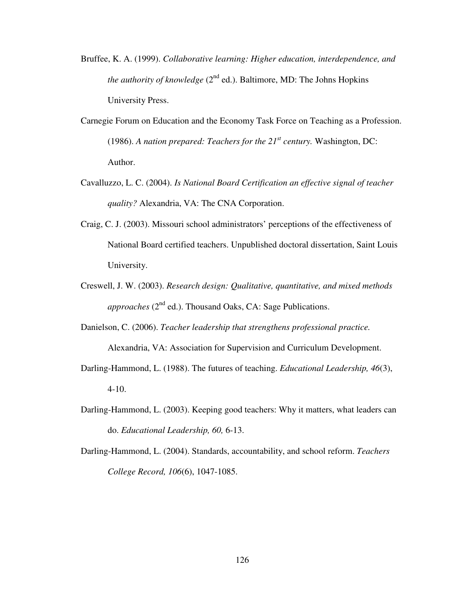- Bruffee, K. A. (1999). *Collaborative learning: Higher education, interdependence, and the authority of knowledge* ( $2<sup>nd</sup>$  ed.). Baltimore, MD: The Johns Hopkins University Press.
- Carnegie Forum on Education and the Economy Task Force on Teaching as a Profession. (1986). *A nation prepared: Teachers for the 21st century.* Washington, DC: Author.
- Cavalluzzo, L. C. (2004). *Is National Board Certification an effective signal of teacher quality?* Alexandria, VA: The CNA Corporation.
- Craig, C. J. (2003). Missouri school administrators' perceptions of the effectiveness of National Board certified teachers. Unpublished doctoral dissertation, Saint Louis University.
- Creswell, J. W. (2003). *Research design: Qualitative, quantitative, and mixed methods approaches*  $(2^{nd}$  ed.). Thousand Oaks, CA: Sage Publications.
- Danielson, C. (2006). *Teacher leadership that strengthens professional practice.* Alexandria, VA: Association for Supervision and Curriculum Development.
- Darling-Hammond, L. (1988). The futures of teaching. *Educational Leadership, 46*(3), 4-10.
- Darling-Hammond, L. (2003). Keeping good teachers: Why it matters, what leaders can do. *Educational Leadership, 60,* 6-13.
- Darling-Hammond, L. (2004). Standards, accountability, and school reform. *Teachers College Record, 106*(6), 1047-1085.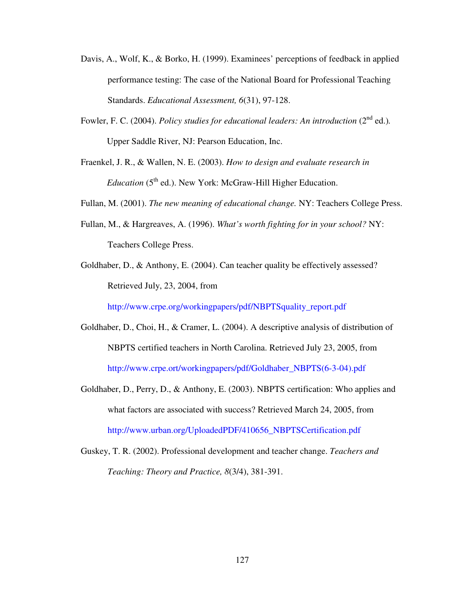- Davis, A., Wolf, K., & Borko, H. (1999). Examinees' perceptions of feedback in applied performance testing: The case of the National Board for Professional Teaching Standards. *Educational Assessment, 6*(31), 97-128.
- Fowler, F. C. (2004). *Policy studies for educational leaders: An introduction* (2<sup>nd</sup> ed.). Upper Saddle River, NJ: Pearson Education, Inc.
- Fraenkel, J. R., & Wallen, N. E. (2003). *How to design and evaluate research in Education* (5<sup>th</sup> ed.). New York: McGraw-Hill Higher Education.

Fullan, M. (2001). *The new meaning of educational change.* NY: Teachers College Press.

- Fullan, M., & Hargreaves, A. (1996). *What's worth fighting for in your school?* NY: Teachers College Press.
- Goldhaber, D., & Anthony, E. (2004). Can teacher quality be effectively assessed? Retrieved July, 23, 2004, from

http://www.crpe.org/workingpapers/pdf/NBPTSquality\_report.pdf

- Goldhaber, D., Choi, H., & Cramer, L. (2004). A descriptive analysis of distribution of NBPTS certified teachers in North Carolina. Retrieved July 23, 2005, from http://www.crpe.ort/workingpapers/pdf/Goldhaber\_NBPTS(6-3-04).pdf
- Goldhaber, D., Perry, D., & Anthony, E. (2003). NBPTS certification: Who applies and what factors are associated with success? Retrieved March 24, 2005, from http://www.urban.org/UploadedPDF/410656\_NBPTSCertification.pdf
- Guskey, T. R. (2002). Professional development and teacher change. *Teachers and Teaching: Theory and Practice, 8*(3/4), 381-391.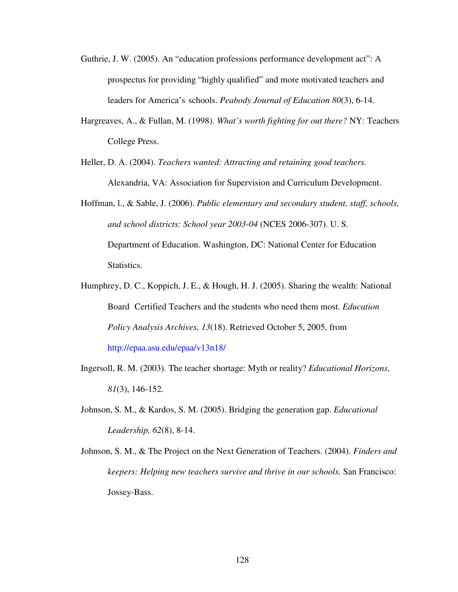- Guthrie, J. W. (2005). An "education professions performance development act": A prospectus for providing "highly qualified" and more motivated teachers and leaders for America's schools. *Peabody Journal of Education 80*(3), 6-14.
- Hargreaves, A., & Fullan, M. (1998). *What's worth fighting for out there?* NY: Teachers College Press.
- Heller, D. A. (2004). *Teachers wanted: Attracting and retaining good teachers.* Alexandria, VA: Association for Supervision and Curriculum Development.
- Hoffman, l., & Sable, J. (2006). *Public elementary and secondary student, staff, schools, and school districts: School year 2003-04* (NCES 2006-307). U. S. Department of Education. Washington, DC: National Center for Education Statistics.
- Humphrey, D. C., Koppich, J. E., & Hough, H. J. (2005). Sharing the wealth: National Board Certified Teachers and the students who need them most. *Education Policy Analysis Archives, 13*(18). Retrieved October 5, 2005, from http://epaa.asu.edu/epaa/v13n18/
- Ingersoll, R. M. (2003). The teacher shortage: Myth or reality? *Educational Horizons, 81*(3), 146-152.
- Johnson, S. M., & Kardos, S. M. (2005). Bridging the generation gap. *Educational Leadership, 62*(8), 8-14.
- Johnson, S. M., & The Project on the Next Generation of Teachers. (2004). *Finders and keepers: Helping new teachers survive and thrive in our schools.* San Francisco: Jossey-Bass.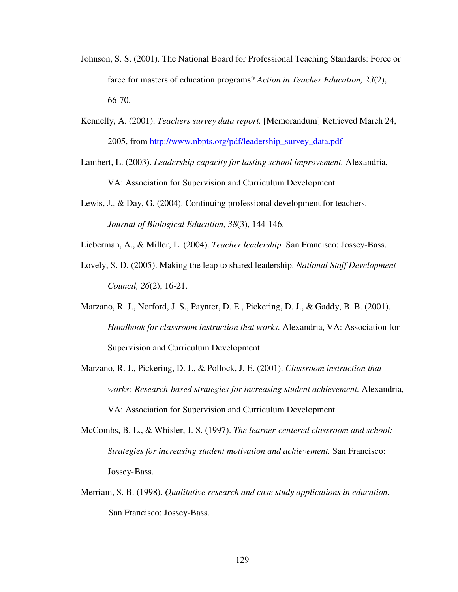- Johnson, S. S. (2001). The National Board for Professional Teaching Standards: Force or farce for masters of education programs? *Action in Teacher Education, 23*(2), 66-70.
- Kennelly, A. (2001). *Teachers survey data report.* [Memorandum] Retrieved March 24, 2005, from http://www.nbpts.org/pdf/leadership\_survey\_data.pdf
- Lambert, L. (2003). *Leadership capacity for lasting school improvement.* Alexandria, VA: Association for Supervision and Curriculum Development.
- Lewis, J., & Day, G. (2004). Continuing professional development for teachers. *Journal of Biological Education, 38*(3), 144-146.
- Lieberman, A., & Miller, L. (2004). *Teacher leadership.* San Francisco: Jossey-Bass.
- Lovely, S. D. (2005). Making the leap to shared leadership. *National Staff Development Council, 26*(2), 16-21.
- Marzano, R. J., Norford, J. S., Paynter, D. E., Pickering, D. J., & Gaddy, B. B. (2001). *Handbook for classroom instruction that works.* Alexandria, VA: Association for Supervision and Curriculum Development.
- Marzano, R. J., Pickering, D. J., & Pollock, J. E. (2001). *Classroom instruction that works: Research-based strategies for increasing student achievement.* Alexandria, VA: Association for Supervision and Curriculum Development.
- McCombs, B. L., & Whisler, J. S. (1997). *The learner-centered classroom and school: Strategies for increasing student motivation and achievement.* San Francisco: Jossey- Bass.
- Merriam, S. B. (1998). *Qualitative research and case study applications in education.*  San Francisco: Jossey-Bass.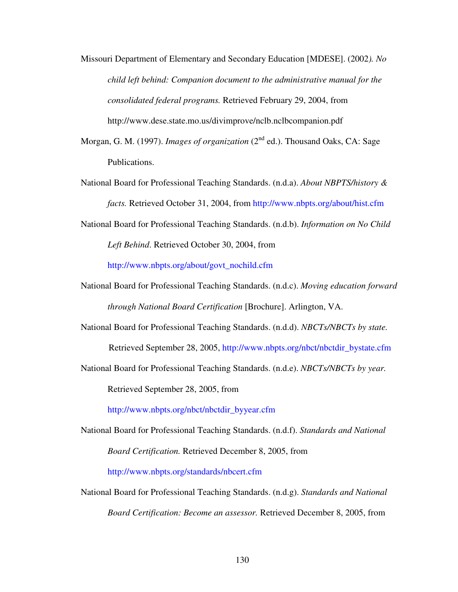- Missouri Department of Elementary and Secondary Education [MDESE]. (2002*). No child left behind: Companion document to the administrative manual for the consolidated federal programs.* Retrieved February 29, 2004, from http://www.dese.state.mo.us/divimprove/nclb.nclbcompanion.pdf
- Morgan, G. M. (1997). *Images of organization* (2<sup>nd</sup> ed.). Thousand Oaks, CA: Sage Publications.
- National Board for Professional Teaching Standards. (n.d.a). *About NBPTS/history & facts.* Retrieved October 31, 2004, from http://www.nbpts.org/about/hist.cfm
- National Board for Professional Teaching Standards. (n.d.b). *Information on No Child Left Behind*. Retrieved October 30, 2004, from

http://www.nbpts.org/about/govt\_nochild.cfm

- National Board for Professional Teaching Standards. (n.d.c). *Moving education forward through National Board Certification* [Brochure]. Arlington, VA.
- National Board for Professional Teaching Standards. (n.d.d). *NBCTs/NBCTs by state.*  Retrieved September 28, 2005, http://www.nbpts.org/nbct/nbctdir\_bystate.cfm
- National Board for Professional Teaching Standards. (n.d.e). *NBCTs/NBCTs by year.*

Retrieved September 28, 2005, from

http://www.nbpts.org/nbct/nbctdir\_byyear.cfm

National Board for Professional Teaching Standards. (n.d.f). *Standards and National Board Certification.* Retrieved December 8, 2005, from

http://www.nbpts.org/standards/nbcert.cfm

National Board for Professional Teaching Standards. (n.d.g). *Standards and National Board Certification: Become an assessor.* Retrieved December 8, 2005, from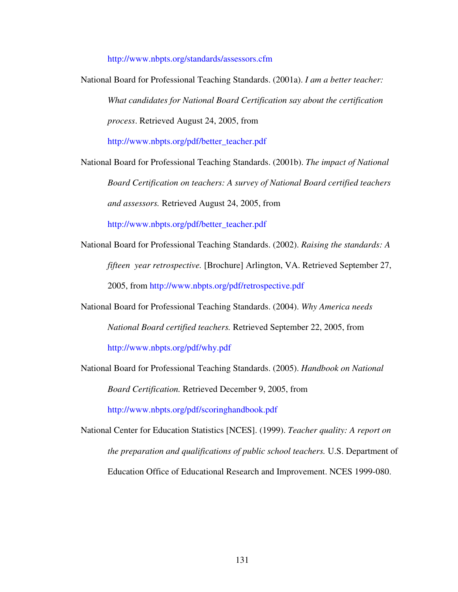http://www.nbpts.org/standards/assessors.cfm

National Board for Professional Teaching Standards. (2001a). *I am a better teacher: What candidates for National Board Certification say about the certification process*. Retrieved August 24, 2005, from

http://www.nbpts.org/pdf/better\_teacher.pdf

National Board for Professional Teaching Standards. (2001b). *The impact of National Board Certification on teachers: A survey of National Board certified teachers and assessors.* Retrieved August 24, 2005, from

http://www.nbpts.org/pdf/better\_teacher.pdf

- National Board for Professional Teaching Standards. (2002). *Raising the standards: A fifteen year retrospective.* [Brochure] Arlington, VA. Retrieved September 27, 2005, from http://www.nbpts.org/pdf/retrospective.pdf
- National Board for Professional Teaching Standards. (2004). *Why America needs National Board certified teachers.* Retrieved September 22, 2005, from http://www.nbpts.org/pdf/why.pdf
- National Board for Professional Teaching Standards. (2005). *Handbook on National Board Certification.* Retrieved December 9, 2005, from

http://www.nbpts.org/pdf/scoringhandbook.pdf

National Center for Education Statistics [NCES]. (1999). *Teacher quality: A report on the preparation and qualifications of public school teachers.* U.S. Department of Education Office of Educational Research and Improvement. NCES 1999-080.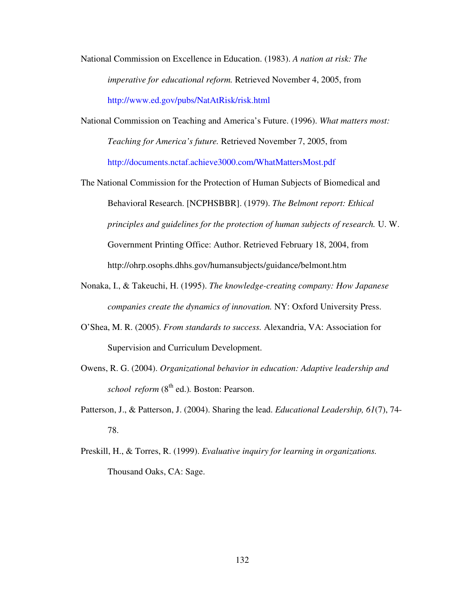- National Commission on Excellence in Education. (1983). *A nation at risk: The imperative for educational reform.* Retrieved November 4, 2005, from http://www.ed.gov/pubs/NatAtRisk/risk.html
- National Commission on Teaching and America's Future. (1996). *What matters most: Teaching for America's future.* Retrieved November 7, 2005, from http://documents.nctaf.achieve3000.com/WhatMattersMost.pdf
- The National Commission for the Protection of Human Subjects of Biomedical and Behavioral Research. [NCPHSBBR]. (1979). *The Belmont report: Ethical principles and guidelines for the protection of human subjects of research.* U. W. Government Printing Office: Author. Retrieved February 18, 2004, from http://ohrp.osophs.dhhs.gov/humansubjects/guidance/belmont.htm
- Nonaka, I., & Takeuchi, H. (1995). *The knowledge-creating company: How Japanese companies create the dynamics of innovation.* NY: Oxford University Press.
- O'Shea, M. R. (2005). *From standards to success.* Alexandria, VA: Association for Supervision and Curriculum Development.
- Owens, R. G. (2004). *Organizational behavior in education: Adaptive leadership and school reform* (8th ed.)*.* Boston: Pearson.
- Patterson, J., & Patterson, J. (2004). Sharing the lead. *Educational Leadership, 61*(7), 74- 78.
- Preskill, H., & Torres, R. (1999). *Evaluative inquiry for learning in organizations.*  Thousand Oaks, CA: Sage.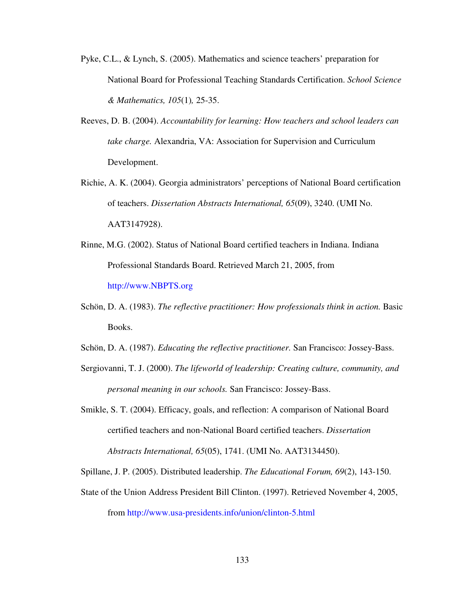- Pyke, C.L., & Lynch, S. (2005). Mathematics and science teachers' preparation for National Board for Professional Teaching Standards Certification. *School Science & Mathematics, 105*(1)*,* 25-35.
- Reeves, D. B. (2004). *Accountability for learning: How teachers and school leaders can take charge.* Alexandria, VA: Association for Supervision and Curriculum Development.
- Richie, A. K. (2004). Georgia administrators' perceptions of National Board certification of teachers. *Dissertation Abstracts International, 65*(09), 3240. (UMI No. AAT3147928).
- Rinne, M.G. (2002). Status of National Board certified teachers in Indiana. Indiana Professional Standards Board. Retrieved March 21, 2005, from http://www.NBPTS.org
- Schön, D. A. (1983). *The reflective practitioner: How professionals think in action.* Basic Books.
- Schön, D. A. (1987). *Educating the reflective practitioner.* San Francisco: Jossey-Bass.
- Sergiovanni, T. J. (2000). *The lifeworld of leadership: Creating culture, community, and personal meaning in our schools.* San Francisco: Jossey-Bass.
- Smikle, S. T. (2004). Efficacy, goals, and reflection: A comparison of National Board certified teachers and non-National Board certified teachers. *Dissertation Abstracts International, 65*(05), 1741. (UMI No. AAT3134450).

Spillane, J. P. (2005). Distributed leadership. *The Educational Forum, 69*(2), 143-150.

State of the Union Address President Bill Clinton. (1997). Retrieved November 4, 2005,

from http://www.usa-presidents.info/union/clinton-5.html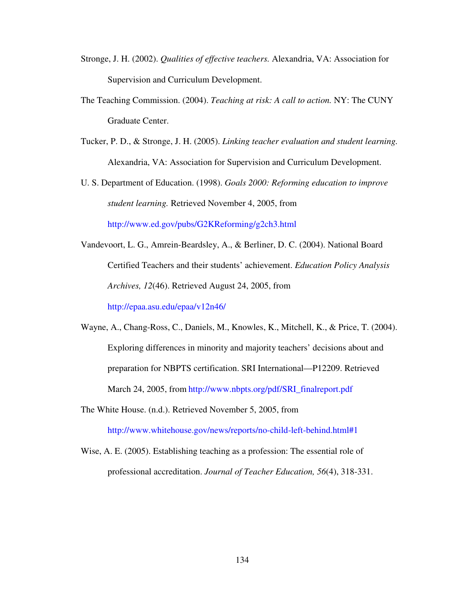- Stronge, J. H. (2002). *Qualities of effective teachers.* Alexandria, VA: Association for Supervision and Curriculum Development.
- The Teaching Commission. (2004). *Teaching at risk: A call to action.* NY: The CUNY Graduate Center.
- Tucker, P. D., & Stronge, J. H. (2005). *Linking teacher evaluation and student learning.*  Alexandria, VA: Association for Supervision and Curriculum Development.
- U. S. Department of Education. (1998). *Goals 2000: Reforming education to improve student learning.* Retrieved November 4, 2005, from http://www.ed.gov/pubs/G2KReforming/g2ch3.html
- Vandevoort, L. G., Amrein-Beardsley, A., & Berliner, D. C. (2004). National Board Certified Teachers and their students' achievement. *Education Policy Analysis Archives, 12*(46). Retrieved August 24, 2005, from http://epaa.asu.edu/epaa/v12n46/

Wayne, A., Chang-Ross, C., Daniels, M., Knowles, K., Mitchell, K., & Price, T. (2004). Exploring differences in minority and majority teachers' decisions about and preparation for NBPTS certification. SRI International—P12209. Retrieved March 24, 2005, from http://www.nbpts.org/pdf/SRI\_finalreport.pdf

The White House. (n.d.). Retrieved November 5, 2005, from

http://www.whitehouse.gov/news/reports/no-child-left-behind.html#1

Wise, A. E. (2005). Establishing teaching as a profession: The essential role of professional accreditation. *Journal of Teacher Education, 56*(4), 318-331.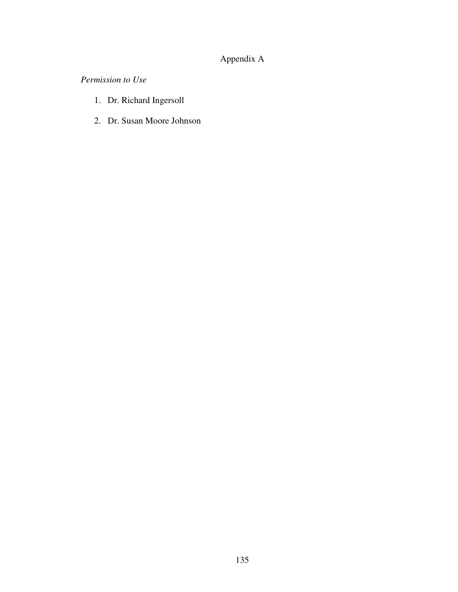## Appendix A

*Permission to Use* 

- 1. Dr. Richard Ingersoll
- 2. Dr. Susan Moore Johnson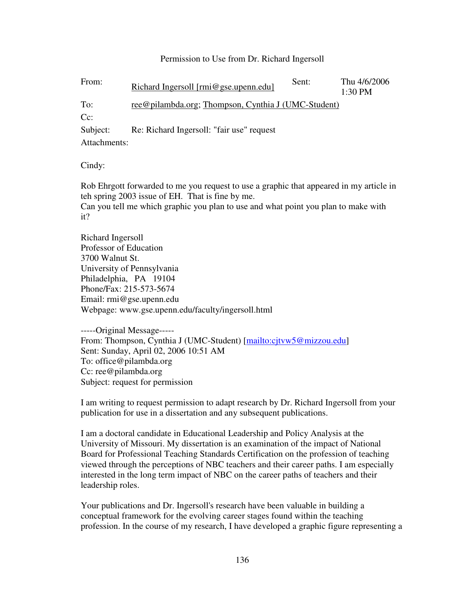#### Permission to Use from Dr. Richard Ingersoll

| From:    | Richard Ingersoll [rmi@gse.upenn.edu]               | Sent: | Thu 4/6/2006<br>1:30 PM |
|----------|-----------------------------------------------------|-------|-------------------------|
| To:      | ree@pilambda.org; Thompson, Cynthia J (UMC-Student) |       |                         |
| $Cc$ :   |                                                     |       |                         |
| Subject: | Re: Richard Ingersoll: "fair use" request           |       |                         |

Attachments:

Cindy:

Rob Ehrgott forwarded to me you request to use a graphic that appeared in my article in teh spring 2003 issue of EH. That is fine by me.

Can you tell me which graphic you plan to use and what point you plan to make with it?

Richard Ingersoll Professor of Education 3700 Walnut St. University of Pennsylvania Philadelphia, PA 19104 Phone/Fax: 215-573-5674 Email: rmi@gse.upenn.edu Webpage: www.gse.upenn.edu/faculty/ingersoll.html

-----Original Message----- From: Thompson, Cynthia J (UMC-Student) [mailto:cjtvw5@mizzou.edu] Sent: Sunday, April 02, 2006 10:51 AM To: office@pilambda.org Cc: ree@pilambda.org Subject: request for permission

I am writing to request permission to adapt research by Dr. Richard Ingersoll from your publication for use in a dissertation and any subsequent publications.

I am a doctoral candidate in Educational Leadership and Policy Analysis at the University of Missouri. My dissertation is an examination of the impact of National Board for Professional Teaching Standards Certification on the profession of teaching viewed through the perceptions of NBC teachers and their career paths. I am especially interested in the long term impact of NBC on the career paths of teachers and their leadership roles.

Your publications and Dr. Ingersoll's research have been valuable in building a conceptual framework for the evolving career stages found within the teaching profession. In the course of my research, I have developed a graphic figure representing a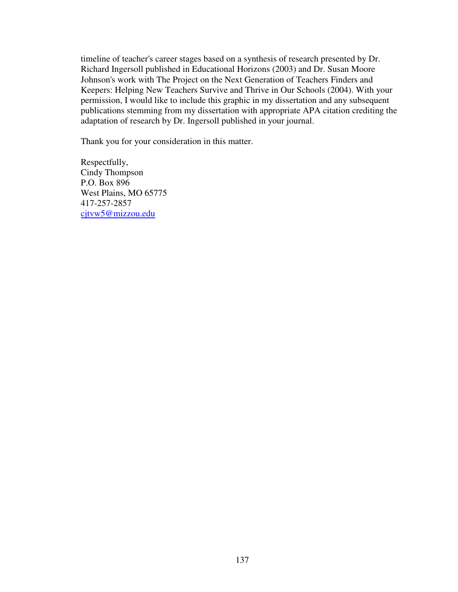timeline of teacher's career stages based on a synthesis of research presented by Dr. Richard Ingersoll published in Educational Horizons (2003) and Dr. Susan Moore Johnson's work with The Project on the Next Generation of Teachers Finders and Keepers: Helping New Teachers Survive and Thrive in Our Schools (2004). With your permission, I would like to include this graphic in my dissertation and any subsequent publications stemming from my dissertation with appropriate APA citation crediting the adaptation of research by Dr. Ingersoll published in your journal.

Thank you for your consideration in this matter.

Respectfully, Cindy Thompson P.O. Box 896 West Plains, MO 65775 417-257-2857 cjtvw5@mizzou.edu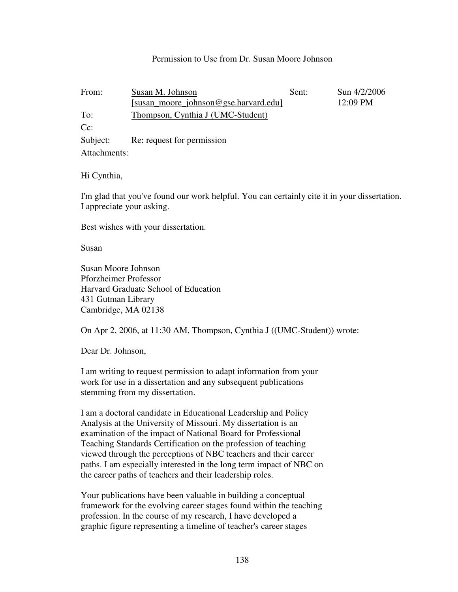#### Permission to Use from Dr. Susan Moore Johnson

| From:        | Susan M. Johnson                      | Sent: | Sun 4/2/2006 |
|--------------|---------------------------------------|-------|--------------|
|              | [susan_moore_johnson@gse.harvard.edu] |       | 12:09 PM     |
| To:          | Thompson, Cynthia J (UMC-Student)     |       |              |
| $Cc$ :       |                                       |       |              |
| Subject:     | Re: request for permission            |       |              |
| Attachments: |                                       |       |              |

Hi Cynthia,

I'm glad that you've found our work helpful. You can certainly cite it in your dissertation. I appreciate your asking.

Best wishes with your dissertation.

Susan

Susan Moore Johnson Pforzheimer Professor Harvard Graduate School of Education 431 Gutman Library Cambridge, MA 02138

On Apr 2, 2006, at 11:30 AM, Thompson, Cynthia J ((UMC-Student)) wrote:

Dear Dr. Johnson,

I am writing to request permission to adapt information from your work for use in a dissertation and any subsequent publications stemming from my dissertation.

I am a doctoral candidate in Educational Leadership and Policy Analysis at the University of Missouri. My dissertation is an examination of the impact of National Board for Professional Teaching Standards Certification on the profession of teaching viewed through the perceptions of NBC teachers and their career paths. I am especially interested in the long term impact of NBC on the career paths of teachers and their leadership roles.

Your publications have been valuable in building a conceptual framework for the evolving career stages found within the teaching profession. In the course of my research, I have developed a graphic figure representing a timeline of teacher's career stages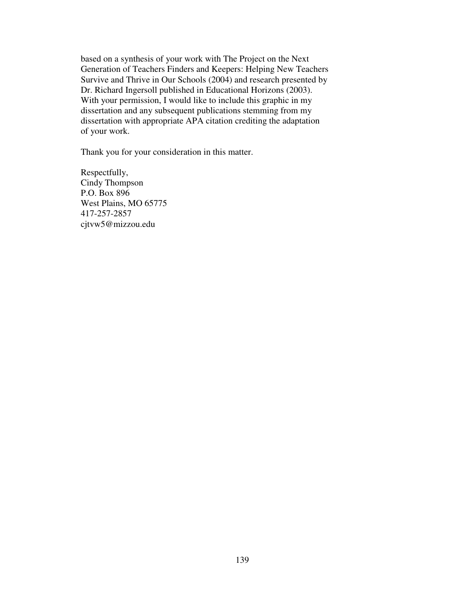based on a synthesis of your work with The Project on the Next Generation of Teachers Finders and Keepers: Helping New Teachers Survive and Thrive in Our Schools (2004) and research presented by Dr. Richard Ingersoll published in Educational Horizons (2003). With your permission, I would like to include this graphic in my dissertation and any subsequent publications stemming from my dissertation with appropriate APA citation crediting the adaptation of your work.

Thank you for your consideration in this matter.

Respectfully, Cindy Thompson P.O. Box 896 West Plains, MO 65775 417-257-2857 cjtvw5@mizzou.edu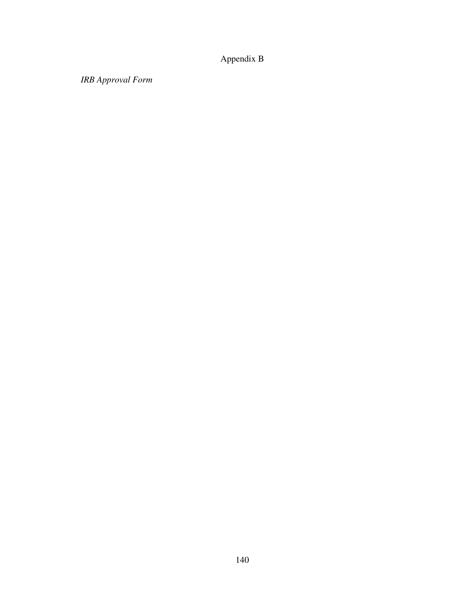## Appendix B

*IRB Approval Form*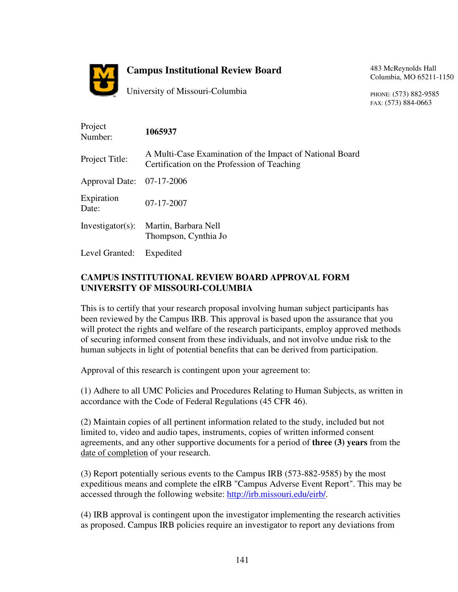

## **Campus Institutional Review Board**

University of Missouri-Columbia

483 McReynolds Hall Columbia, MO 65211-1150

PHONE: (573) 882-9585 FAX: (573) 884-0663

| Project<br>Number:        | 1065937                                                                                                 |
|---------------------------|---------------------------------------------------------------------------------------------------------|
| Project Title:            | A Multi-Case Examination of the Impact of National Board<br>Certification on the Profession of Teaching |
| Approval Date: 07-17-2006 |                                                                                                         |
| Expiration<br>Date:       | $07 - 17 - 2007$                                                                                        |
| $Investigator(s)$ :       | Martin, Barbara Nell<br>Thompson, Cynthia Jo                                                            |
| Level Granted:            | Expedited                                                                                               |

### **CAMPUS INSTITUTIONAL REVIEW BOARD APPROVAL FORM UNIVERSITY OF MISSOURI-COLUMBIA**

This is to certify that your research proposal involving human subject participants has been reviewed by the Campus IRB. This approval is based upon the assurance that you will protect the rights and welfare of the research participants, employ approved methods of securing informed consent from these individuals, and not involve undue risk to the human subjects in light of potential benefits that can be derived from participation.

Approval of this research is contingent upon your agreement to:

(1) Adhere to all UMC Policies and Procedures Relating to Human Subjects, as written in accordance with the Code of Federal Regulations (45 CFR 46).

(2) Maintain copies of all pertinent information related to the study, included but not limited to, video and audio tapes, instruments, copies of written informed consent agreements, and any other supportive documents for a period of **three (3) years** from the date of completion of your research.

(3) Report potentially serious events to the Campus IRB (573-882-9585) by the most expeditious means and complete the eIRB "Campus Adverse Event Report". This may be accessed through the following website: http://irb.missouri.edu/eirb/.

(4) IRB approval is contingent upon the investigator implementing the research activities as proposed. Campus IRB policies require an investigator to report any deviations from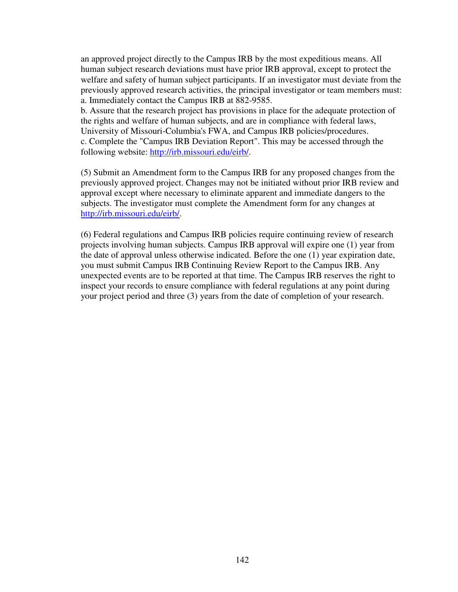an approved project directly to the Campus IRB by the most expeditious means. All human subject research deviations must have prior IRB approval, except to protect the welfare and safety of human subject participants. If an investigator must deviate from the previously approved research activities, the principal investigator or team members must: a. Immediately contact the Campus IRB at 882-9585.

b. Assure that the research project has provisions in place for the adequate protection of the rights and welfare of human subjects, and are in compliance with federal laws, University of Missouri-Columbia's FWA, and Campus IRB policies/procedures. c. Complete the "Campus IRB Deviation Report". This may be accessed through the following website: http://irb.missouri.edu/eirb/.

(5) Submit an Amendment form to the Campus IRB for any proposed changes from the previously approved project. Changes may not be initiated without prior IRB review and approval except where necessary to eliminate apparent and immediate dangers to the subjects. The investigator must complete the Amendment form for any changes at http://irb.missouri.edu/eirb/.

(6) Federal regulations and Campus IRB policies require continuing review of research projects involving human subjects. Campus IRB approval will expire one (1) year from the date of approval unless otherwise indicated. Before the one (1) year expiration date, you must submit Campus IRB Continuing Review Report to the Campus IRB. Any unexpected events are to be reported at that time. The Campus IRB reserves the right to inspect your records to ensure compliance with federal regulations at any point during your project period and three (3) years from the date of completion of your research.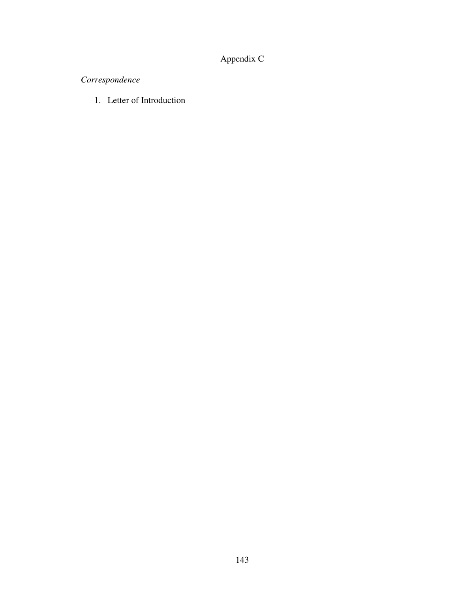# Appendix C

# *Correspondence*

1. Letter of Introduction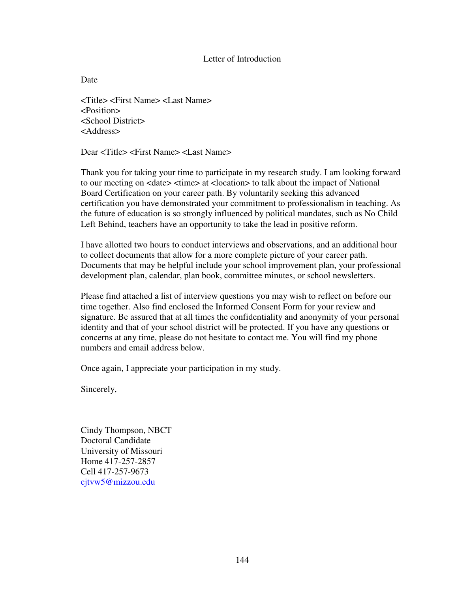#### Letter of Introduction

Date

<Title> <First Name> <Last Name> <Position> <School District> <Address>

Dear <Title> <First Name> <Last Name>

Thank you for taking your time to participate in my research study. I am looking forward to our meeting on <date> <time> at <location> to talk about the impact of National Board Certification on your career path. By voluntarily seeking this advanced certification you have demonstrated your commitment to professionalism in teaching. As the future of education is so strongly influenced by political mandates, such as No Child Left Behind, teachers have an opportunity to take the lead in positive reform.

I have allotted two hours to conduct interviews and observations, and an additional hour to collect documents that allow for a more complete picture of your career path. Documents that may be helpful include your school improvement plan, your professional development plan, calendar, plan book, committee minutes, or school newsletters.

Please find attached a list of interview questions you may wish to reflect on before our time together. Also find enclosed the Informed Consent Form for your review and signature. Be assured that at all times the confidentiality and anonymity of your personal identity and that of your school district will be protected. If you have any questions or concerns at any time, please do not hesitate to contact me. You will find my phone numbers and email address below.

Once again, I appreciate your participation in my study.

Sincerely,

Cindy Thompson, NBCT Doctoral Candidate University of Missouri Home 417-257-2857 Cell 417-257-9673 cjtvw5@mizzou.edu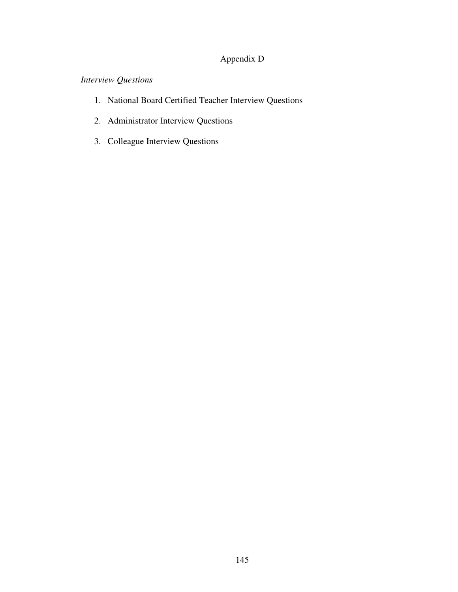## Appendix D

## *Interview Questions*

- 1. National Board Certified Teacher Interview Questions
- 2. Administrator Interview Questions
- 3. Colleague Interview Questions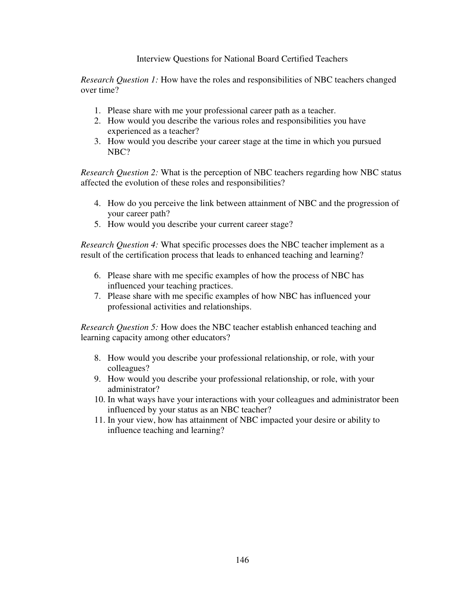#### Interview Questions for National Board Certified Teachers

*Research Question 1:* How have the roles and responsibilities of NBC teachers changed over time?

- 1. Please share with me your professional career path as a teacher.
- 2. How would you describe the various roles and responsibilities you have experienced as a teacher?
- 3. How would you describe your career stage at the time in which you pursued NBC?

*Research Question 2:* What is the perception of NBC teachers regarding how NBC status affected the evolution of these roles and responsibilities?

- 4. How do you perceive the link between attainment of NBC and the progression of your career path?
- 5. How would you describe your current career stage?

*Research Question 4:* What specific processes does the NBC teacher implement as a result of the certification process that leads to enhanced teaching and learning?

- 6. Please share with me specific examples of how the process of NBC has influenced your teaching practices.
- 7. Please share with me specific examples of how NBC has influenced your professional activities and relationships.

*Research Question 5:* How does the NBC teacher establish enhanced teaching and learning capacity among other educators?

- 8. How would you describe your professional relationship, or role, with your colleagues?
- 9. How would you describe your professional relationship, or role, with your administrator?
- 10. In what ways have your interactions with your colleagues and administrator been influenced by your status as an NBC teacher?
- 11. In your view, how has attainment of NBC impacted your desire or ability to influence teaching and learning?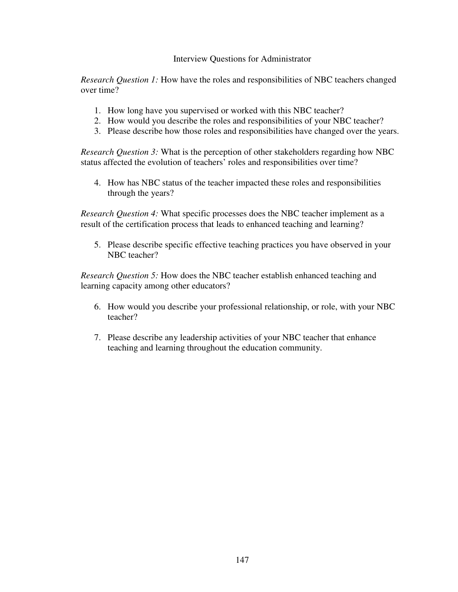#### Interview Questions for Administrator

*Research Question 1:* How have the roles and responsibilities of NBC teachers changed over time?

- 1. How long have you supervised or worked with this NBC teacher?
- 2. How would you describe the roles and responsibilities of your NBC teacher?
- 3. Please describe how those roles and responsibilities have changed over the years.

*Research Question 3:* What is the perception of other stakeholders regarding how NBC status affected the evolution of teachers' roles and responsibilities over time?

4. How has NBC status of the teacher impacted these roles and responsibilities through the years?

*Research Question 4:* What specific processes does the NBC teacher implement as a result of the certification process that leads to enhanced teaching and learning?

5. Please describe specific effective teaching practices you have observed in your NBC teacher?

*Research Question 5:* How does the NBC teacher establish enhanced teaching and learning capacity among other educators?

- 6. How would you describe your professional relationship, or role, with your NBC teacher?
- 7. Please describe any leadership activities of your NBC teacher that enhance teaching and learning throughout the education community.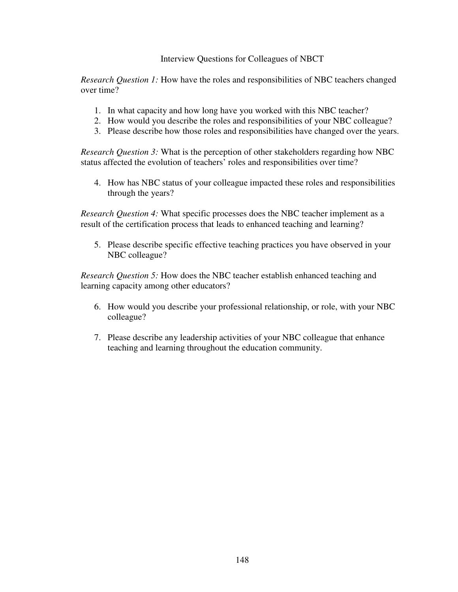#### Interview Questions for Colleagues of NBCT

*Research Question 1:* How have the roles and responsibilities of NBC teachers changed over time?

- 1. In what capacity and how long have you worked with this NBC teacher?
- 2. How would you describe the roles and responsibilities of your NBC colleague?
- 3. Please describe how those roles and responsibilities have changed over the years.

*Research Question 3:* What is the perception of other stakeholders regarding how NBC status affected the evolution of teachers' roles and responsibilities over time?

4. How has NBC status of your colleague impacted these roles and responsibilities through the years?

*Research Question 4:* What specific processes does the NBC teacher implement as a result of the certification process that leads to enhanced teaching and learning?

5. Please describe specific effective teaching practices you have observed in your NBC colleague?

*Research Question 5:* How does the NBC teacher establish enhanced teaching and learning capacity among other educators?

- 6. How would you describe your professional relationship, or role, with your NBC colleague?
- 7. Please describe any leadership activities of your NBC colleague that enhance teaching and learning throughout the education community.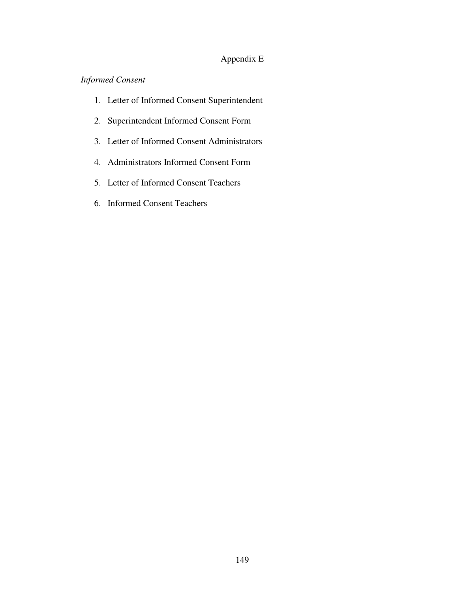## Appendix E

## *Informed Consent*

- 1. Letter of Informed Consent Superintendent
- 2. Superintendent Informed Consent Form
- 3. Letter of Informed Consent Administrators
- 4. Administrators Informed Consent Form
- 5. Letter of Informed Consent Teachers
- 6. Informed Consent Teachers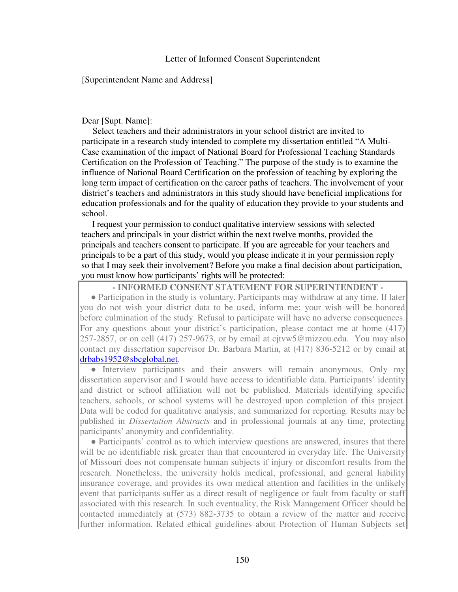#### [Superintendent Name and Address]

#### Dear [Supt. Name]:

Select teachers and their administrators in your school district are invited to participate in a research study intended to complete my dissertation entitled "A Multi-Case examination of the impact of National Board for Professional Teaching Standards Certification on the Profession of Teaching." The purpose of the study is to examine the influence of National Board Certification on the profession of teaching by exploring the long term impact of certification on the career paths of teachers. The involvement of your district's teachers and administrators in this study should have beneficial implications for education professionals and for the quality of education they provide to your students and school.

I request your permission to conduct qualitative interview sessions with selected teachers and principals in your district within the next twelve months, provided the principals and teachers consent to participate. If you are agreeable for your teachers and principals to be a part of this study, would you please indicate it in your permission reply so that I may seek their involvement? Before you make a final decision about participation, you must know how participants' rights will be protected:

#### **- INFORMED CONSENT STATEMENT FOR SUPERINTENDENT -**

• Participation in the study is voluntary. Participants may withdraw at any time. If later you do not wish your district data to be used, inform me; your wish will be honored before culmination of the study. Refusal to participate will have no adverse consequences. For any questions about your district's participation, please contact me at home (417) 257-2857, or on cell (417) 257-9673, or by email at cjtvw5@mizzou.edu. You may also contact my dissertation supervisor Dr. Barbara Martin, at (417) 836-5212 or by email at drbabs1952@sbcglobal.net.

● Interview participants and their answers will remain anonymous. Only my dissertation supervisor and I would have access to identifiable data. Participants' identity and district or school affiliation will not be published. Materials identifying specific teachers, schools, or school systems will be destroyed upon completion of this project. Data will be coded for qualitative analysis, and summarized for reporting. Results may be published in *Dissertation Abstracts* and in professional journals at any time, protecting participants' anonymity and confidentiality.

● Participants' control as to which interview questions are answered, insures that there will be no identifiable risk greater than that encountered in everyday life. The University of Missouri does not compensate human subjects if injury or discomfort results from the research. Nonetheless, the university holds medical, professional, and general liability insurance coverage, and provides its own medical attention and facilities in the unlikely event that participants suffer as a direct result of negligence or fault from faculty or staff associated with this research. In such eventuality, the Risk Management Officer should be contacted immediately at (573) 882-3735 to obtain a review of the matter and receive further information. Related ethical guidelines about Protection of Human Subjects set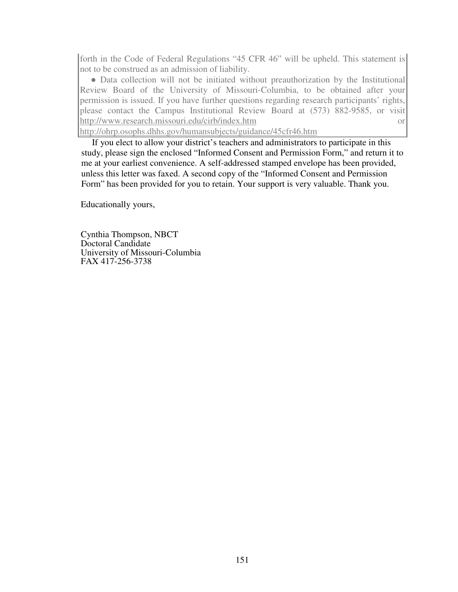forth in the Code of Federal Regulations "45 CFR 46" will be upheld. This statement is not to be construed as an admission of liability.

• Data collection will not be initiated without preauthorization by the Institutional Review Board of the University of Missouri-Columbia, to be obtained after your permission is issued. If you have further questions regarding research participants' rights, please contact the Campus Institutional Review Board at (573) 882-9585, or visit http://www.research.missouri.edu/cirb/index.htm or

http://ohrp.osophs.dhhs.gov/humansubjects/guidance/45cfr46.htm

If you elect to allow your district's teachers and administrators to participate in this study, please sign the enclosed "Informed Consent and Permission Form," and return it to me at your earliest convenience. A self-addressed stamped envelope has been provided, unless this letter was faxed. A second copy of the "Informed Consent and Permission Form" has been provided for you to retain. Your support is very valuable. Thank you.

Educationally yours,

Cynthia Thompson, NBCT Doctoral Candidate University of Missouri-Columbia FAX 417-256-3738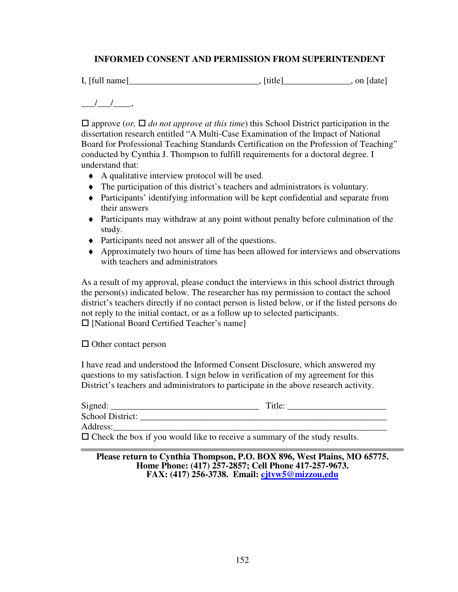### **INFORMED CONSENT AND PERMISSION FROM SUPERINTENDENT**

 $I, [full name]$   $\qquad \qquad$  [date]

 $\frac{1}{2}$ ,

 $\Box$  approve (*or*,  $\Box$  *do not approve at this time*) this School District participation in the dissertation research entitled "A Multi-Case Examination of the Impact of National Board for Professional Teaching Standards Certification on the Profession of Teaching" conducted by Cynthia J. Thompson to fulfill requirements for a doctoral degree. I understand that:

- ♦ A qualitative interview protocol will be used.
- ♦ The participation of this district's teachers and administrators is voluntary.
- ♦ Participants' identifying information will be kept confidential and separate from their answers
- ♦ Participants may withdraw at any point without penalty before culmination of the study.
- ♦ Participants need not answer all of the questions.
- ♦ Approximately two hours of time has been allowed for interviews and observations with teachers and administrators

As a result of my approval, please conduct the interviews in this school district through the person(s) indicated below. The researcher has my permission to contact the school district's teachers directly if no contact person is listed below, or if the listed persons do not reply to the initial contact, or as a follow up to selected participants.  $\Box$  [National Board Certified Teacher's name]

 $\Box$  Other contact person

I have read and understood the Informed Consent Disclosure, which answered my questions to my satisfaction. I sign below in verification of my agreement for this District's teachers and administrators to participate in the above research activity.

| Signed:          | Title: |
|------------------|--------|
| School District: |        |
| Address:         |        |

 $\Box$  Check the box if you would like to receive a summary of the study results.

**Please return to Cynthia Thompson, P.O. BOX 896, West Plains, MO 65775. Home Phone: (417) 257-2857; Cell Phone 417-257-9673. FAX: (417) 256-3738. Email: cjtvw5@mizzou.edu**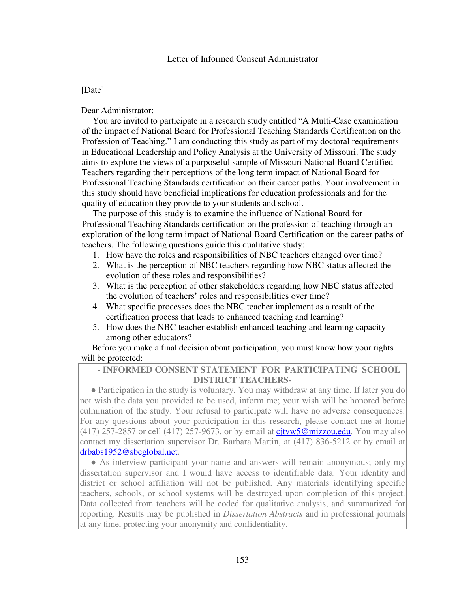#### [Date]

Dear Administrator:

You are invited to participate in a research study entitled "A Multi-Case examination of the impact of National Board for Professional Teaching Standards Certification on the Profession of Teaching." I am conducting this study as part of my doctoral requirements in Educational Leadership and Policy Analysis at the University of Missouri. The study aims to explore the views of a purposeful sample of Missouri National Board Certified Teachers regarding their perceptions of the long term impact of National Board for Professional Teaching Standards certification on their career paths. Your involvement in this study should have beneficial implications for education professionals and for the quality of education they provide to your students and school.

The purpose of this study is to examine the influence of National Board for Professional Teaching Standards certification on the profession of teaching through an exploration of the long term impact of National Board Certification on the career paths of teachers. The following questions guide this qualitative study:

- 1. How have the roles and responsibilities of NBC teachers changed over time?
- 2. What is the perception of NBC teachers regarding how NBC status affected the evolution of these roles and responsibilities?
- 3. What is the perception of other stakeholders regarding how NBC status affected the evolution of teachers' roles and responsibilities over time?
- 4. What specific processes does the NBC teacher implement as a result of the certification process that leads to enhanced teaching and learning?
- 5. How does the NBC teacher establish enhanced teaching and learning capacity among other educators?

Before you make a final decision about participation, you must know how your rights will be protected:

#### **- INFORMED CONSENT STATEMENT FOR PARTICIPATING SCHOOL DISTRICT TEACHERS-**

● Participation in the study is voluntary. You may withdraw at any time. If later you do not wish the data you provided to be used, inform me; your wish will be honored before culmination of the study. Your refusal to participate will have no adverse consequences. For any questions about your participation in this research, please contact me at home (417) 257-2857 or cell (417) 257-9673, or by email at cjtvw5@mizzou.edu. You may also contact my dissertation supervisor Dr. Barbara Martin, at (417) 836-5212 or by email at drbabs1952@sbcglobal.net.

• As interview participant your name and answers will remain anonymous; only my dissertation supervisor and I would have access to identifiable data. Your identity and district or school affiliation will not be published. Any materials identifying specific teachers, schools, or school systems will be destroyed upon completion of this project. Data collected from teachers will be coded for qualitative analysis, and summarized for reporting. Results may be published in *Dissertation Abstracts* and in professional journals at any time, protecting your anonymity and confidentiality.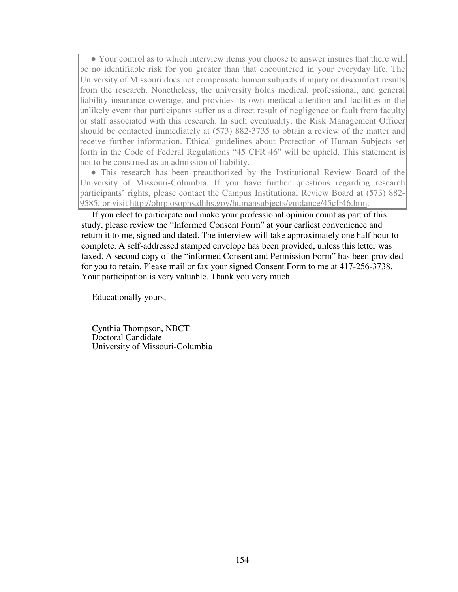• Your control as to which interview items you choose to answer insures that there will be no identifiable risk for you greater than that encountered in your everyday life. The University of Missouri does not compensate human subjects if injury or discomfort results from the research. Nonetheless, the university holds medical, professional, and general liability insurance coverage, and provides its own medical attention and facilities in the unlikely event that participants suffer as a direct result of negligence or fault from faculty or staff associated with this research. In such eventuality, the Risk Management Officer should be contacted immediately at (573) 882-3735 to obtain a review of the matter and receive further information. Ethical guidelines about Protection of Human Subjects set forth in the Code of Federal Regulations "45 CFR 46" will be upheld. This statement is not to be construed as an admission of liability.

● This research has been preauthorized by the Institutional Review Board of the University of Missouri-Columbia. If you have further questions regarding research participants' rights, please contact the Campus Institutional Review Board at (573) 882- 9585, or visit http://ohrp.osophs.dhhs.gov/humansubjects/guidance/45cfr46.htm.

If you elect to participate and make your professional opinion count as part of this study, please review the "Informed Consent Form" at your earliest convenience and return it to me, signed and dated. The interview will take approximately one half hour to complete. A self-addressed stamped envelope has been provided, unless this letter was faxed. A second copy of the "informed Consent and Permission Form" has been provided for you to retain. Please mail or fax your signed Consent Form to me at 417-256-3738. Your participation is very valuable. Thank you very much.

Educationally yours,

Cynthia Thompson, NBCT Doctoral Candidate University of Missouri-Columbia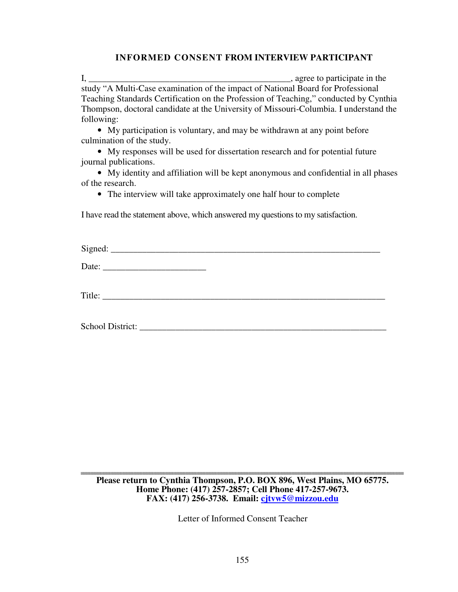#### **INFORMED CONSENT FROM INTERVIEW PARTICIPANT**

I, \_\_\_\_\_\_\_\_\_\_\_\_\_\_\_\_\_\_\_\_\_\_\_\_\_\_\_\_\_\_\_\_\_\_\_\_\_\_\_\_\_\_\_\_\_, agree to participate in the study "A Multi-Case examination of the impact of National Board for Professional Teaching Standards Certification on the Profession of Teaching," conducted by Cynthia Thompson, doctoral candidate at the University of Missouri-Columbia. I understand the following:

• My participation is voluntary, and may be withdrawn at any point before culmination of the study.

• My responses will be used for dissertation research and for potential future journal publications.

• My identity and affiliation will be kept anonymous and confidential in all phases of the research.

• The interview will take approximately one half hour to complete

I have read the statement above, which answered my questions to my satisfaction.

| $\mathbf{C}$ : $\mathbf{C}$ : $\mathbf{A}$<br>mea<br>$\sim$<br>~~ |  |  |
|-------------------------------------------------------------------|--|--|
|                                                                   |  |  |

Date:

Title:

School District: \_\_\_\_\_\_\_\_\_\_\_\_\_\_\_\_\_\_\_\_\_\_\_\_\_\_\_\_\_\_\_\_\_\_\_\_\_\_\_\_\_\_\_\_\_\_\_\_\_\_\_\_\_\_\_

**Please return to Cynthia Thompson, P.O. BOX 896, West Plains, MO 65775. Home Phone: (417) 257-2857; Cell Phone 417-257-9673. FAX: (417) 256-3738. Email: cjtvw5@mizzou.edu**

Letter of Informed Consent Teacher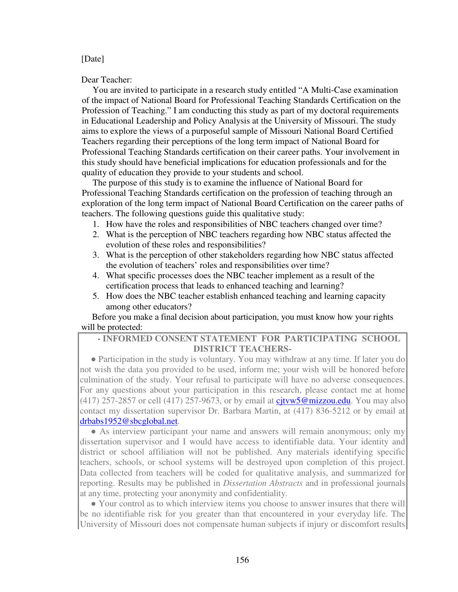#### [Date]

Dear Teacher:

You are invited to participate in a research study entitled "A Multi-Case examination of the impact of National Board for Professional Teaching Standards Certification on the Profession of Teaching." I am conducting this study as part of my doctoral requirements in Educational Leadership and Policy Analysis at the University of Missouri. The study aims to explore the views of a purposeful sample of Missouri National Board Certified Teachers regarding their perceptions of the long term impact of National Board for Professional Teaching Standards certification on their career paths. Your involvement in this study should have beneficial implications for education professionals and for the quality of education they provide to your students and school.

The purpose of this study is to examine the influence of National Board for Professional Teaching Standards certification on the profession of teaching through an exploration of the long term impact of National Board Certification on the career paths of teachers. The following questions guide this qualitative study:

- 1. How have the roles and responsibilities of NBC teachers changed over time?
- 2. What is the perception of NBC teachers regarding how NBC status affected the evolution of these roles and responsibilities?
- 3. What is the perception of other stakeholders regarding how NBC status affected the evolution of teachers' roles and responsibilities over time?
- 4. What specific processes does the NBC teacher implement as a result of the certification process that leads to enhanced teaching and learning?
- 5. How does the NBC teacher establish enhanced teaching and learning capacity among other educators?

Before you make a final decision about participation, you must know how your rights will be protected:

#### **- INFORMED CONSENT STATEMENT FOR PARTICIPATING SCHOOL DISTRICT TEACHERS-**

• Participation in the study is voluntary. You may withdraw at any time. If later you do not wish the data you provided to be used, inform me; your wish will be honored before culmination of the study. Your refusal to participate will have no adverse consequences. For any questions about your participation in this research, please contact me at home (417) 257-2857 or cell (417) 257-9673, or by email at cjtvw5@mizzou.edu. You may also contact my dissertation supervisor Dr. Barbara Martin, at (417) 836-5212 or by email at drbabs1952@sbcglobal.net.

• As interview participant your name and answers will remain anonymous; only my dissertation supervisor and I would have access to identifiable data. Your identity and district or school affiliation will not be published. Any materials identifying specific teachers, schools, or school systems will be destroyed upon completion of this project. Data collected from teachers will be coded for qualitative analysis, and summarized for reporting. Results may be published in *Dissertation Abstracts* and in professional journals at any time, protecting your anonymity and confidentiality.

• Your control as to which interview items you choose to answer insures that there will be no identifiable risk for you greater than that encountered in your everyday life. The University of Missouri does not compensate human subjects if injury or discomfort results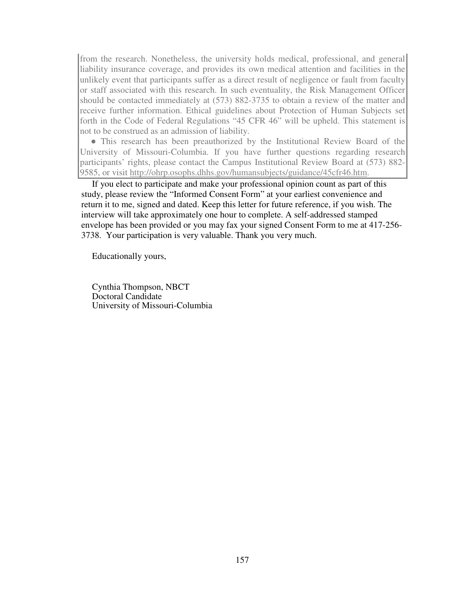from the research. Nonetheless, the university holds medical, professional, and general liability insurance coverage, and provides its own medical attention and facilities in the unlikely event that participants suffer as a direct result of negligence or fault from faculty or staff associated with this research. In such eventuality, the Risk Management Officer should be contacted immediately at (573) 882-3735 to obtain a review of the matter and receive further information. Ethical guidelines about Protection of Human Subjects set forth in the Code of Federal Regulations "45 CFR 46" will be upheld. This statement is not to be construed as an admission of liability.

• This research has been preauthorized by the Institutional Review Board of the University of Missouri-Columbia. If you have further questions regarding research participants' rights, please contact the Campus Institutional Review Board at (573) 882- 9585, or visit http://ohrp.osophs.dhhs.gov/humansubjects/guidance/45cfr46.htm.

If you elect to participate and make your professional opinion count as part of this study, please review the "Informed Consent Form" at your earliest convenience and return it to me, signed and dated. Keep this letter for future reference, if you wish. The interview will take approximately one hour to complete. A self-addressed stamped envelope has been provided or you may fax your signed Consent Form to me at 417-256- 3738. Your participation is very valuable. Thank you very much.

Educationally yours,

Cynthia Thompson, NBCT Doctoral Candidate University of Missouri-Columbia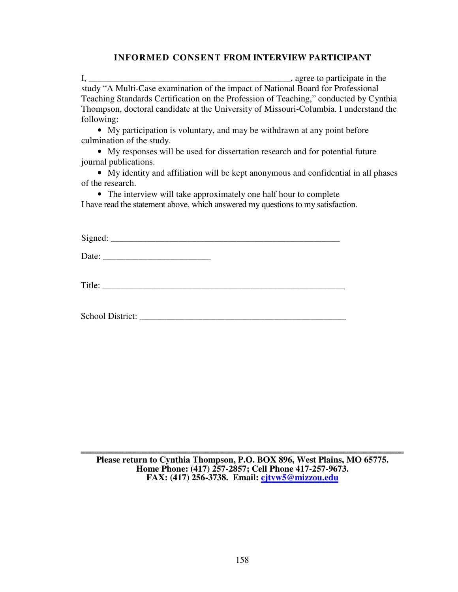#### **INFORMED CONSENT FROM INTERVIEW PARTICIPANT**

I, \_\_\_\_\_\_\_\_\_\_\_\_\_\_\_\_\_\_\_\_\_\_\_\_\_\_\_\_\_\_\_\_\_\_\_\_\_\_\_\_\_\_\_\_\_, agree to participate in the study "A Multi-Case examination of the impact of National Board for Professional Teaching Standards Certification on the Profession of Teaching," conducted by Cynthia Thompson, doctoral candidate at the University of Missouri-Columbia. I understand the following:

• My participation is voluntary, and may be withdrawn at any point before culmination of the study.

• My responses will be used for dissertation research and for potential future journal publications.

• My identity and affiliation will be kept anonymous and confidential in all phases of the research.

• The interview will take approximately one half hour to complete I have read the statement above, which answered my questions to my satisfaction.

 $Sigma: \text{signed}:$ 

Date: \_\_\_\_\_\_\_\_\_\_\_\_\_\_\_\_\_\_\_\_\_\_\_\_

Title: \_\_\_\_\_\_\_\_\_\_\_\_\_\_\_\_\_\_\_\_\_\_\_\_\_\_\_\_\_\_\_\_\_\_\_\_\_\_\_\_\_\_\_\_\_\_\_\_\_\_\_\_\_\_

School District: \_\_\_\_\_\_\_\_\_\_\_\_\_\_\_\_\_\_\_\_\_\_\_\_\_\_\_\_\_\_\_\_\_\_\_\_\_\_\_\_\_\_\_\_\_\_

**Please return to Cynthia Thompson, P.O. BOX 896, West Plains, MO 65775. Home Phone: (417) 257-2857; Cell Phone 417-257-9673. FAX: (417) 256-3738. Email: cjtvw5@mizzou.edu**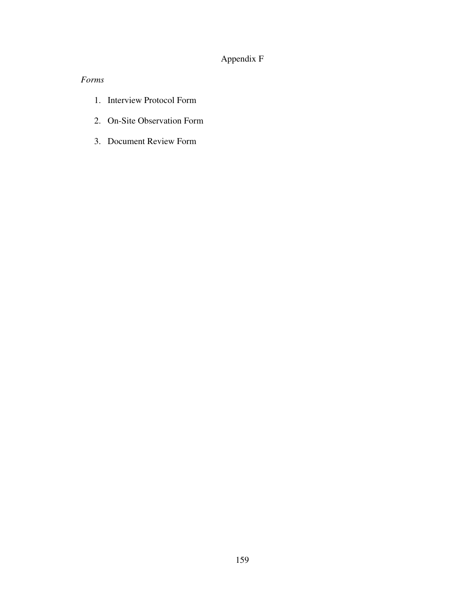## Appendix F

### *Forms*

- 1. Interview Protocol Form
- 2. On-Site Observation Form
- 3. Document Review Form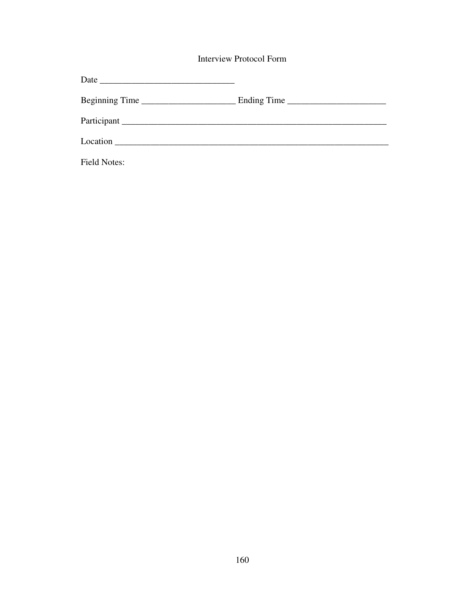**Interview Protocol Form** 

| Beginning Time      | Ending Time $\frac{1}{\sqrt{1-\frac{1}{2}}}\left\{ \frac{1}{2}, \frac{1}{2}, \frac{1}{2}, \frac{1}{2}, \frac{1}{2}, \frac{1}{2}, \frac{1}{2}, \frac{1}{2}, \frac{1}{2}, \frac{1}{2}, \frac{1}{2}, \frac{1}{2}, \frac{1}{2}, \frac{1}{2}, \frac{1}{2}, \frac{1}{2}, \frac{1}{2}, \frac{1}{2}, \frac{1}{2}, \frac{1}{2}, \frac{1}{2}, \frac{1}{2}, \frac{1}{2}, \frac{1}{2}, \frac{1}{2}, \frac{1}{2}, \frac{1}{2$ |
|---------------------|------------------------------------------------------------------------------------------------------------------------------------------------------------------------------------------------------------------------------------------------------------------------------------------------------------------------------------------------------------------------------------------------------------------|
|                     |                                                                                                                                                                                                                                                                                                                                                                                                                  |
| Location            |                                                                                                                                                                                                                                                                                                                                                                                                                  |
| <b>Field Notes:</b> |                                                                                                                                                                                                                                                                                                                                                                                                                  |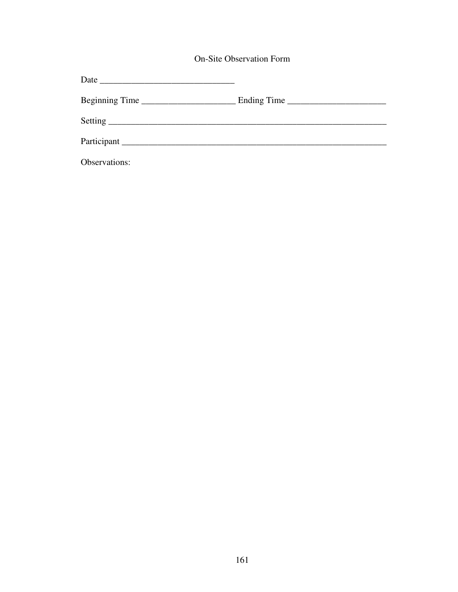**On-Site Observation Form** 

| Beginning Time |  |
|----------------|--|
|                |  |
| Participant    |  |
| Observations:  |  |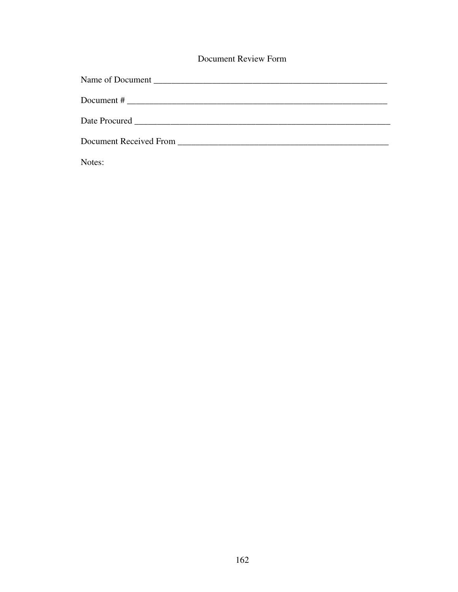### **Document Review Form**

| Document # $\frac{1}{2}$ $\frac{1}{2}$ $\frac{1}{2}$ $\frac{1}{2}$ $\frac{1}{2}$ $\frac{1}{2}$ $\frac{1}{2}$ $\frac{1}{2}$ $\frac{1}{2}$ $\frac{1}{2}$ $\frac{1}{2}$ $\frac{1}{2}$ $\frac{1}{2}$ $\frac{1}{2}$ $\frac{1}{2}$ $\frac{1}{2}$ $\frac{1}{2}$ $\frac{1}{2}$ $\frac{1}{2}$ $\frac{1}{2}$ $\frac{1}{2}$ |
|------------------------------------------------------------------------------------------------------------------------------------------------------------------------------------------------------------------------------------------------------------------------------------------------------------------|
| Date Procured                                                                                                                                                                                                                                                                                                    |
| Document Received From North States and Security and Security and Security and Security and Security and Security and Security and Security and Security and Security and Security and Security and Security and Security and                                                                                    |

Notes: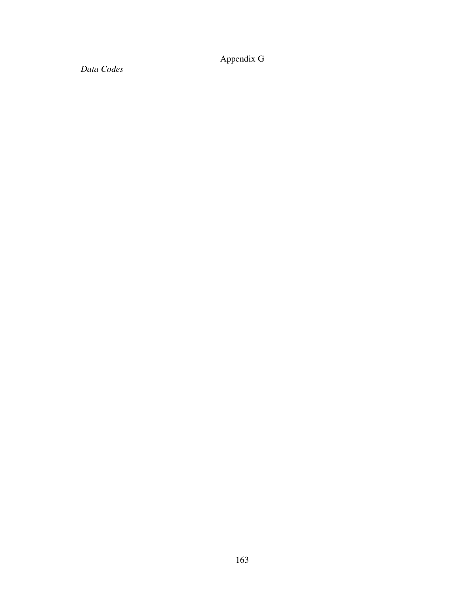Appendix G

*Data Codes*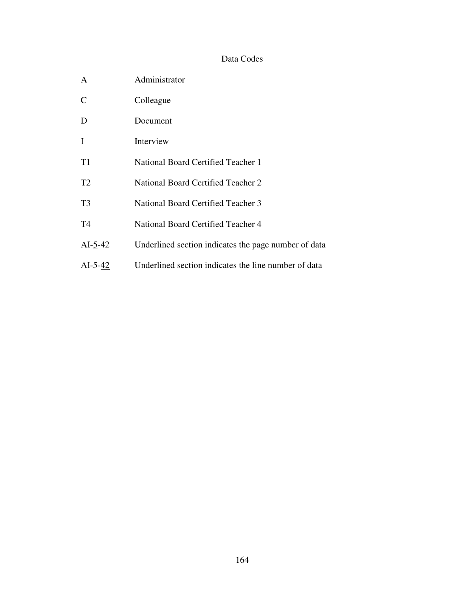### Data Codes

| A              | Administrator                                        |
|----------------|------------------------------------------------------|
| $\mathcal{C}$  | Colleague                                            |
| D              | Document                                             |
| $\mathbf{I}$   | Interview                                            |
| T <sub>1</sub> | National Board Certified Teacher 1                   |
| T <sub>2</sub> | National Board Certified Teacher 2                   |
| T <sub>3</sub> | National Board Certified Teacher 3                   |
| T <sub>4</sub> | National Board Certified Teacher 4                   |
| $AI-5-42$      | Underlined section indicates the page number of data |
| $AI-5-42$      | Underlined section indicates the line number of data |